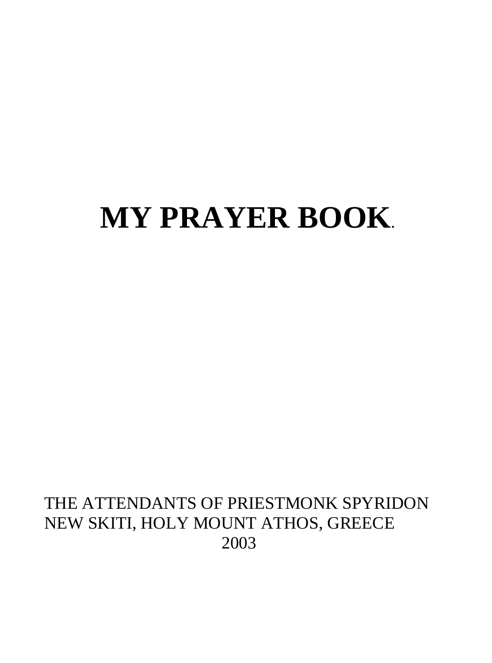# **MY PRAYER BOOK**.

#### THE ATTENDANTS OF PRIESTMONK SPYRIDON NEW SKITI, HOLY MOUNT ATHOS, GREECE 2003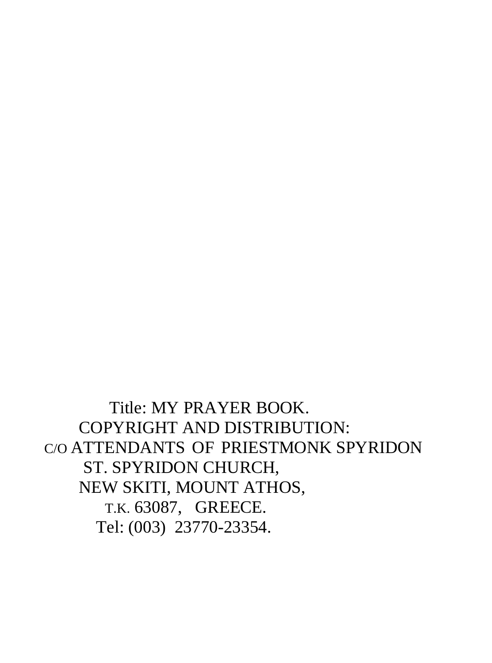Title: MY PRAYER BOOK. COPYRIGHT AND DISTRIBUTION: C/O ATTENDANTS OF PRIESTMONK SPYRIDON ST. SPYRIDON CHURCH, NEW SKITI, MOUNT ATHOS, T.K. 63087, GREECE. Tel: (003) 23770-23354.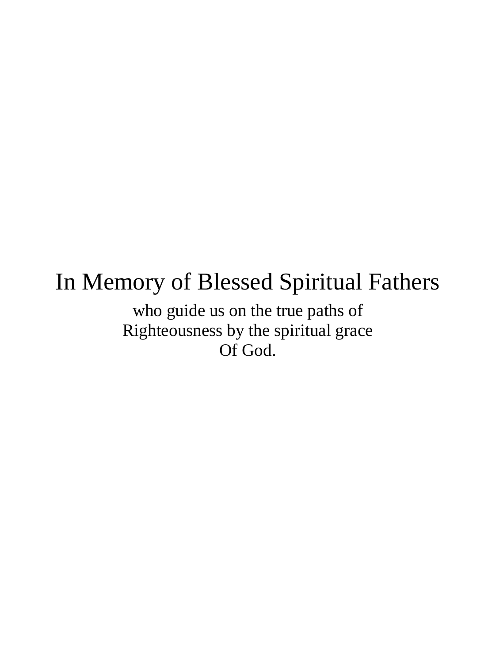### In Memory of Blessed Spiritual Fathers

who guide us on the true paths of Righteousness by the spiritual grace Of God.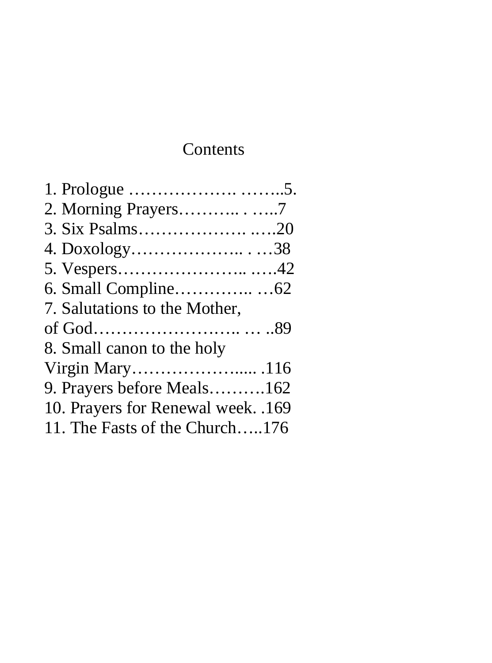#### Contents

| 2. Morning Prayers7                |  |
|------------------------------------|--|
|                                    |  |
| 4. Doxology38                      |  |
|                                    |  |
|                                    |  |
| 7. Salutations to the Mother,      |  |
|                                    |  |
| 8. Small canon to the holy         |  |
|                                    |  |
| 9. Prayers before Meals162         |  |
| 10. Prayers for Renewal week. .169 |  |
| 11. The Fasts of the Church176     |  |
|                                    |  |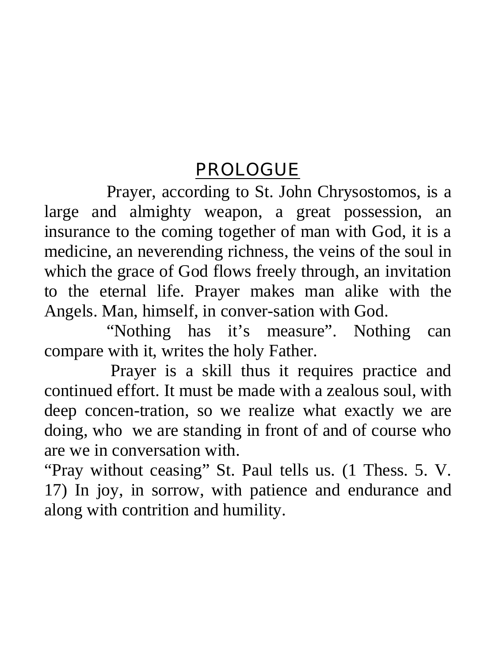#### PROLOGUE

Prayer, according to St. John Chrysostomos, is a large and almighty weapon, a great possession, an insurance to the coming together of man with God, it is a medicine, an neverending richness, the veins of the soul in which the grace of God flows freely through, an invitation to the eternal life. Prayer makes man alike with the Angels. Man, himself, in conver-sation with God.

"Nothing has it's measure". Nothing can compare with it, writes the holy Father.

 Prayer is a skill thus it requires practice and continued effort. It must be made with a zealous soul, with deep concen-tration, so we realize what exactly we are doing, who we are standing in front of and of course who are we in conversation with.

"Pray without ceasing" St. Paul tells us. (1 Thess. 5. V. 17) In joy, in sorrow, with patience and endurance and along with contrition and humility.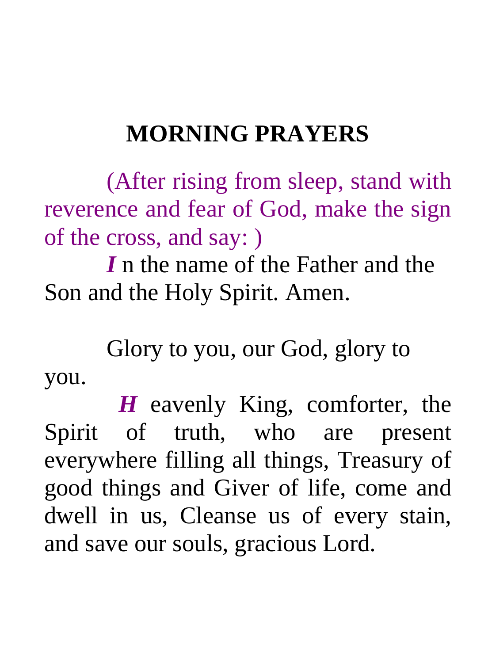# **MORNING PRAYERS**

(After rising from sleep, stand with reverence and fear of God, make the sign of the cross, and say: )

*I* n the name of the Father and the Son and the Holy Spirit. Amen.

Glory to you, our God, glory to you.

 *H* eavenly King, comforter, the Spirit of truth, who are present everywhere filling all things, Treasury of good things and Giver of life, come and dwell in us, Cleanse us of every stain, and save our souls, gracious Lord.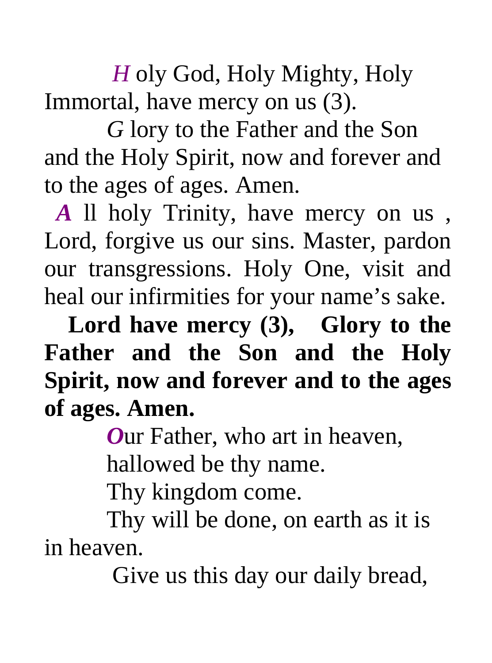*H* oly God, Holy Mighty, Holy Immortal, have mercy on us (3).

*G* lory to the Father and the Son and the Holy Spirit, now and forever and to the ages of ages. Amen.

 *A* ll holy Trinity, have mercy on us , Lord, forgive us our sins. Master, pardon our transgressions. Holy One, visit and heal our infirmities for your name's sake.

 **Lord have mercy (3), Glory to the Father and the Son and the Holy Spirit, now and forever and to the ages of ages. Amen.** 

*O*ur Father, who art in heaven,

hallowed be thy name.

Thy kingdom come.

Thy will be done, on earth as it is in heaven.

Give us this day our daily bread,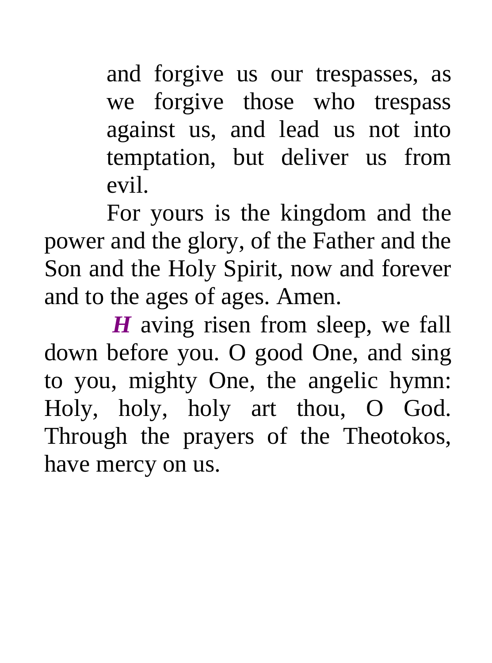and forgive us our trespasses, as we forgive those who trespass against us, and lead us not into temptation, but deliver us from evil.

For yours is the kingdom and the power and the glory, of the Father and the Son and the Holy Spirit, now and forever and to the ages of ages. Amen.

*H* aving risen from sleep, we fall down before you. O good One, and sing to you, mighty One, the angelic hymn: Holy, holy, holy art thou, O God. Through the prayers of the Theotokos, have mercy on us.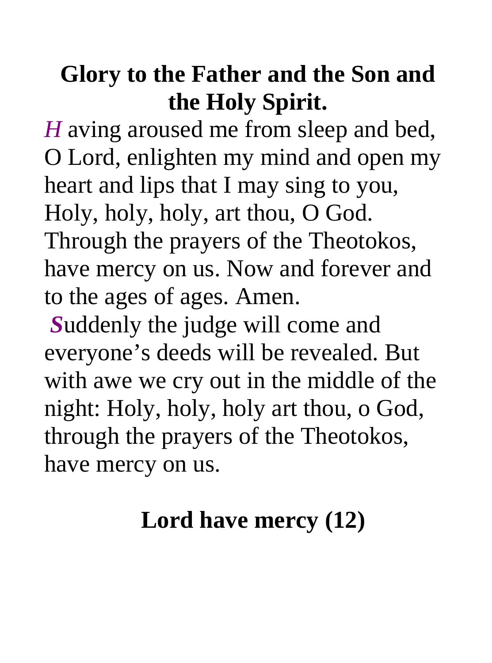# **Glory to the Father and the Son and the Holy Spirit.**

*H* aving aroused me from sleep and bed, O Lord, enlighten my mind and open my heart and lips that I may sing to you, Holy, holy, holy, art thou, O God. Through the prayers of the Theotokos, have mercy on us. Now and forever and to the ages of ages. Amen.

*S*uddenly the judge will come and everyone's deeds will be revealed. But with awe we cry out in the middle of the night: Holy, holy, holy art thou, o God, through the prayers of the Theotokos, have mercy on us.

# **Lord have mercy (12)**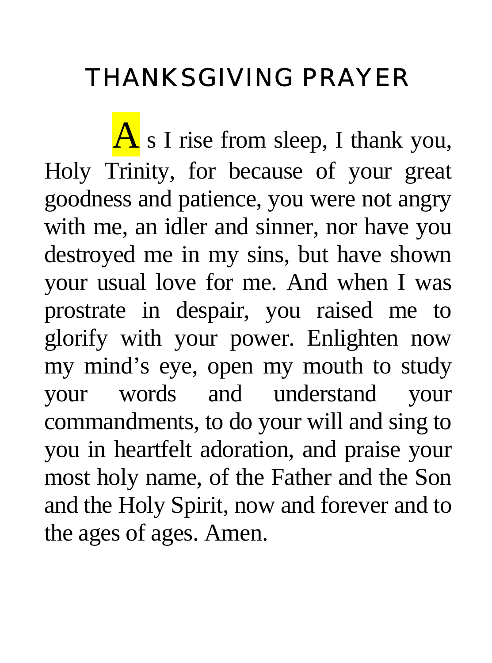# THANKSGIVING PRAYER

 $\overline{A}$  s I rise from sleep, I thank you, Holy Trinity, for because of your great goodness and patience, you were not angry with me, an idler and sinner, nor have you destroyed me in my sins, but have shown your usual love for me. And when I was prostrate in despair, you raised me to glorify with your power. Enlighten now my mind's eye, open my mouth to study your words and understand your commandments, to do your will and sing to you in heartfelt adoration, and praise your most holy name, of the Father and the Son and the Holy Spirit, now and forever and to the ages of ages. Amen.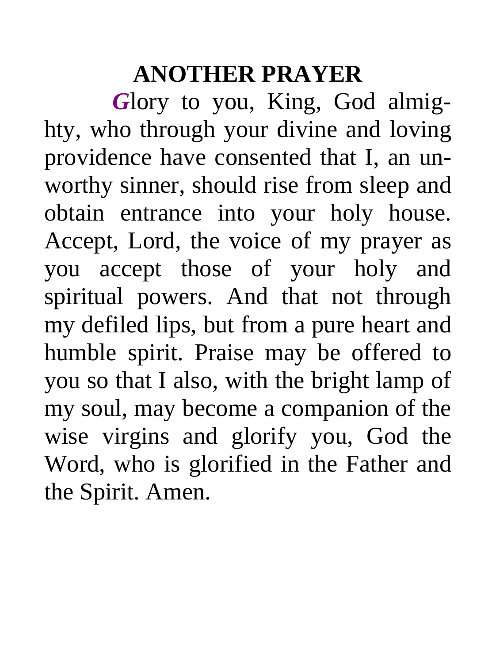### **ANOTHER PRAYER**

*G*lory to you, King, God almighty, who through your divine and loving providence have consented that I, an unworthy sinner, should rise from sleep and obtain entrance into your holy house. Accept, Lord, the voice of my prayer as you accept those of your holy and spiritual powers. And that not through my defiled lips, but from a pure heart and humble spirit. Praise may be offered to you so that I also, with the bright lamp of my soul, may become a companion of the wise virgins and glorify you, God the Word, who is glorified in the Father and the Spirit. Amen.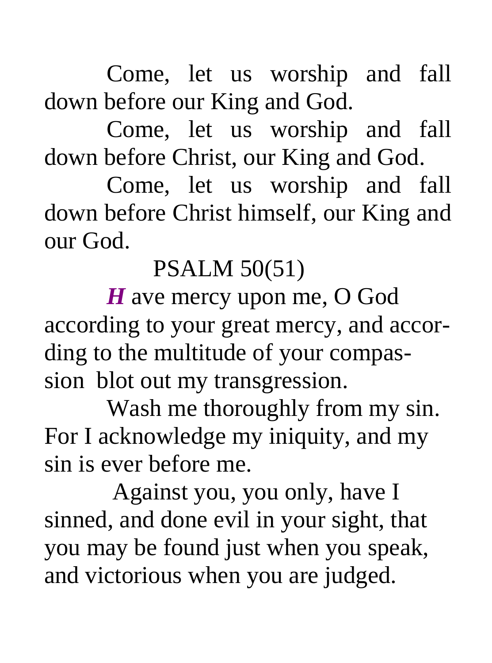Come, let us worship and fall down before our King and God.

Come, let us worship and fall down before Christ, our King and God.

Come, let us worship and fall down before Christ himself, our King and our God.

PSALM 50(51)

*H* ave mercy upon me, O God according to your great mercy, and according to the multitude of your compassion blot out my transgression.

Wash me thoroughly from my sin. For I acknowledge my iniquity, and my sin is ever before me.

 Against you, you only, have I sinned, and done evil in your sight, that you may be found just when you speak, and victorious when you are judged.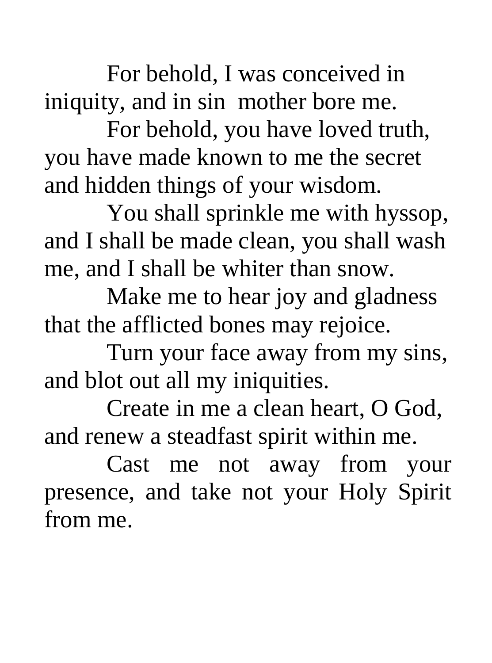For behold, I was conceived in iniquity, and in sin mother bore me.

For behold, you have loved truth, you have made known to me the secret and hidden things of your wisdom.

You shall sprinkle me with hyssop, and I shall be made clean, you shall wash me, and I shall be whiter than snow.

Make me to hear joy and gladness that the afflicted bones may rejoice.

Turn your face away from my sins, and blot out all my iniquities.

Create in me a clean heart, O God, and renew a steadfast spirit within me.

Cast me not away from your presence, and take not your Holy Spirit from me.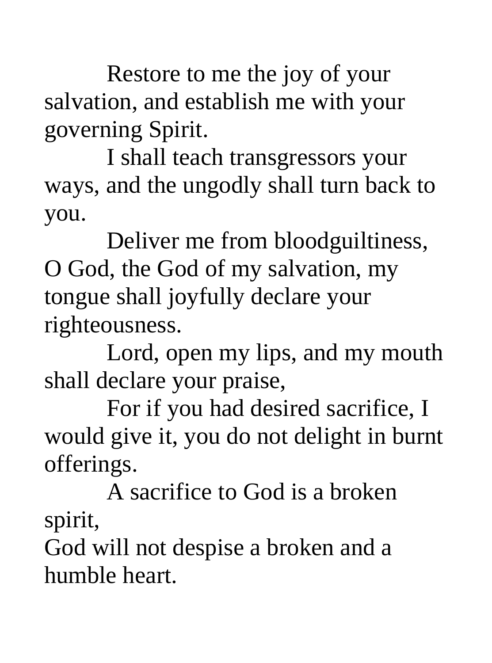Restore to me the joy of your salvation, and establish me with your governing Spirit.

I shall teach transgressors your ways, and the ungodly shall turn back to you.

Deliver me from bloodguiltiness, O God, the God of my salvation, my tongue shall joyfully declare your righteousness.

Lord, open my lips, and my mouth shall declare your praise,

For if you had desired sacrifice, I would give it, you do not delight in burnt offerings.

A sacrifice to God is a broken spirit,

God will not despise a broken and a humble heart.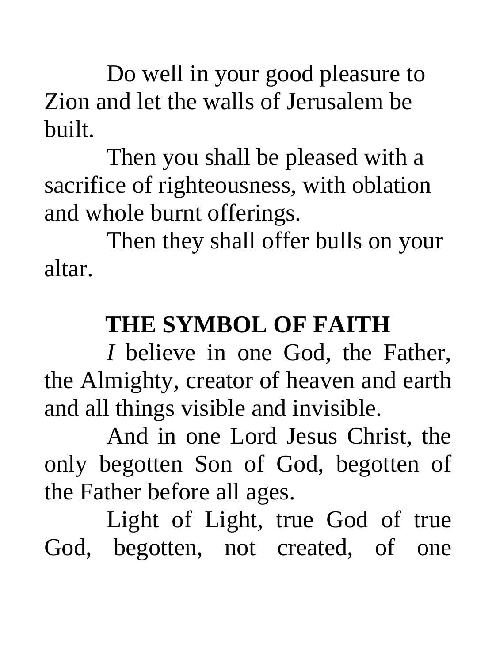Do well in your good pleasure to Zion and let the walls of Jerusalem be built.

Then you shall be pleased with a sacrifice of righteousness, with oblation and whole burnt offerings.

Then they shall offer bulls on your altar.

### **THE SYMBOL OF FAITH**

*I* believe in one God, the Father, the Almighty, creator of heaven and earth and all things visible and invisible.

And in one Lord Jesus Christ, the only begotten Son of God, begotten of the Father before all ages.

Light of Light, true God of true God, begotten, not created, of one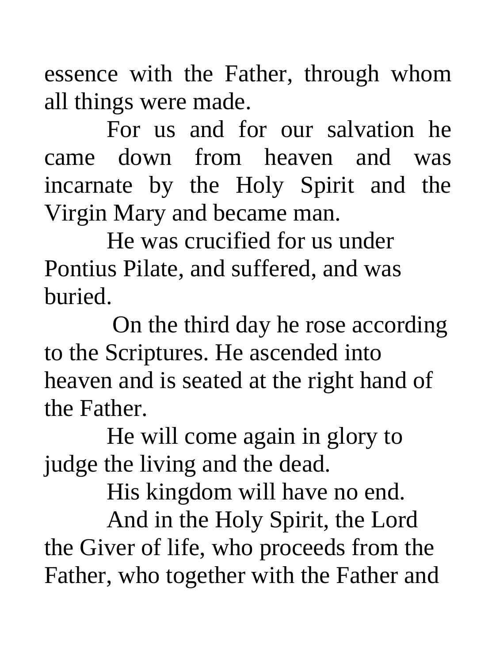essence with the Father, through whom all things were made.

For us and for our salvation he came down from heaven and was incarnate by the Holy Spirit and the Virgin Mary and became man.

He was crucified for us under Pontius Pilate, and suffered, and was buried.

 On the third day he rose according to the Scriptures. He ascended into heaven and is seated at the right hand of the Father.

He will come again in glory to judge the living and the dead.

His kingdom will have no end.

And in the Holy Spirit, the Lord the Giver of life, who proceeds from the Father, who together with the Father and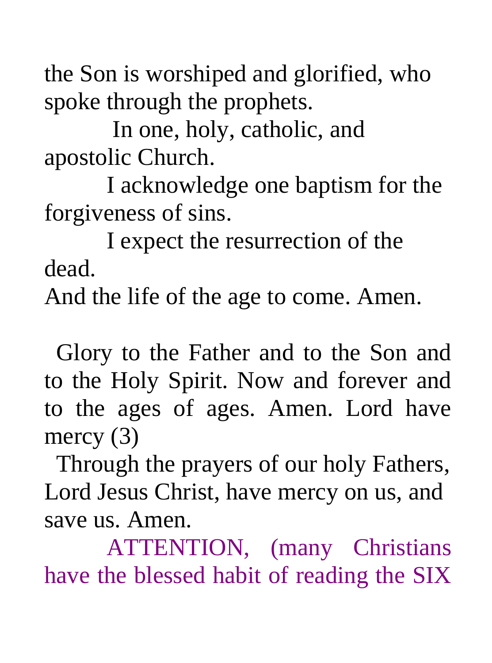the Son is worshiped and glorified, who spoke through the prophets.

 In one, holy, catholic, and apostolic Church.

I acknowledge one baptism for the forgiveness of sins.

I expect the resurrection of the dead.

And the life of the age to come. Amen.

 Glory to the Father and to the Son and to the Holy Spirit. Now and forever and to the ages of ages. Amen. Lord have mercy (3)

 Through the prayers of our holy Fathers, Lord Jesus Christ, have mercy on us, and save us. Amen.

ATTENTION, (many Christians have the blessed habit of reading the SIX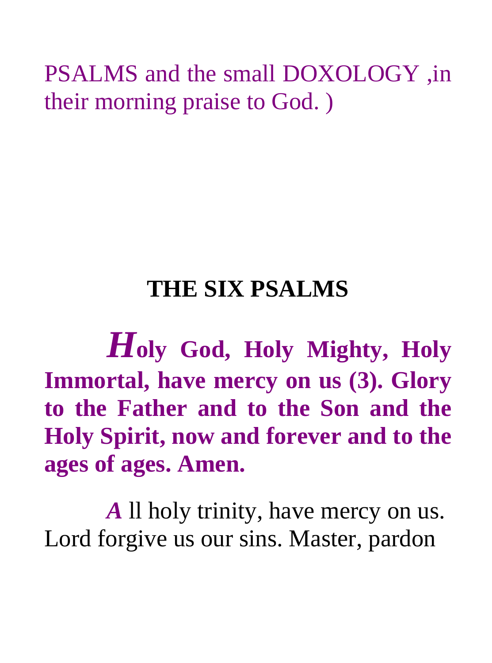PSALMS and the small DOXOLOGY ,in their morning praise to God. )

# **THE SIX PSALMS**

*H***oly God, Holy Mighty, Holy Immortal, have mercy on us (3). Glory to the Father and to the Son and the Holy Spirit, now and forever and to the ages of ages. Amen.** 

*A* ll holy trinity, have mercy on us. Lord forgive us our sins. Master, pardon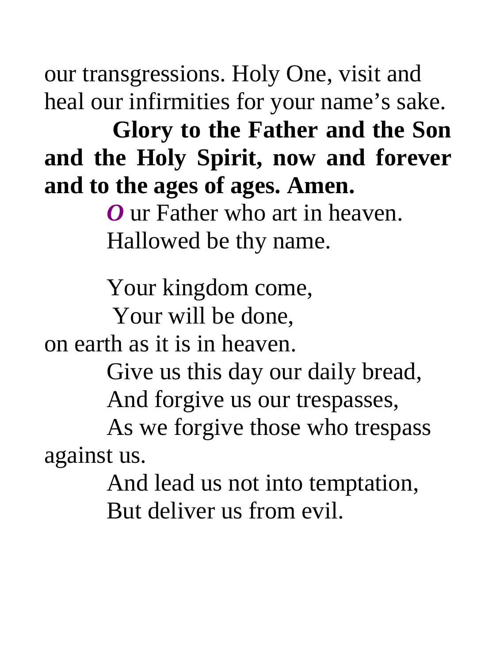our transgressions. Holy One, visit and heal our infirmities for your name's sake.

 **Glory to the Father and the Son and the Holy Spirit, now and forever and to the ages of ages. Amen.** 

> *O* ur Father who art in heaven. Hallowed be thy name.

Your kingdom come,

Your will be done,

on earth as it is in heaven.

Give us this day our daily bread,

And forgive us our trespasses,

As we forgive those who trespass against us.

> And lead us not into temptation, But deliver us from evil.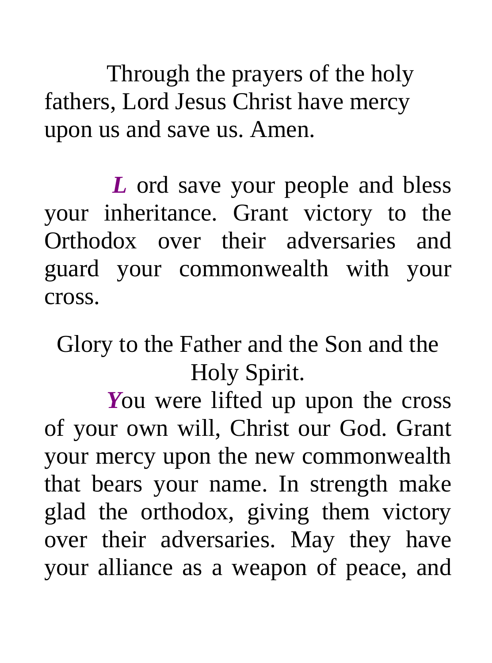Through the prayers of the holy fathers, Lord Jesus Christ have mercy upon us and save us. Amen.

 *L* ord save your people and bless your inheritance. Grant victory to the Orthodox over their adversaries and guard your commonwealth with your cross.

Glory to the Father and the Son and the Holy Spirit.

*You* were lifted up upon the cross of your own will, Christ our God. Grant your mercy upon the new commonwealth that bears your name. In strength make glad the orthodox, giving them victory over their adversaries. May they have your alliance as a weapon of peace, and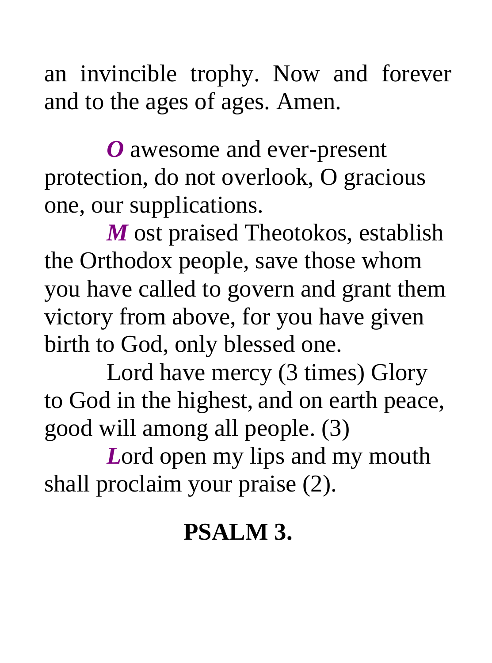an invincible trophy. Now and forever and to the ages of ages. Amen.

*O* awesome and ever-present protection, do not overlook, O gracious one, our supplications.

*M* ost praised Theotokos, establish the Orthodox people, save those whom you have called to govern and grant them victory from above, for you have given birth to God, only blessed one.

Lord have mercy (3 times) Glory to God in the highest, and on earth peace, good will among all people. (3)

*L*ord open my lips and my mouth shall proclaim your praise (2).

# **PSALM 3.**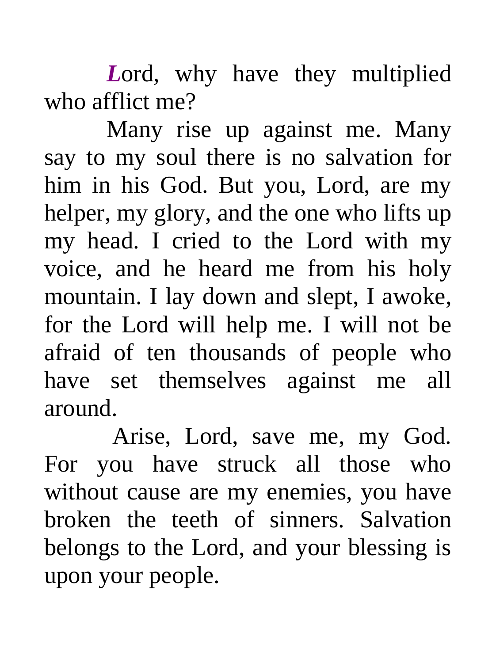*L*ord, why have they multiplied who afflict me?

Many rise up against me. Many say to my soul there is no salvation for him in his God. But you, Lord, are my helper, my glory, and the one who lifts up my head. I cried to the Lord with my voice, and he heard me from his holy mountain. I lay down and slept, I awoke, for the Lord will help me. I will not be afraid of ten thousands of people who have set themselves against me all around.

 Arise, Lord, save me, my God. For you have struck all those who without cause are my enemies, you have broken the teeth of sinners. Salvation belongs to the Lord, and your blessing is upon your people.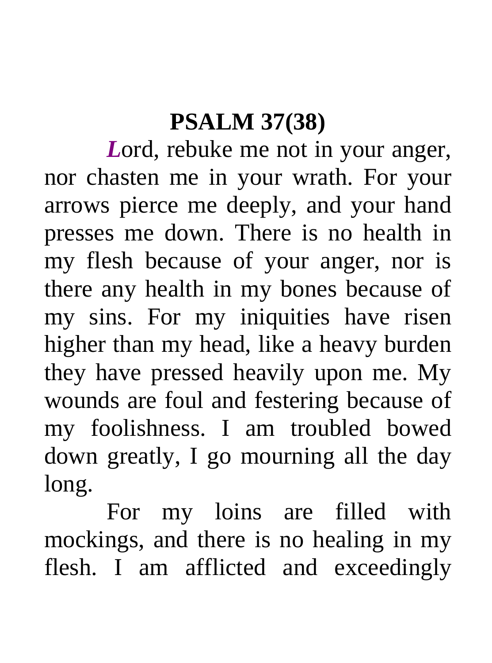### **PSALM 37(38)**

*L*ord, rebuke me not in your anger, nor chasten me in your wrath. For your arrows pierce me deeply, and your hand presses me down. There is no health in my flesh because of your anger, nor is there any health in my bones because of my sins. For my iniquities have risen higher than my head, like a heavy burden they have pressed heavily upon me. My wounds are foul and festering because of my foolishness. I am troubled bowed down greatly, I go mourning all the day long.

For my loins are filled with mockings, and there is no healing in my flesh. I am afflicted and exceedingly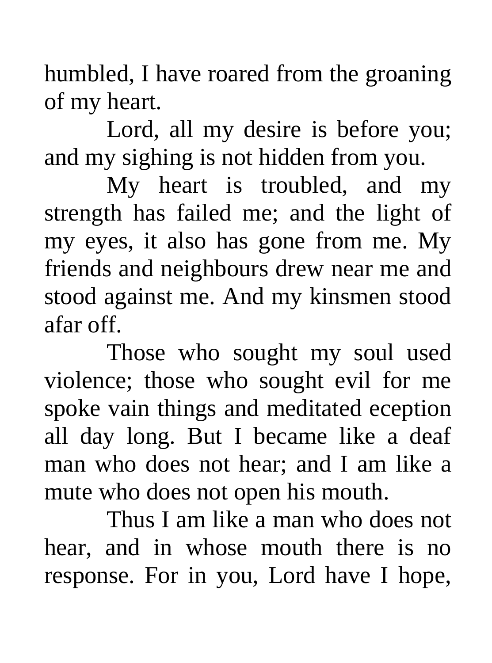humbled, I have roared from the groaning of my heart.

Lord, all my desire is before you; and my sighing is not hidden from you.

My heart is troubled, and my strength has failed me; and the light of my eyes, it also has gone from me. My friends and neighbours drew near me and stood against me. And my kinsmen stood afar off.

Those who sought my soul used violence; those who sought evil for me spoke vain things and meditated eception all day long. But I became like a deaf man who does not hear; and I am like a mute who does not open his mouth.

Thus I am like a man who does not hear, and in whose mouth there is no response. For in you, Lord have I hope,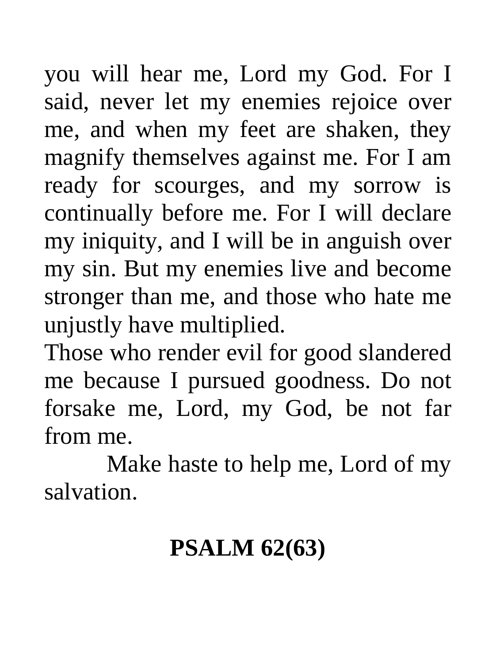you will hear me, Lord my God. For I said, never let my enemies rejoice over me, and when my feet are shaken, they magnify themselves against me. For I am ready for scourges, and my sorrow is continually before me. For I will declare my iniquity, and I will be in anguish over my sin. But my enemies live and become stronger than me, and those who hate me unjustly have multiplied.

Those who render evil for good slandered me because I pursued goodness. Do not forsake me, Lord, my God, be not far from me.

Make haste to help me, Lord of my salvation.

# **PSALM 62(63)**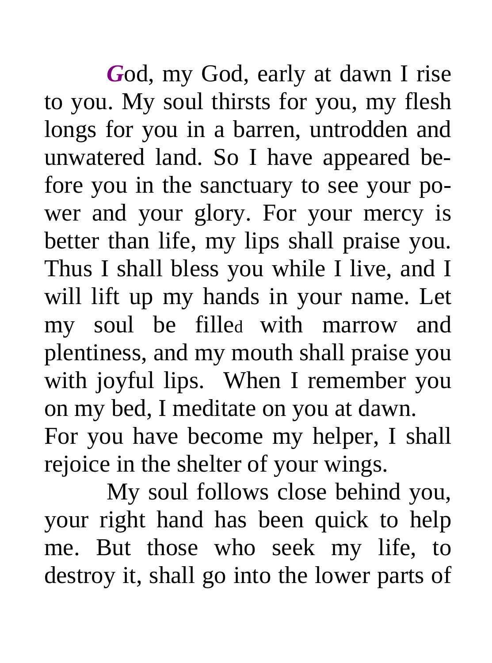*G*od, my God, early at dawn I rise to you. My soul thirsts for you, my flesh longs for you in a barren, untrodden and unwatered land. So I have appeared before you in the sanctuary to see your power and your glory. For your mercy is better than life, my lips shall praise you. Thus I shall bless you while I live, and I will lift up my hands in your name. Let my soul be filled with marrow and plentiness, and my mouth shall praise you with joyful lips. When I remember you on my bed, I meditate on you at dawn. For you have become my helper, I shall rejoice in the shelter of your wings.

My soul follows close behind you, your right hand has been quick to help me. But those who seek my life, to destroy it, shall go into the lower parts of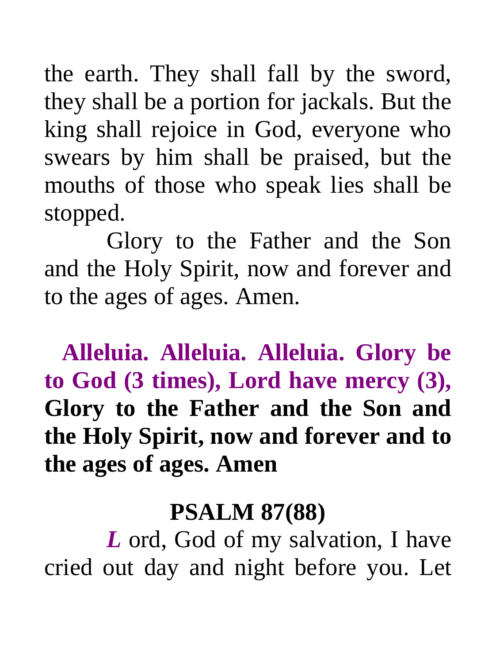the earth. They shall fall by the sword, they shall be a portion for jackals. But the king shall rejoice in God, everyone who swears by him shall be praised, but the mouths of those who speak lies shall be stopped.

 Glory to the Father and the Son and the Holy Spirit, now and forever and to the ages of ages. Amen.

 **Alleluia. Alleluia. Alleluia. Glory be to God (3 times), Lord have mercy (3), Glory to the Father and the Son and the Holy Spirit, now and forever and to the ages of ages. Amen** 

#### **PSALM 87(88)**

*L* ord, God of my salvation, I have cried out day and night before you. Let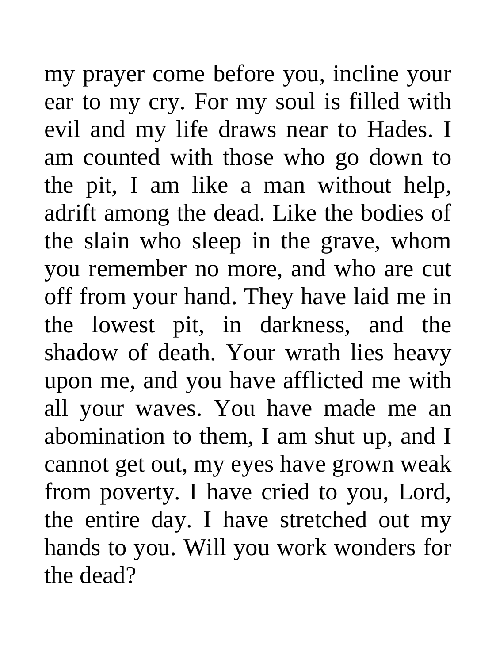my prayer come before you, incline your ear to my cry. For my soul is filled with evil and my life draws near to Hades. I am counted with those who go down to the pit, I am like a man without help, adrift among the dead. Like the bodies of the slain who sleep in the grave, whom you remember no more, and who are cut off from your hand. They have laid me in the lowest pit, in darkness, and the shadow of death. Your wrath lies heavy upon me, and you have afflicted me with all your waves. You have made me an abomination to them, I am shut up, and I cannot get out, my eyes have grown weak from poverty. I have cried to you, Lord, the entire day. I have stretched out my hands to you. Will you work wonders for the dead?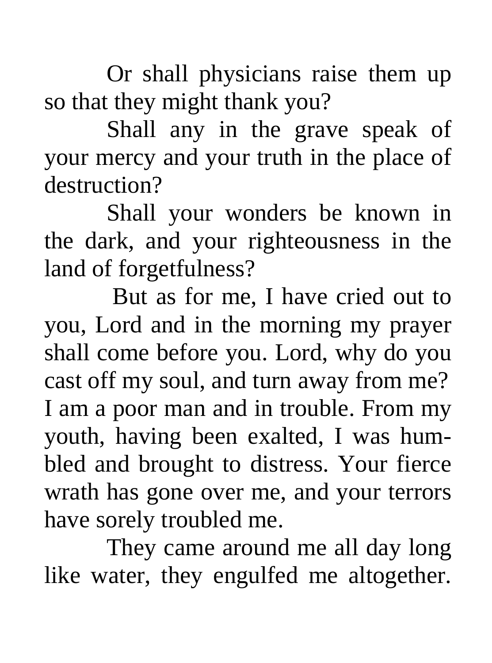Or shall physicians raise them up so that they might thank you?

Shall any in the grave speak of your mercy and your truth in the place of destruction?

Shall your wonders be known in the dark, and your righteousness in the land of forgetfulness?

 But as for me, I have cried out to you, Lord and in the morning my prayer shall come before you. Lord, why do you cast off my soul, and turn away from me? I am a poor man and in trouble. From my youth, having been exalted, I was humbled and brought to distress. Your fierce wrath has gone over me, and your terrors have sorely troubled me.

They came around me all day long like water, they engulfed me altogether.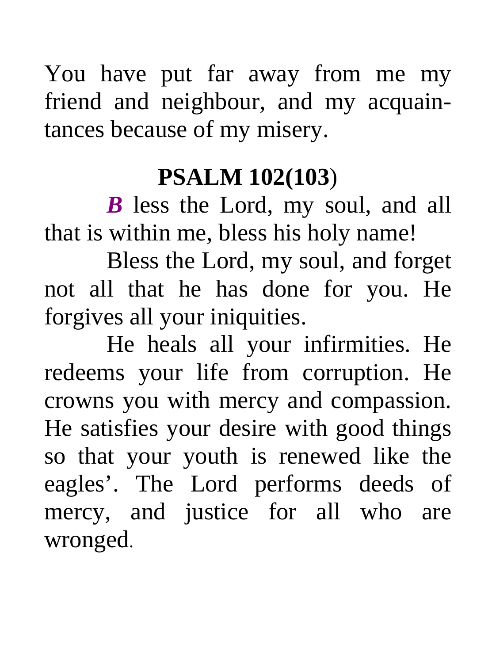You have put far away from me my friend and neighbour, and my acquaintances because of my misery.

### **PSALM 102(103**)

*B* less the Lord, my soul, and all that is within me, bless his holy name!

Bless the Lord, my soul, and forget not all that he has done for you. He forgives all your iniquities.

He heals all your infirmities. He redeems your life from corruption. He crowns you with mercy and compassion. He satisfies your desire with good things so that your youth is renewed like the eagles'. The Lord performs deeds of mercy, and justice for all who are wronged.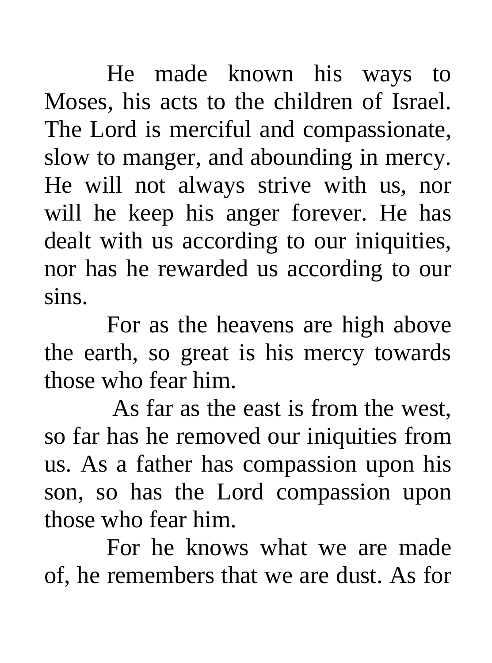He made known his ways to Moses, his acts to the children of Israel. The Lord is merciful and compassionate, slow to manger, and abounding in mercy. He will not always strive with us, nor will he keep his anger forever. He has dealt with us according to our iniquities, nor has he rewarded us according to our sins.

For as the heavens are high above the earth, so great is his mercy towards those who fear him.

 As far as the east is from the west, so far has he removed our iniquities from us. As a father has compassion upon his son, so has the Lord compassion upon those who fear him.

For he knows what we are made of, he remembers that we are dust. As for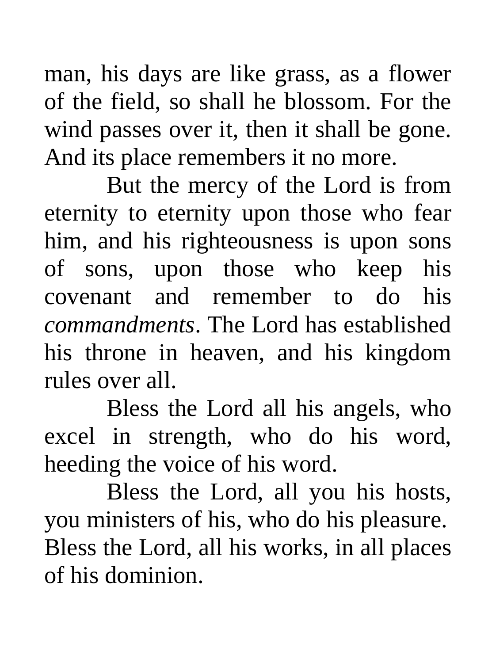man, his days are like grass, as a flower of the field, so shall he blossom. For the wind passes over it, then it shall be gone. And its place remembers it no more.

But the mercy of the Lord is from eternity to eternity upon those who fear him, and his righteousness is upon sons of sons, upon those who keep his covenant and remember to do his *commandments*. The Lord has established his throne in heaven, and his kingdom rules over all.

Bless the Lord all his angels, who excel in strength, who do his word, heeding the voice of his word.

Bless the Lord, all you his hosts, you ministers of his, who do his pleasure. Bless the Lord, all his works, in all places of his dominion.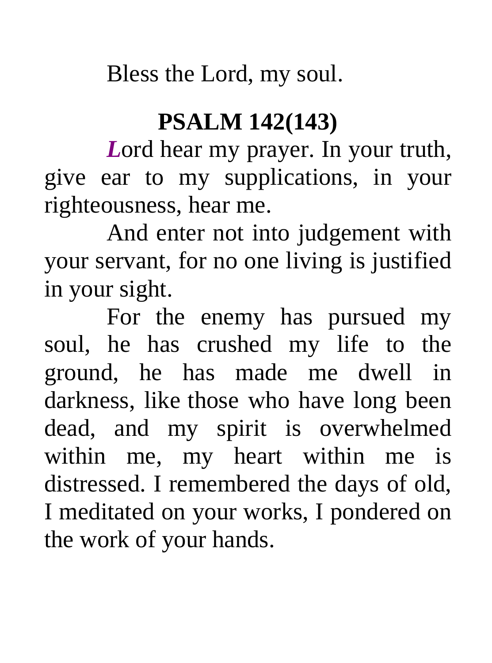Bless the Lord, my soul.

### **PSALM 142(143)**

*L*ord hear my prayer. In your truth, give ear to my supplications, in your righteousness, hear me.

And enter not into judgement with your servant, for no one living is justified in your sight.

For the enemy has pursued my soul, he has crushed my life to the ground, he has made me dwell in darkness, like those who have long been dead, and my spirit is overwhelmed within me, my heart within me is distressed. I remembered the days of old, I meditated on your works, I pondered on the work of your hands.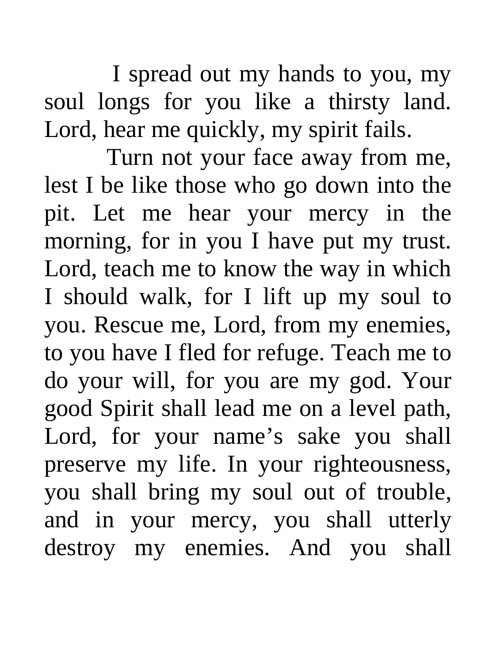I spread out my hands to you, my soul longs for you like a thirsty land. Lord, hear me quickly, my spirit fails.

Turn not your face away from me, lest I be like those who go down into the pit. Let me hear your mercy in the morning, for in you I have put my trust. Lord, teach me to know the way in which I should walk, for I lift up my soul to you. Rescue me, Lord, from my enemies, to you have I fled for refuge. Teach me to do your will, for you are my god. Your good Spirit shall lead me on a level path, Lord, for your name's sake you shall preserve my life. In your righteousness, you shall bring my soul out of trouble, and in your mercy, you shall utterly destroy my enemies. And you shall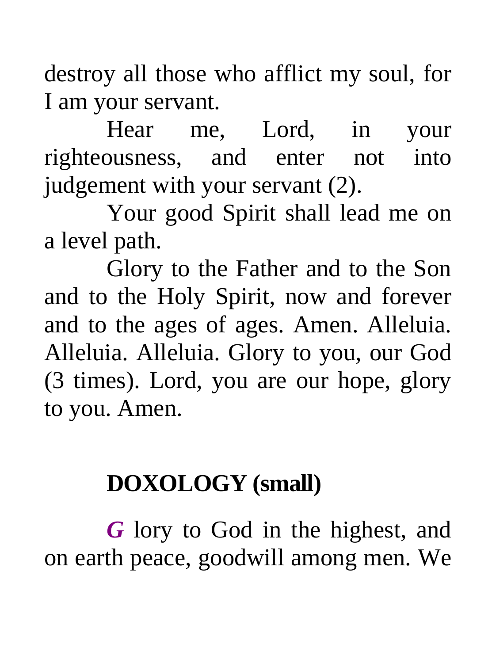destroy all those who afflict my soul, for I am your servant.

Hear me, Lord, in your righteousness, and enter not into judgement with your servant (2).

Your good Spirit shall lead me on a level path.

Glory to the Father and to the Son and to the Holy Spirit, now and forever and to the ages of ages. Amen. Alleluia. Alleluia. Alleluia. Glory to you, our God (3 times). Lord, you are our hope, glory to you. Amen.

### **DOXOLOGY (small)**

*G* lory to God in the highest, and on earth peace, goodwill among men. We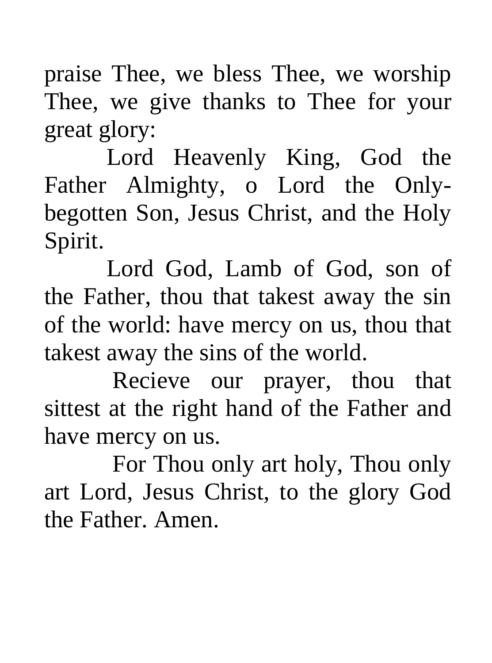praise Thee, we bless Thee, we worship Thee, we give thanks to Thee for your great glory:

Lord Heavenly King, God the Father Almighty, o Lord the Onlybegotten Son, Jesus Christ, and the Holy Spirit.

Lord God, Lamb of God, son of the Father, thou that takest away the sin of the world: have mercy on us, thou that takest away the sins of the world.

 Recieve our prayer, thou that sittest at the right hand of the Father and have mercy on us.

 For Thou only art holy, Thou only art Lord, Jesus Christ, to the glory God the Father. Amen.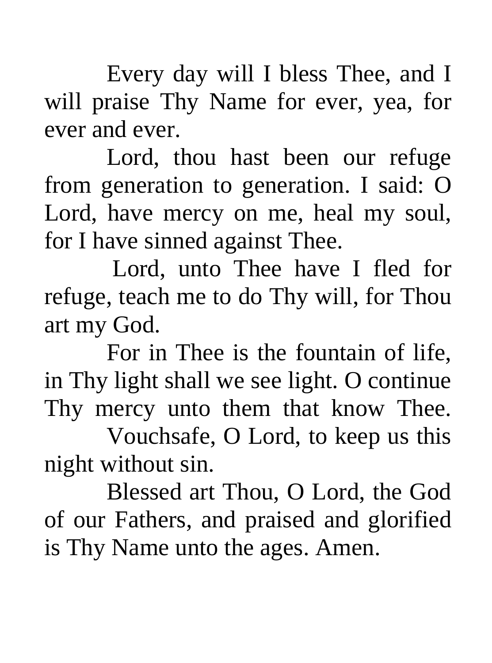Every day will I bless Thee, and I will praise Thy Name for ever, yea, for ever and ever.

 Lord, thou hast been our refuge from generation to generation. I said: O Lord, have mercy on me, heal my soul, for I have sinned against Thee.

 Lord, unto Thee have I fled for refuge, teach me to do Thy will, for Thou art my God.

For in Thee is the fountain of life, in Thy light shall we see light. O continue Thy mercy unto them that know Thee.

 Vouchsafe, O Lord, to keep us this night without sin.

Blessed art Thou, O Lord, the God of our Fathers, and praised and glorified is Thy Name unto the ages. Amen.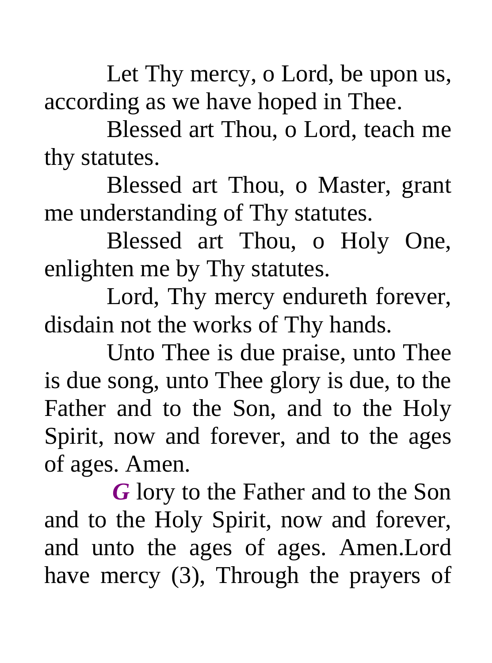Let Thy mercy, o Lord, be upon us, according as we have hoped in Thee.

Blessed art Thou, o Lord, teach me thy statutes.

Blessed art Thou, o Master, grant me understanding of Thy statutes.

Blessed art Thou, o Holy One, enlighten me by Thy statutes.

Lord, Thy mercy endureth forever, disdain not the works of Thy hands.

Unto Thee is due praise, unto Thee is due song, unto Thee glory is due, to the Father and to the Son, and to the Holy Spirit, now and forever, and to the ages of ages. Amen.

 *G* lory to the Father and to the Son and to the Holy Spirit, now and forever, and unto the ages of ages. Amen.Lord have mercy (3), Through the prayers of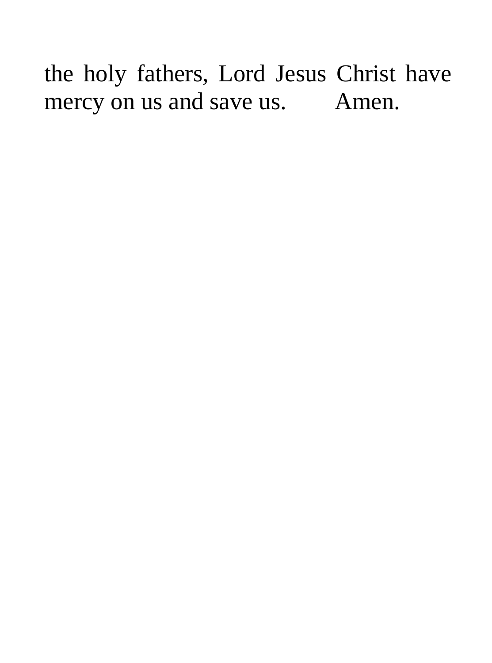the holy fathers, Lord Jesus Christ have mercy on us and save us. Amen.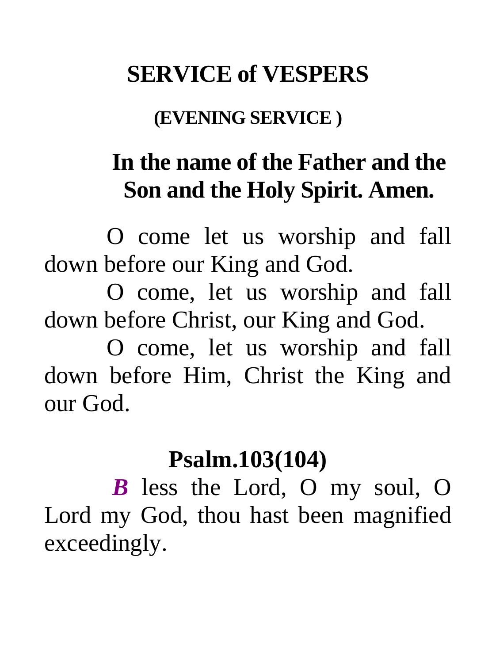### **SERVICE of VESPERS**

#### **(EVENING SERVICE )**

### **In the name of the Father and the Son and the Holy Spirit. Amen.**

O come let us worship and fall down before our King and God.

O come, let us worship and fall down before Christ, our King and God.

O come, let us worship and fall down before Him, Christ the King and our God.

#### **Psalm.103(104)**

*B* less the Lord, O my soul, O Lord my God, thou hast been magnified exceedingly.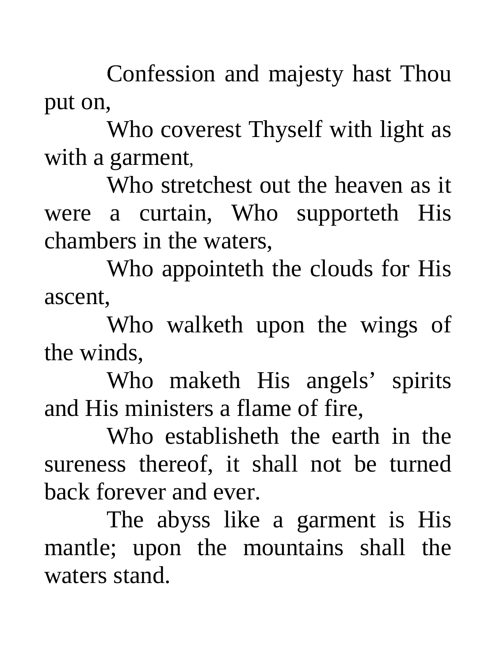Confession and majesty hast Thou put on,

Who coverest Thyself with light as with a garment,

Who stretchest out the heaven as it were a curtain, Who supporteth His chambers in the waters,

Who appointeth the clouds for His ascent,

Who walketh upon the wings of the winds,

Who maketh His angels' spirits and His ministers a flame of fire,

Who establisheth the earth in the sureness thereof, it shall not be turned back forever and ever.

The abyss like a garment is His mantle; upon the mountains shall the waters stand.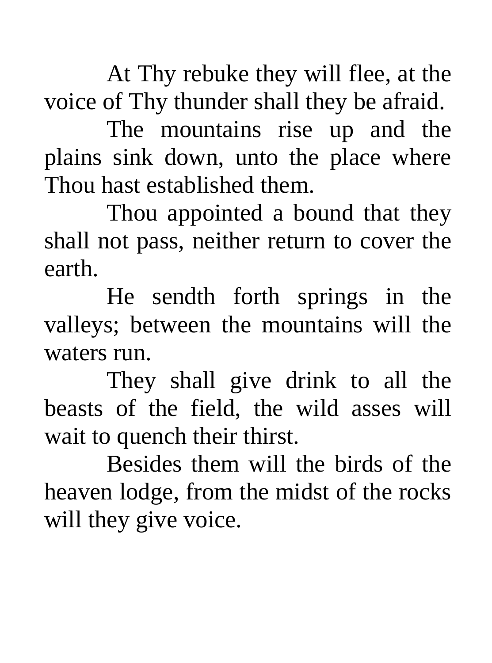At Thy rebuke they will flee, at the voice of Thy thunder shall they be afraid.

The mountains rise up and the plains sink down, unto the place where Thou hast established them.

Thou appointed a bound that they shall not pass, neither return to cover the earth.

He sendth forth springs in the valleys; between the mountains will the waters run.

They shall give drink to all the beasts of the field, the wild asses will wait to quench their thirst.

Besides them will the birds of the heaven lodge, from the midst of the rocks will they give voice.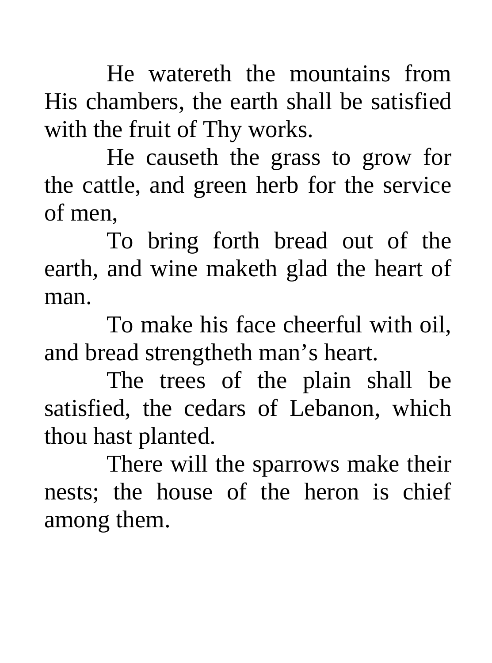He watereth the mountains from His chambers, the earth shall be satisfied with the fruit of Thy works.

He causeth the grass to grow for the cattle, and green herb for the service of men,

To bring forth bread out of the earth, and wine maketh glad the heart of man.

To make his face cheerful with oil, and bread strengtheth man's heart.

The trees of the plain shall be satisfied, the cedars of Lebanon, which thou hast planted.

There will the sparrows make their nests; the house of the heron is chief among them.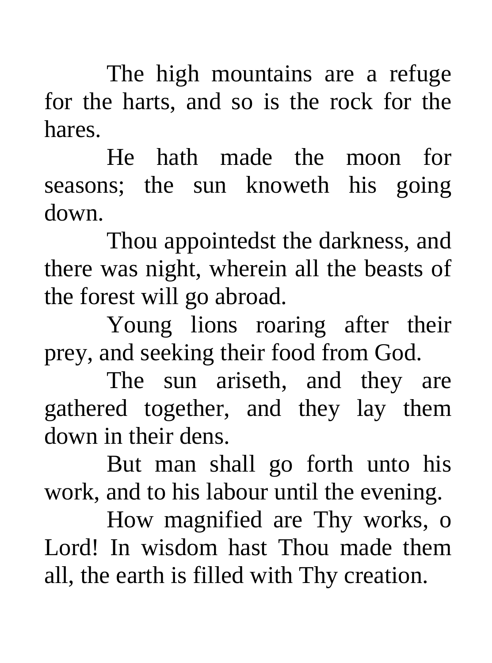The high mountains are a refuge for the harts, and so is the rock for the hares.

He hath made the moon for seasons; the sun knoweth his going down.

Thou appointedst the darkness, and there was night, wherein all the beasts of the forest will go abroad.

Young lions roaring after their prey, and seeking their food from God.

 The sun ariseth, and they are gathered together, and they lay them down in their dens.

But man shall go forth unto his work, and to his labour until the evening.

How magnified are Thy works, o Lord! In wisdom hast Thou made them all, the earth is filled with Thy creation.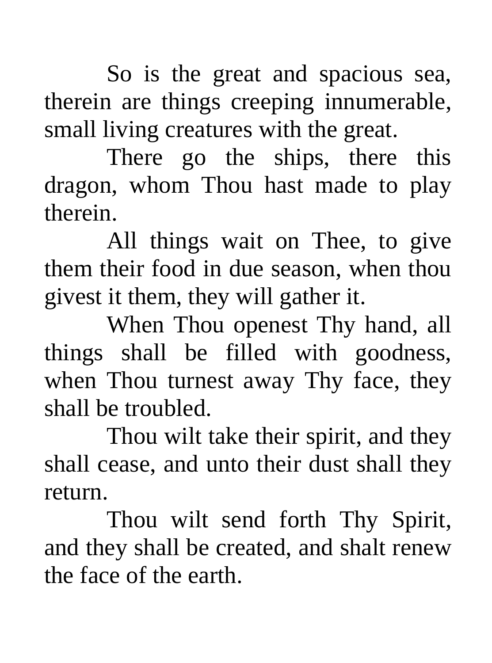So is the great and spacious sea, therein are things creeping innumerable, small living creatures with the great.

There go the ships, there this dragon, whom Thou hast made to play therein.

All things wait on Thee, to give them their food in due season, when thou givest it them, they will gather it.

When Thou openest Thy hand, all things shall be filled with goodness, when Thou turnest away Thy face, they shall be troubled.

Thou wilt take their spirit, and they shall cease, and unto their dust shall they return.

Thou wilt send forth Thy Spirit, and they shall be created, and shalt renew the face of the earth.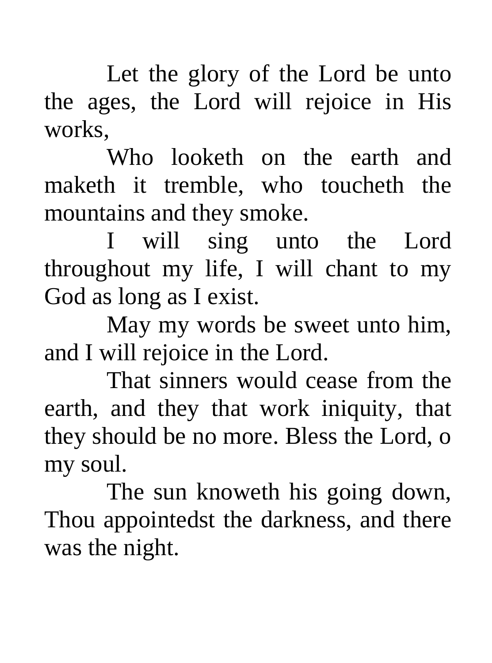Let the glory of the Lord be unto the ages, the Lord will rejoice in His works,

Who looketh on the earth and maketh it tremble, who toucheth the mountains and they smoke.

I will sing unto the Lord throughout my life, I will chant to my God as long as I exist.

May my words be sweet unto him, and I will rejoice in the Lord.

That sinners would cease from the earth, and they that work iniquity, that they should be no more. Bless the Lord, o my soul.

The sun knoweth his going down, Thou appointedst the darkness, and there was the night.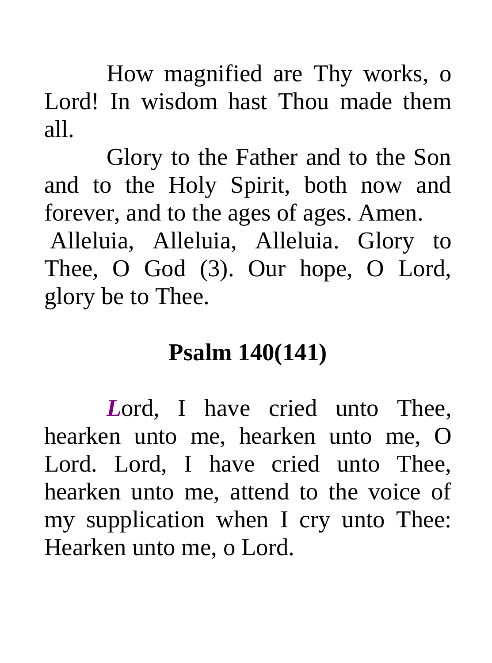How magnified are Thy works, o Lord! In wisdom hast Thou made them all.

Glory to the Father and to the Son and to the Holy Spirit, both now and forever, and to the ages of ages. Amen.

 Alleluia, Alleluia, Alleluia. Glory to Thee, O God (3). Our hope, O Lord, glory be to Thee.

### **Psalm 140(141)**

Lord, I have cried unto Thee, hearken unto me, hearken unto me, O Lord. Lord, I have cried unto Thee, hearken unto me, attend to the voice of my supplication when I cry unto Thee: Hearken unto me, o Lord.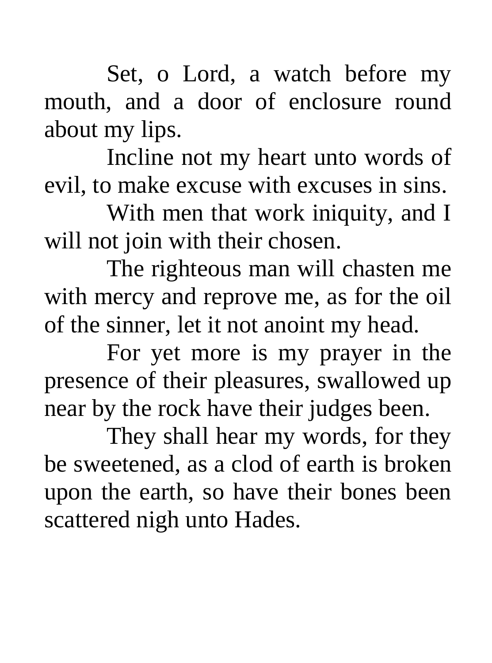Set, o Lord, a watch before my mouth, and a door of enclosure round about my lips.

Incline not my heart unto words of evil, to make excuse with excuses in sins.

With men that work iniquity, and I will not join with their chosen.

The righteous man will chasten me with mercy and reprove me, as for the oil of the sinner, let it not anoint my head.

For yet more is my prayer in the presence of their pleasures, swallowed up near by the rock have their judges been.

They shall hear my words, for they be sweetened, as a clod of earth is broken upon the earth, so have their bones been scattered nigh unto Hades.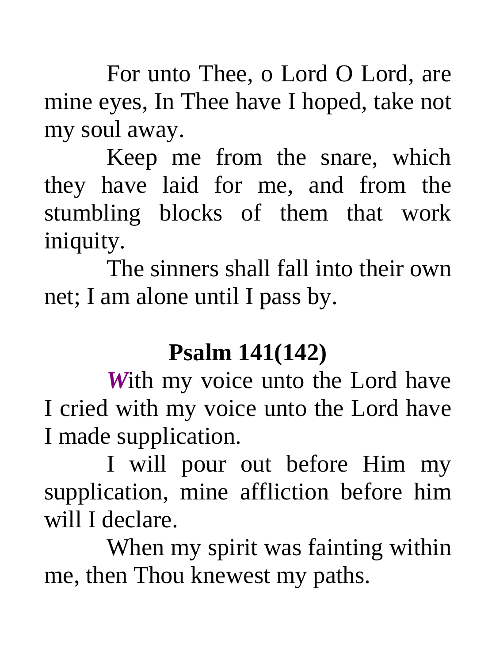For unto Thee, o Lord O Lord, are mine eyes, In Thee have I hoped, take not my soul away.

Keep me from the snare, which they have laid for me, and from the stumbling blocks of them that work iniquity.

The sinners shall fall into their own net; I am alone until I pass by.

### **Psalm 141(142)**

*W*ith my voice unto the Lord have I cried with my voice unto the Lord have I made supplication.

I will pour out before Him my supplication, mine affliction before him will I declare.

When my spirit was fainting within me, then Thou knewest my paths.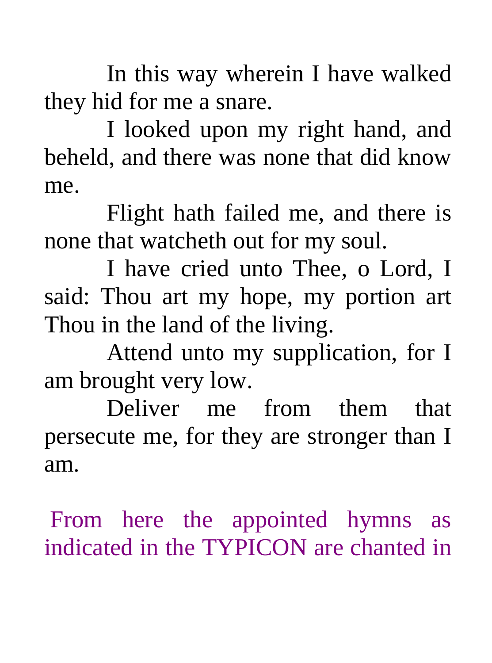In this way wherein I have walked they hid for me a snare.

I looked upon my right hand, and beheld, and there was none that did know me.

Flight hath failed me, and there is none that watcheth out for my soul.

I have cried unto Thee, o Lord, I said: Thou art my hope, my portion art Thou in the land of the living.

Attend unto my supplication, for I am brought very low.

Deliver me from them that persecute me, for they are stronger than I am.

 From here the appointed hymns as indicated in the TYPICON are chanted in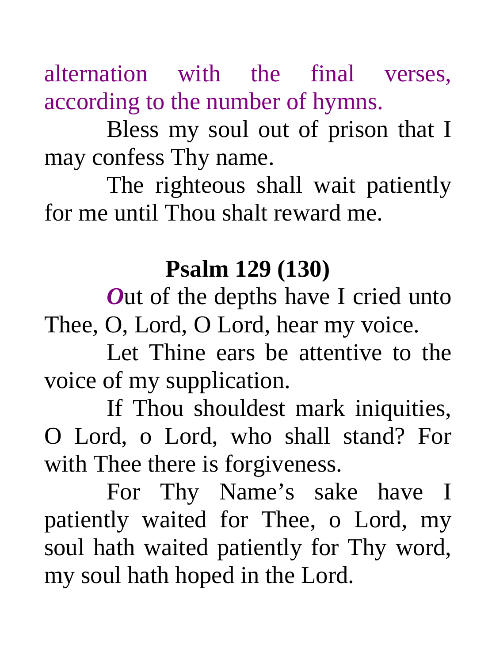alternation with the final verses, according to the number of hymns.

Bless my soul out of prison that I may confess Thy name.

The righteous shall wait patiently for me until Thou shalt reward me.

### **Psalm 129 (130)**

*Out* of the depths have I cried unto Thee, O, Lord, O Lord, hear my voice.

Let Thine ears be attentive to the voice of my supplication.

If Thou shouldest mark iniquities, O Lord, o Lord, who shall stand? For with Thee there is forgiveness.

For Thy Name's sake have I patiently waited for Thee, o Lord, my soul hath waited patiently for Thy word, my soul hath hoped in the Lord.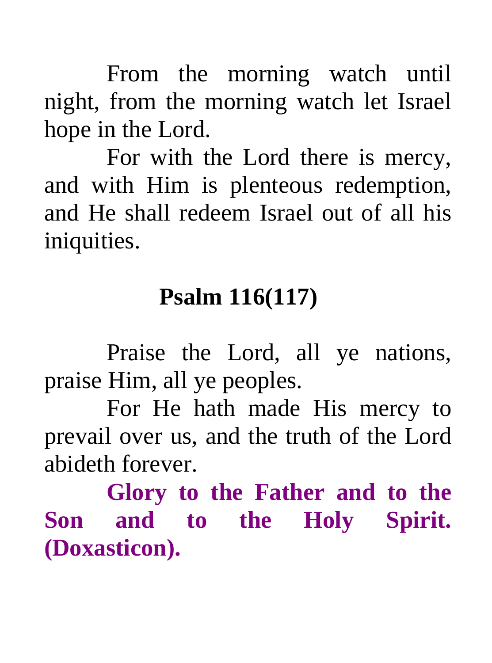From the morning watch until night, from the morning watch let Israel hope in the Lord.

For with the Lord there is mercy, and with Him is plenteous redemption, and He shall redeem Israel out of all his iniquities.

### **Psalm 116(117)**

Praise the Lord, all ye nations, praise Him, all ye peoples.

For He hath made His mercy to prevail over us, and the truth of the Lord abideth forever.

 **Glory to the Father and to the Son and to the Holy Spirit. (Doxasticon).**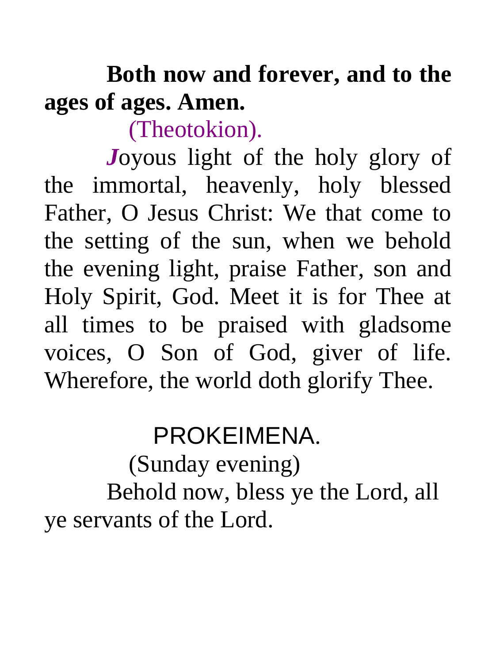# **Both now and forever, and to the ages of ages. Amen.**

(Theotokion).

*J*oyous light of the holy glory of the immortal, heavenly, holy blessed Father, O Jesus Christ: We that come to the setting of the sun, when we behold the evening light, praise Father, son and Holy Spirit, God. Meet it is for Thee at all times to be praised with gladsome voices, O Son of God, giver of life. Wherefore, the world doth glorify Thee.

## PROKEIMENA.

 (Sunday evening) Behold now, bless ye the Lord, all ye servants of the Lord.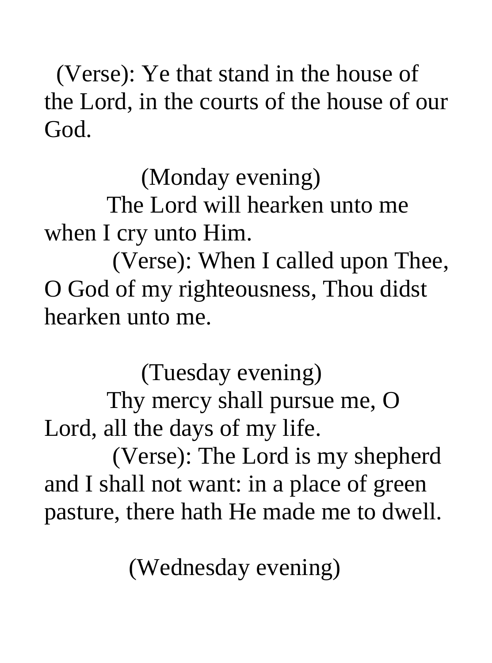(Verse): Ye that stand in the house of the Lord, in the courts of the house of our God.

(Monday evening)

The Lord will hearken unto me when I cry unto Him.

 (Verse): When I called upon Thee, O God of my righteousness, Thou didst hearken unto me.

 (Tuesday evening) Thy mercy shall pursue me, O Lord, all the days of my life.

 (Verse): The Lord is my shepherd and I shall not want: in a place of green pasture, there hath He made me to dwell.

(Wednesday evening)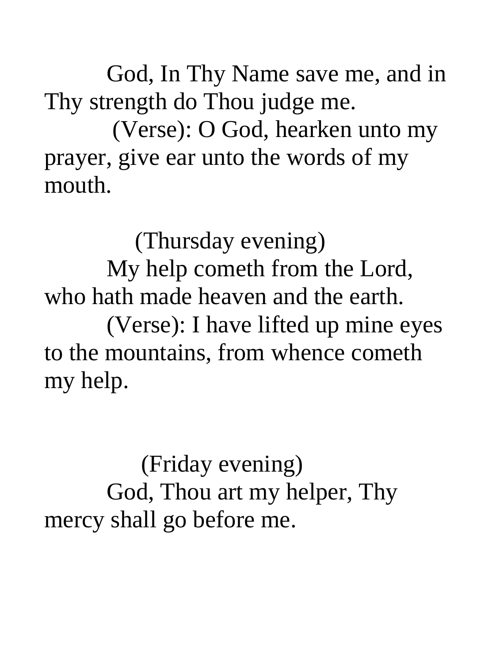God, In Thy Name save me, and in Thy strength do Thou judge me.

 (Verse): O God, hearken unto my prayer, give ear unto the words of my mouth.

 (Thursday evening) My help cometh from the Lord, who hath made heaven and the earth. (Verse): I have lifted up mine eyes to the mountains, from whence cometh my help.

 (Friday evening) God, Thou art my helper, Thy mercy shall go before me.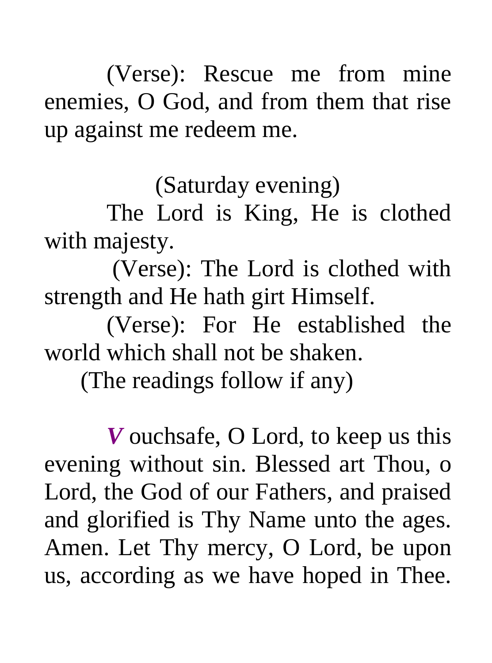(Verse): Rescue me from mine enemies, O God, and from them that rise up against me redeem me.

(Saturday evening)

The Lord is King, He is clothed with majesty.

 (Verse): The Lord is clothed with strength and He hath girt Himself.

(Verse): For He established the world which shall not be shaken.

(The readings follow if any)

*V* ouchsafe, O Lord, to keep us this evening without sin. Blessed art Thou, o Lord, the God of our Fathers, and praised and glorified is Thy Name unto the ages. Amen. Let Thy mercy, O Lord, be upon us, according as we have hoped in Thee.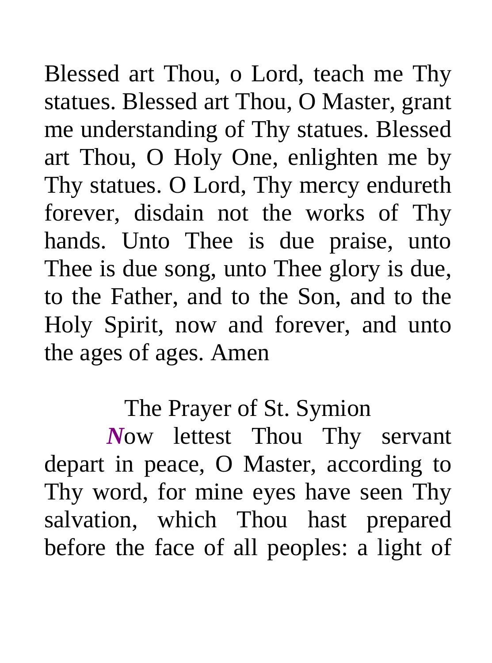Blessed art Thou, o Lord, teach me Thy statues. Blessed art Thou, O Master, grant me understanding of Thy statues. Blessed art Thou, O Holy One, enlighten me by Thy statues. O Lord, Thy mercy endureth forever, disdain not the works of Thy hands. Unto Thee is due praise, unto Thee is due song, unto Thee glory is due, to the Father, and to the Son, and to the Holy Spirit, now and forever, and unto the ages of ages. Amen

#### The Prayer of St. Symion

*N*ow lettest Thou Thy servant depart in peace, O Master, according to Thy word, for mine eyes have seen Thy salvation, which Thou hast prepared before the face of all peoples: a light of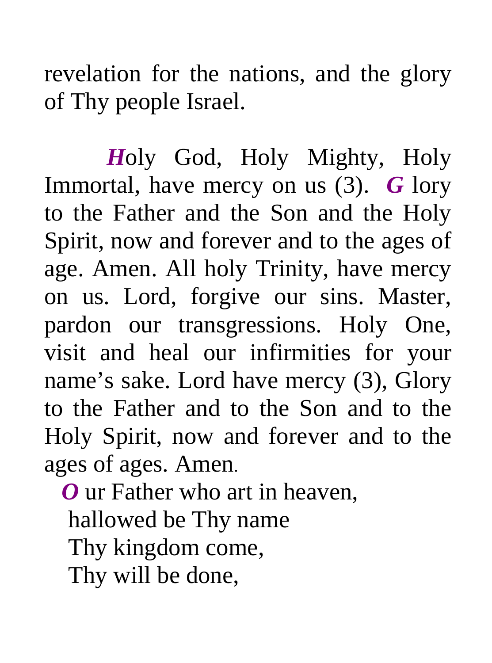revelation for the nations, and the glory of Thy people Israel.

 *H*oly God, Holy Mighty, Holy Immortal, have mercy on us (3). *G* lory to the Father and the Son and the Holy Spirit, now and forever and to the ages of age. Amen. All holy Trinity, have mercy on us. Lord, forgive our sins. Master, pardon our transgressions. Holy One, visit and heal our infirmities for your name's sake. Lord have mercy (3), Glory to the Father and to the Son and to the Holy Spirit, now and forever and to the ages of ages. Amen.

 *O* ur Father who art in heaven, hallowed be Thy name Thy kingdom come, Thy will be done,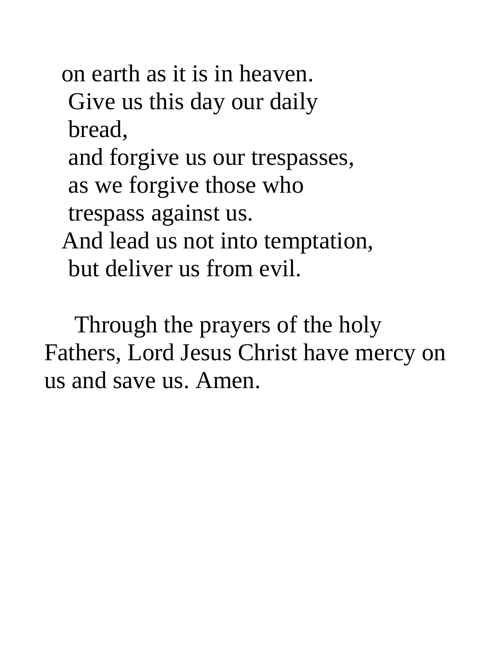on earth as it is in heaven. Give us this day our daily bread, and forgive us our trespasses, as we forgive those who trespass against us. And lead us not into temptation, but deliver us from evil.

 Through the prayers of the holy Fathers, Lord Jesus Christ have mercy on us and save us. Amen.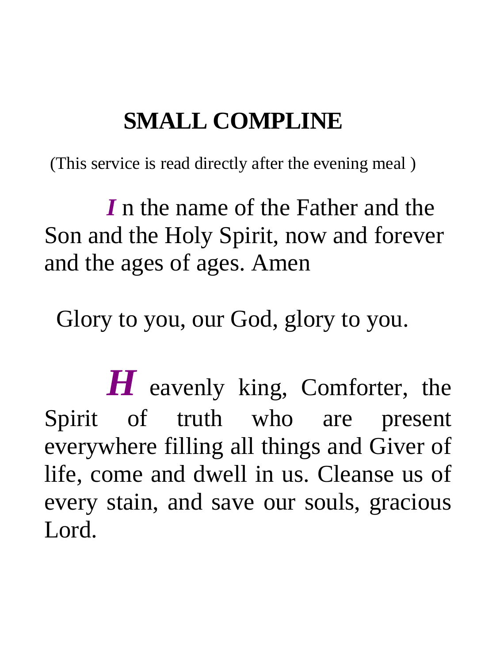### **SMALL COMPLINE**

(This service is read directly after the evening meal )

*I* n the name of the Father and the Son and the Holy Spirit, now and forever and the ages of ages. Amen

Glory to you, our God, glory to you.

 *H* eavenly king, Comforter, the Spirit of truth who are present everywhere filling all things and Giver of life, come and dwell in us. Cleanse us of every stain, and save our souls, gracious L<sub>ord</sub>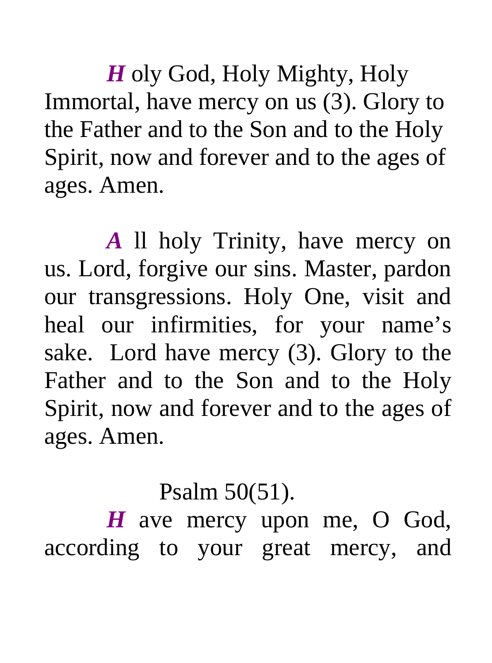*H* oly God, Holy Mighty, Holy Immortal, have mercy on us (3). Glory to the Father and to the Son and to the Holy Spirit, now and forever and to the ages of ages. Amen.

*A* ll holy Trinity, have mercy on us. Lord, forgive our sins. Master, pardon our transgressions. Holy One, visit and heal our infirmities, for your name's sake. Lord have mercy (3). Glory to the Father and to the Son and to the Holy Spirit, now and forever and to the ages of ages. Amen.

### Psalm 50(51).

*H* ave mercy upon me, O God, according to your great mercy, and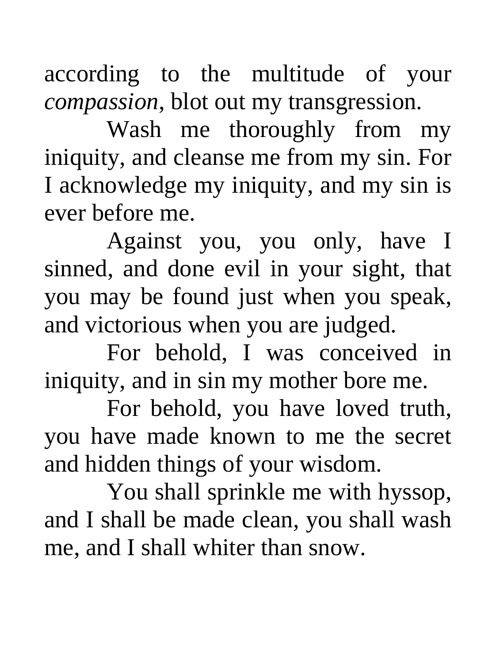according to the multitude of your *compassion*, blot out my transgression.

Wash me thoroughly from my iniquity, and cleanse me from my sin. For I acknowledge my iniquity, and my sin is ever before me.

Against you, you only, have I sinned, and done evil in your sight, that you may be found just when you speak, and victorious when you are judged.

For behold, I was conceived in iniquity, and in sin my mother bore me.

For behold, you have loved truth, you have made known to me the secret and hidden things of your wisdom.

You shall sprinkle me with hyssop, and I shall be made clean, you shall wash me, and I shall whiter than snow.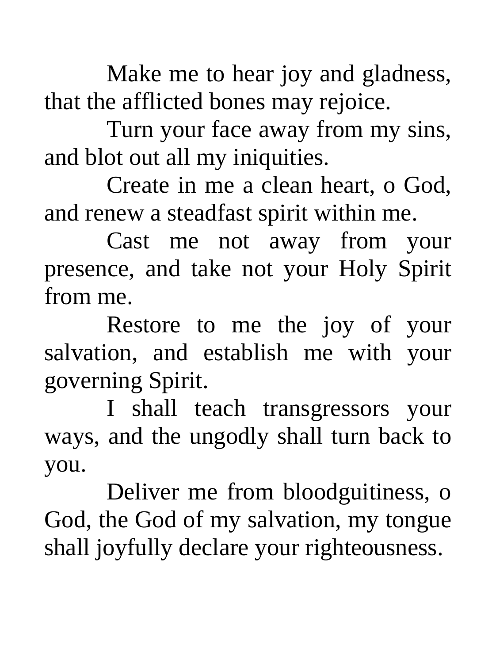Make me to hear joy and gladness, that the afflicted bones may rejoice.

Turn your face away from my sins, and blot out all my iniquities.

Create in me a clean heart, o God, and renew a steadfast spirit within me.

Cast me not away from your presence, and take not your Holy Spirit from me.

Restore to me the joy of your salvation, and establish me with your governing Spirit.

I shall teach transgressors your ways, and the ungodly shall turn back to you.

Deliver me from bloodguitiness, o God, the God of my salvation, my tongue shall joyfully declare your righteousness.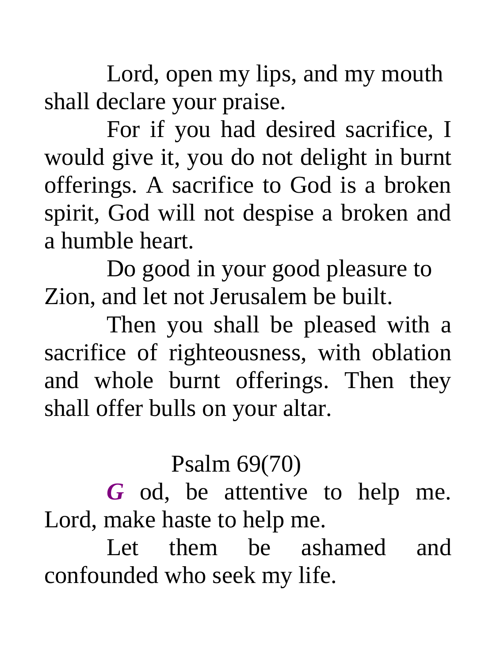Lord, open my lips, and my mouth shall declare your praise.

For if you had desired sacrifice, I would give it, you do not delight in burnt offerings. A sacrifice to God is a broken spirit, God will not despise a broken and a humble heart.

Do good in your good pleasure to Zion, and let not Jerusalem be built.

Then you shall be pleased with a sacrifice of righteousness, with oblation and whole burnt offerings. Then they shall offer bulls on your altar.

#### Psalm 69(70)

*G* od, be attentive to help me. Lord, make haste to help me.

Let them be ashamed and confounded who seek my life.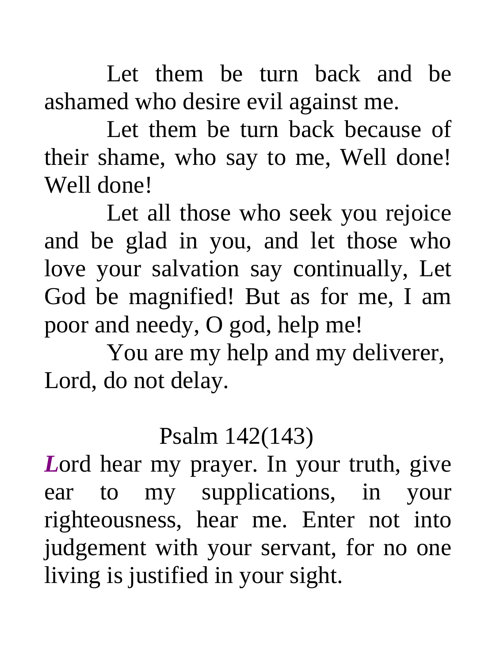Let them be turn back and be ashamed who desire evil against me.

Let them be turn back because of their shame, who say to me, Well done! Well done!

Let all those who seek you rejoice and be glad in you, and let those who love your salvation say continually, Let God be magnified! But as for me, I am poor and needy, O god, help me!

You are my help and my deliverer, Lord, do not delay.

#### Psalm 142(143)

*L*ord hear my prayer. In your truth, give ear to my supplications, in your righteousness, hear me. Enter not into judgement with your servant, for no one living is justified in your sight.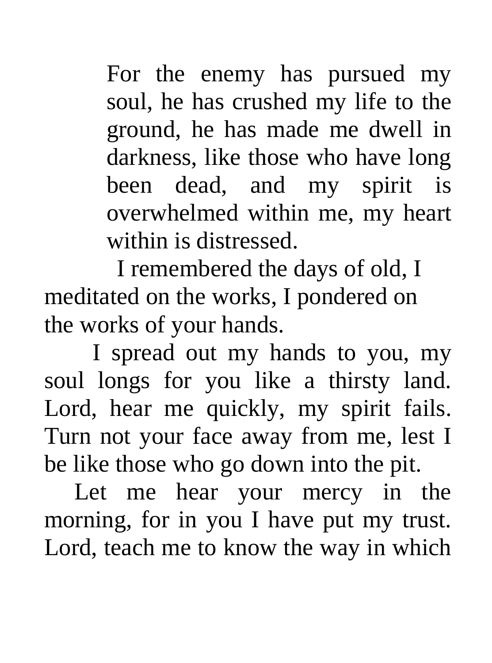For the enemy has pursued my soul, he has crushed my life to the ground, he has made me dwell in darkness, like those who have long been dead, and my spirit is overwhelmed within me, my heart within is distressed.

 I remembered the days of old, I meditated on the works, I pondered on the works of your hands.

 I spread out my hands to you, my soul longs for you like a thirsty land. Lord, hear me quickly, my spirit fails. Turn not your face away from me, lest I be like those who go down into the pit.

 Let me hear your mercy in the morning, for in you I have put my trust. Lord, teach me to know the way in which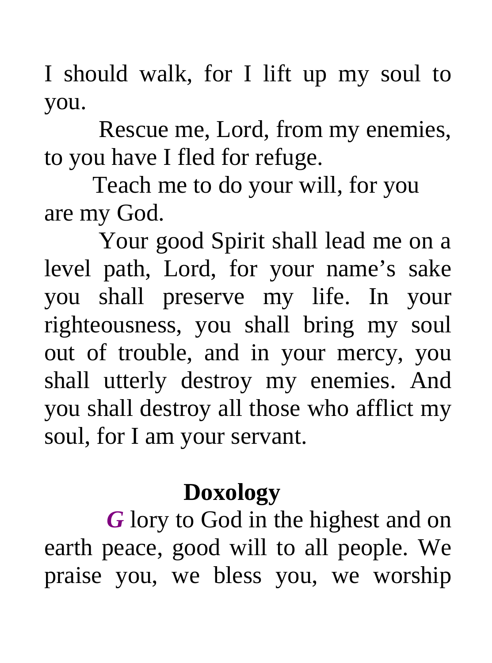I should walk, for I lift up my soul to you.

 Rescue me, Lord, from my enemies, to you have I fled for refuge.

 Teach me to do your will, for you are my God.

 Your good Spirit shall lead me on a level path, Lord, for your name's sake you shall preserve my life. In your righteousness, you shall bring my soul out of trouble, and in your mercy, you shall utterly destroy my enemies. And you shall destroy all those who afflict my soul, for I am your servant.

### **Doxology**

*G* lory to God in the highest and on earth peace, good will to all people. We praise you, we bless you, we worship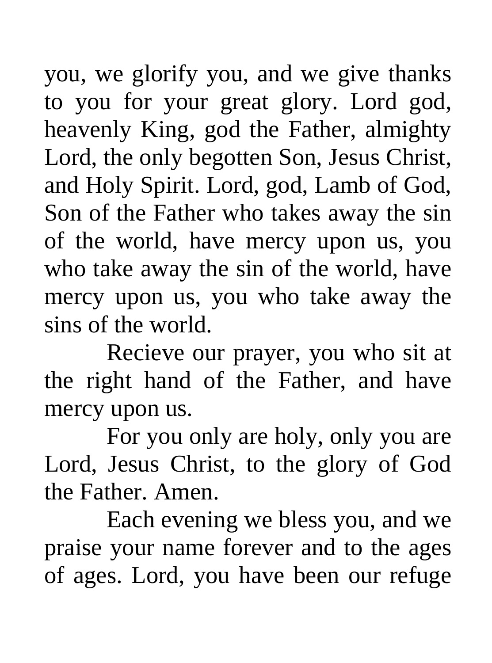you, we glorify you, and we give thanks to you for your great glory. Lord god, heavenly King, god the Father, almighty Lord, the only begotten Son, Jesus Christ, and Holy Spirit. Lord, god, Lamb of God, Son of the Father who takes away the sin of the world, have mercy upon us, you who take away the sin of the world, have mercy upon us, you who take away the sins of the world.

Recieve our prayer, you who sit at the right hand of the Father, and have mercy upon us.

For you only are holy, only you are Lord, Jesus Christ, to the glory of God the Father. Amen.

Each evening we bless you, and we praise your name forever and to the ages of ages. Lord, you have been our refuge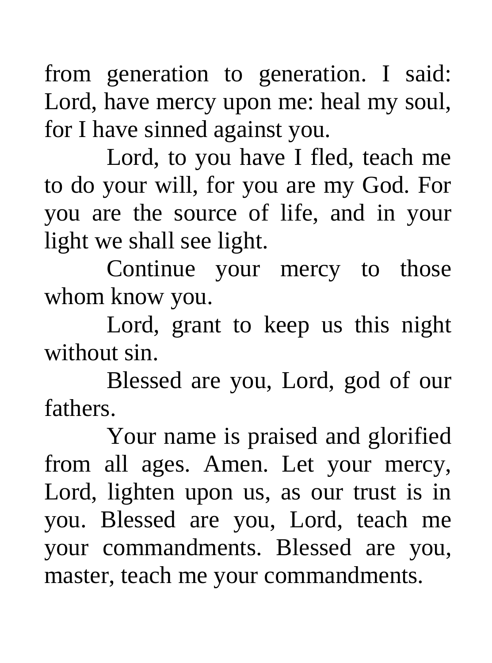from generation to generation. I said: Lord, have mercy upon me: heal my soul, for I have sinned against you.

Lord, to you have I fled, teach me to do your will, for you are my God. For you are the source of life, and in your light we shall see light.

Continue your mercy to those whom know you.

Lord, grant to keep us this night without sin.

Blessed are you, Lord, god of our fathers.

Your name is praised and glorified from all ages. Amen. Let your mercy, Lord, lighten upon us, as our trust is in you. Blessed are you, Lord, teach me your commandments. Blessed are you, master, teach me your commandments.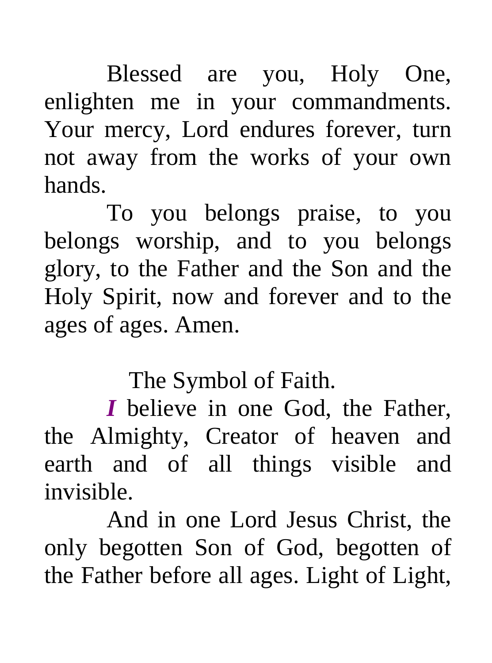Blessed are you, Holy One, enlighten me in your commandments. Your mercy, Lord endures forever, turn not away from the works of your own hands.

To you belongs praise, to you belongs worship, and to you belongs glory, to the Father and the Son and the Holy Spirit, now and forever and to the ages of ages. Amen.

The Symbol of Faith.

*I* believe in one God, the Father, the Almighty, Creator of heaven and earth and of all things visible and invisible.

And in one Lord Jesus Christ, the only begotten Son of God, begotten of the Father before all ages. Light of Light,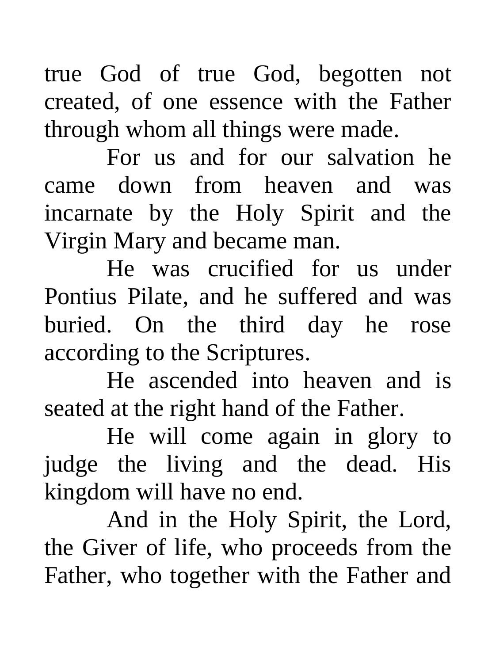true God of true God, begotten not created, of one essence with the Father through whom all things were made.

For us and for our salvation he came down from heaven and was incarnate by the Holy Spirit and the Virgin Mary and became man.

He was crucified for us under Pontius Pilate, and he suffered and was buried. On the third day he rose according to the Scriptures.

He ascended into heaven and is seated at the right hand of the Father.

He will come again in glory to judge the living and the dead. His kingdom will have no end.

And in the Holy Spirit, the Lord, the Giver of life, who proceeds from the Father, who together with the Father and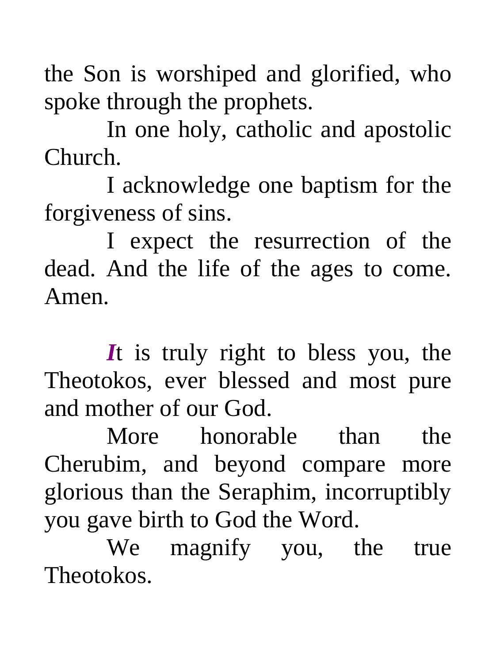the Son is worshiped and glorified, who spoke through the prophets.

In one holy, catholic and apostolic Church.

I acknowledge one baptism for the forgiveness of sins.

I expect the resurrection of the dead. And the life of the ages to come. Amen.

*I*t is truly right to bless you, the Theotokos, ever blessed and most pure and mother of our God.

More honorable than the Cherubim, and beyond compare more glorious than the Seraphim, incorruptibly you gave birth to God the Word.

We magnify you, the true Theotokos.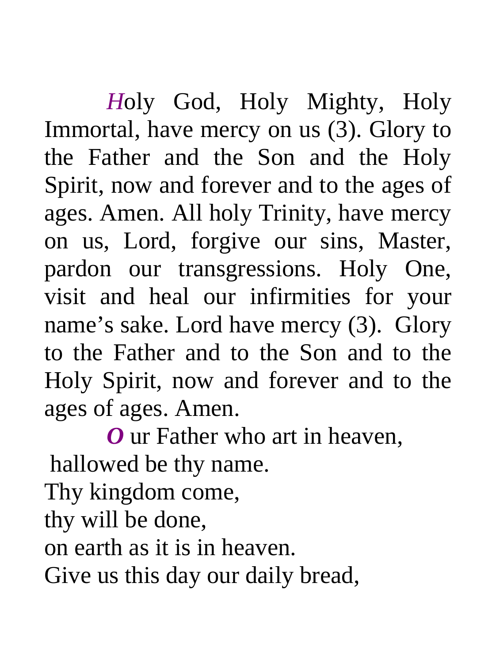*H*oly God, Holy Mighty, Holy Immortal, have mercy on us (3). Glory to the Father and the Son and the Holy Spirit, now and forever and to the ages of ages. Amen. All holy Trinity, have mercy on us, Lord, forgive our sins, Master, pardon our transgressions. Holy One, visit and heal our infirmities for your name's sake. Lord have mercy (3). Glory to the Father and to the Son and to the Holy Spirit, now and forever and to the ages of ages. Amen.

*O* ur Father who art in heaven, hallowed be thy name. Thy kingdom come, thy will be done, on earth as it is in heaven. Give us this day our daily bread,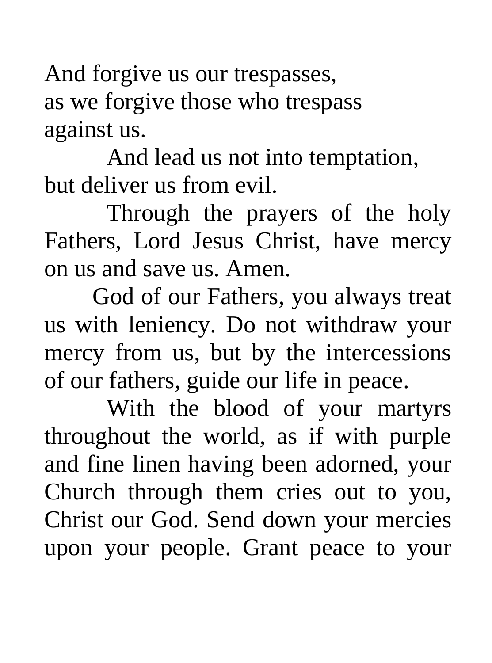And forgive us our trespasses, as we forgive those who trespass against us.

And lead us not into temptation, but deliver us from evil.

Through the prayers of the holy Fathers, Lord Jesus Christ, have mercy on us and save us. Amen.

 God of our Fathers, you always treat us with leniency. Do not withdraw your mercy from us, but by the intercessions of our fathers, guide our life in peace.

With the blood of your martyrs throughout the world, as if with purple and fine linen having been adorned, your Church through them cries out to you, Christ our God. Send down your mercies upon your people. Grant peace to your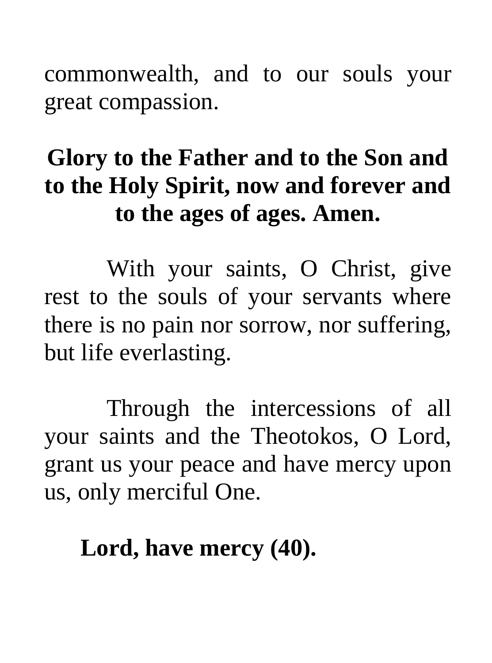commonwealth, and to our souls your great compassion.

# **Glory to the Father and to the Son and to the Holy Spirit, now and forever and to the ages of ages. Amen.**

With your saints, O Christ, give rest to the souls of your servants where there is no pain nor sorrow, nor suffering, but life everlasting.

Through the intercessions of all your saints and the Theotokos, O Lord, grant us your peace and have mercy upon us, only merciful One.

## **Lord, have mercy (40).**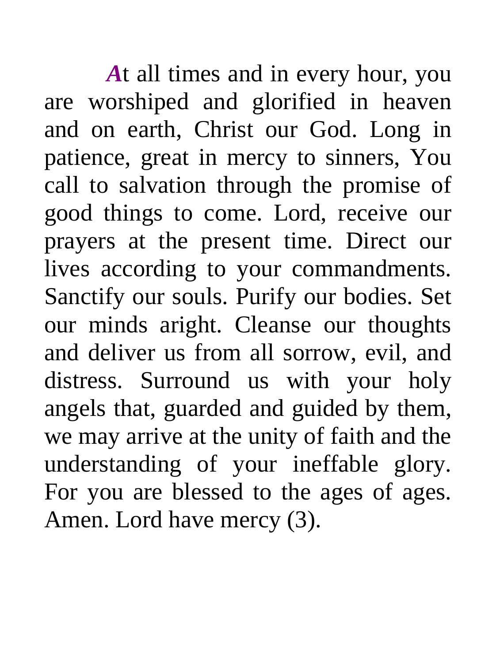*A*t all times and in every hour, you are worshiped and glorified in heaven and on earth, Christ our God. Long in patience, great in mercy to sinners, You call to salvation through the promise of good things to come. Lord, receive our prayers at the present time. Direct our lives according to your commandments. Sanctify our souls. Purify our bodies. Set our minds aright. Cleanse our thoughts and deliver us from all sorrow, evil, and distress. Surround us with your holy angels that, guarded and guided by them, we may arrive at the unity of faith and the understanding of your ineffable glory. For you are blessed to the ages of ages. Amen. Lord have mercy (3).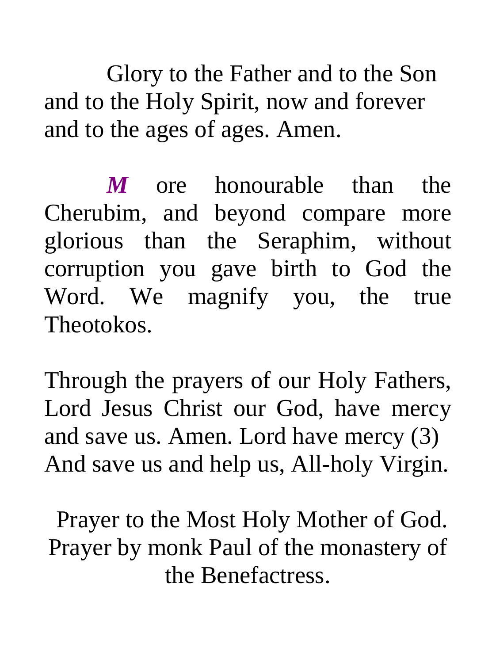Glory to the Father and to the Son and to the Holy Spirit, now and forever and to the ages of ages. Amen.

*M* ore honourable than the Cherubim, and beyond compare more glorious than the Seraphim, without corruption you gave birth to God the Word. We magnify you, the true Theotokos.

Through the prayers of our Holy Fathers, Lord Jesus Christ our God, have mercy and save us. Amen. Lord have mercy (3) And save us and help us, All-holy Virgin.

 Prayer to the Most Holy Mother of God. Prayer by monk Paul of the monastery of the Benefactress.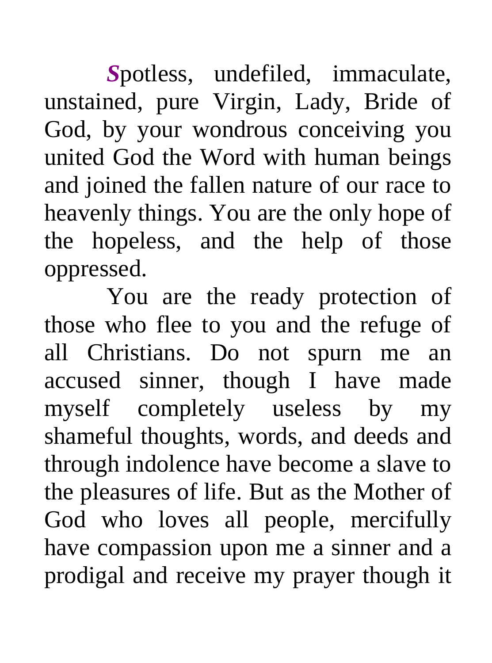*S*potless, undefiled, immaculate, unstained, pure Virgin, Lady, Bride of God, by your wondrous conceiving you united God the Word with human beings and joined the fallen nature of our race to heavenly things. You are the only hope of the hopeless, and the help of those oppressed.

You are the ready protection of those who flee to you and the refuge of all Christians. Do not spurn me an accused sinner, though I have made myself completely useless by my shameful thoughts, words, and deeds and through indolence have become a slave to the pleasures of life. But as the Mother of God who loves all people, mercifully have compassion upon me a sinner and a prodigal and receive my prayer though it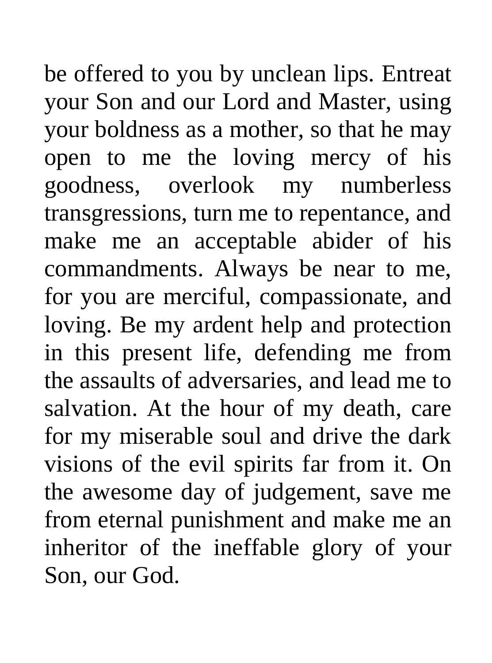be offered to you by unclean lips. Entreat your Son and our Lord and Master, using your boldness as a mother, so that he may open to me the loving mercy of his goodness, overlook my numberless transgressions, turn me to repentance, and make me an acceptable abider of his commandments. Always be near to me, for you are merciful, compassionate, and loving. Be my ardent help and protection in this present life, defending me from the assaults of adversaries, and lead me to salvation. At the hour of my death, care for my miserable soul and drive the dark visions of the evil spirits far from it. On the awesome day of judgement, save me from eternal punishment and make me an inheritor of the ineffable glory of your Son, our God.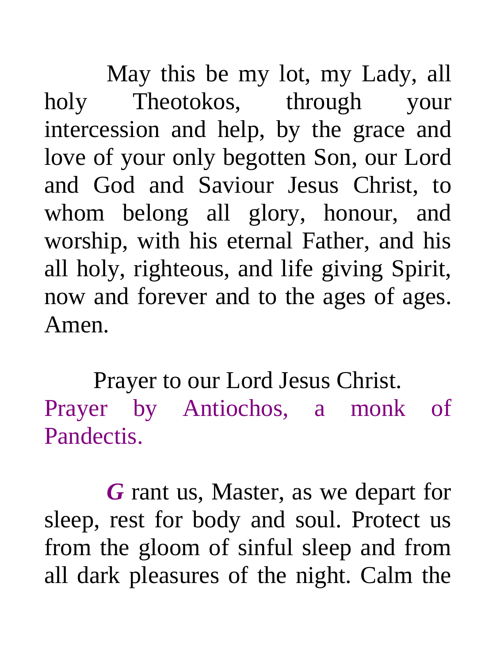May this be my lot, my Lady, all holy Theotokos, through your intercession and help, by the grace and love of your only begotten Son, our Lord and God and Saviour Jesus Christ, to whom belong all glory, honour, and worship, with his eternal Father, and his all holy, righteous, and life giving Spirit, now and forever and to the ages of ages. Amen.

Prayer to our Lord Jesus Christ. Prayer by Antiochos, a monk of Pandectis.

*G* rant us, Master, as we depart for sleep, rest for body and soul. Protect us from the gloom of sinful sleep and from all dark pleasures of the night. Calm the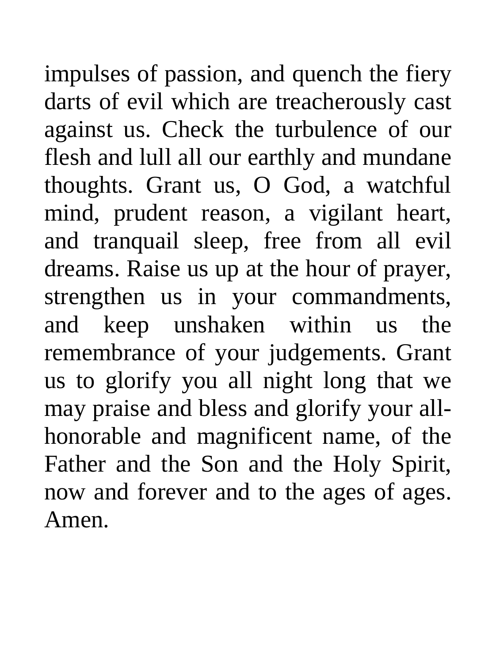impulses of passion, and quench the fiery darts of evil which are treacherously cast against us. Check the turbulence of our flesh and lull all our earthly and mundane thoughts. Grant us, O God, a watchful mind, prudent reason, a vigilant heart, and tranquail sleep, free from all evil dreams. Raise us up at the hour of prayer, strengthen us in your commandments, and keep unshaken within us the remembrance of your judgements. Grant us to glorify you all night long that we may praise and bless and glorify your allhonorable and magnificent name, of the Father and the Son and the Holy Spirit, now and forever and to the ages of ages. Amen.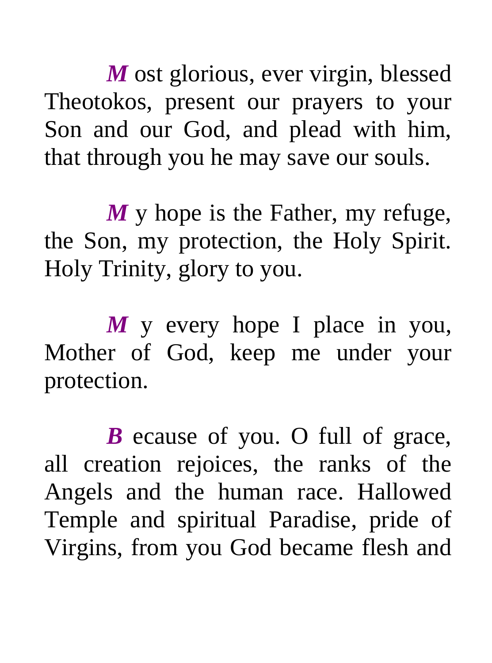*M* ost glorious, ever virgin, blessed Theotokos, present our prayers to your Son and our God, and plead with him, that through you he may save our souls.

*M* y hope is the Father, my refuge, the Son, my protection, the Holy Spirit. Holy Trinity, glory to you.

*M* y every hope I place in you, Mother of God, keep me under your protection.

*B* ecause of you. O full of grace, all creation rejoices, the ranks of the Angels and the human race. Hallowed Temple and spiritual Paradise, pride of Virgins, from you God became flesh and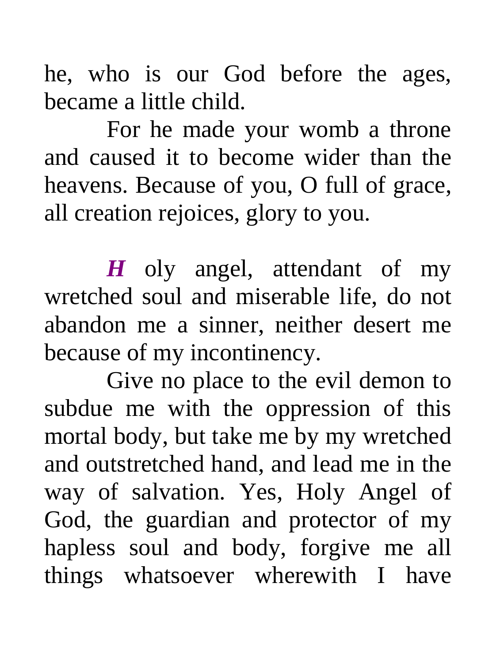he, who is our God before the ages, became a little child.

For he made your womb a throne and caused it to become wider than the heavens. Because of you, O full of grace, all creation rejoices, glory to you.

*H* oly angel, attendant of my wretched soul and miserable life, do not abandon me a sinner, neither desert me because of my incontinency.

Give no place to the evil demon to subdue me with the oppression of this mortal body, but take me by my wretched and outstretched hand, and lead me in the way of salvation. Yes, Holy Angel of God, the guardian and protector of my hapless soul and body, forgive me all things whatsoever wherewith I have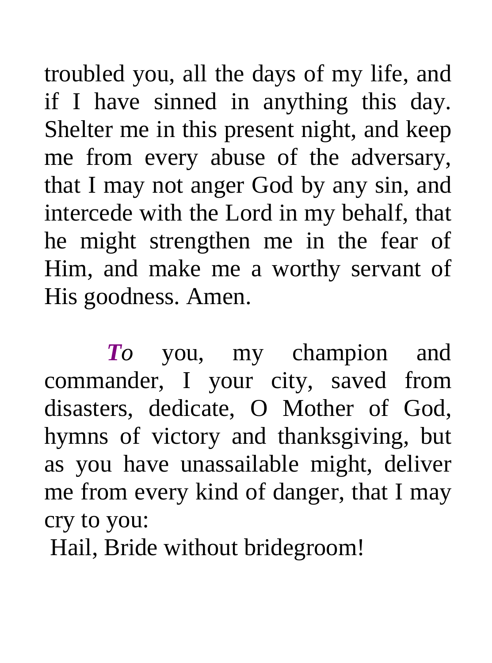troubled you, all the days of my life, and if I have sinned in anything this day. Shelter me in this present night, and keep me from every abuse of the adversary, that I may not anger God by any sin, and intercede with the Lord in my behalf, that he might strengthen me in the fear of Him, and make me a worthy servant of His goodness. Amen.

*To* you, my champion and commander, I your city, saved from disasters, dedicate, O Mother of God, hymns of victory and thanksgiving, but as you have unassailable might, deliver me from every kind of danger, that I may cry to you:

Hail, Bride without bridegroom!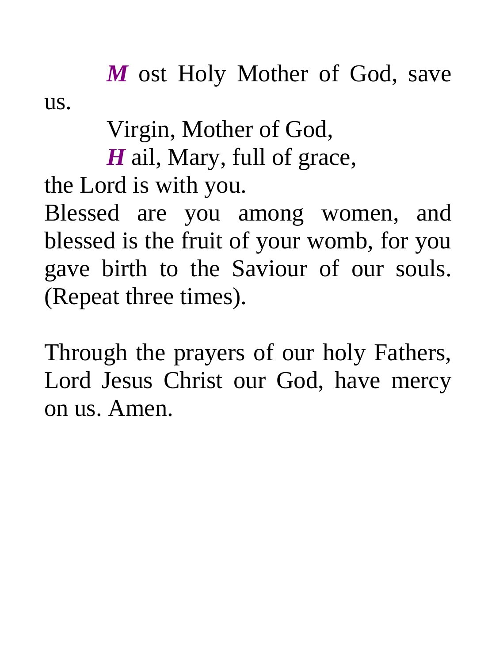*M* ost Holy Mother of God, save us.

Virgin, Mother of God,

*H* ail, Mary, full of grace,

the Lord is with you.

Blessed are you among women, and blessed is the fruit of your womb, for you gave birth to the Saviour of our souls. (Repeat three times).

Through the prayers of our holy Fathers, Lord Jesus Christ our God, have mercy on us. Amen.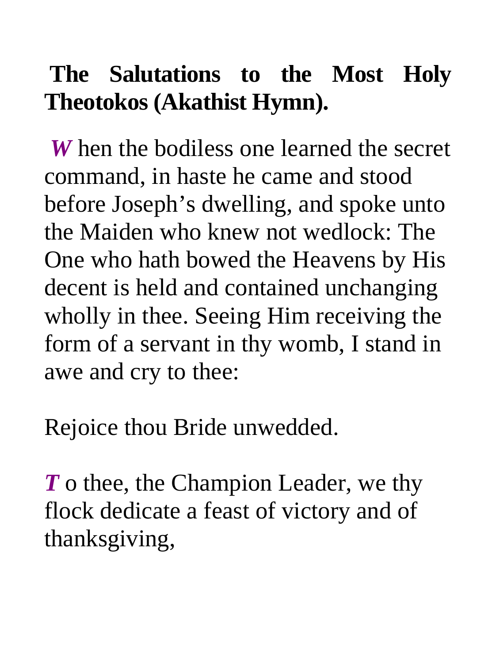# **The Salutations to the Most Holy Theotokos (Akathist Hymn).**

*W* hen the bodiless one learned the secret command, in haste he came and stood before Joseph's dwelling, and spoke unto the Maiden who knew not wedlock: The One who hath bowed the Heavens by His decent is held and contained unchanging wholly in thee. Seeing Him receiving the form of a servant in thy womb, I stand in awe and cry to thee:

Rejoice thou Bride unwedded.

*T* o thee, the Champion Leader, we thy flock dedicate a feast of victory and of thanksgiving,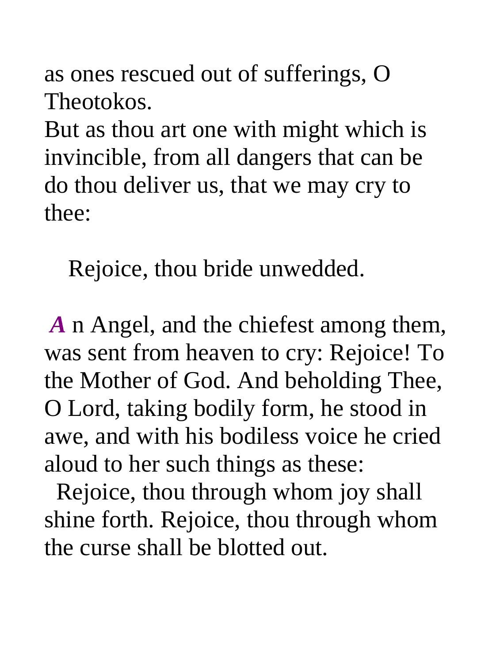as ones rescued out of sufferings, O Theotokos.

But as thou art one with might which is invincible, from all dangers that can be do thou deliver us, that we may cry to thee:

Rejoice, thou bride unwedded.

*A* n Angel, and the chiefest among them, was sent from heaven to cry: Rejoice! To the Mother of God. And beholding Thee, O Lord, taking bodily form, he stood in awe, and with his bodiless voice he cried aloud to her such things as these:

 Rejoice, thou through whom joy shall shine forth. Rejoice, thou through whom the curse shall be blotted out.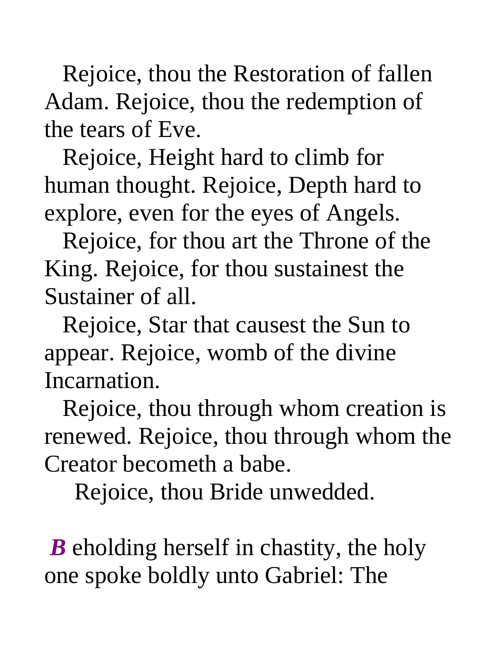Rejoice, thou the Restoration of fallen Adam. Rejoice, thou the redemption of the tears of Eve.

 Rejoice, Height hard to climb for human thought. Rejoice, Depth hard to explore, even for the eyes of Angels.

 Rejoice, for thou art the Throne of the King. Rejoice, for thou sustainest the Sustainer of all.

 Rejoice, Star that causest the Sun to appear. Rejoice, womb of the divine Incarnation.

 Rejoice, thou through whom creation is renewed. Rejoice, thou through whom the Creator becometh a babe.

Rejoice, thou Bride unwedded.

*B* eholding herself in chastity, the holy one spoke boldly unto Gabriel: The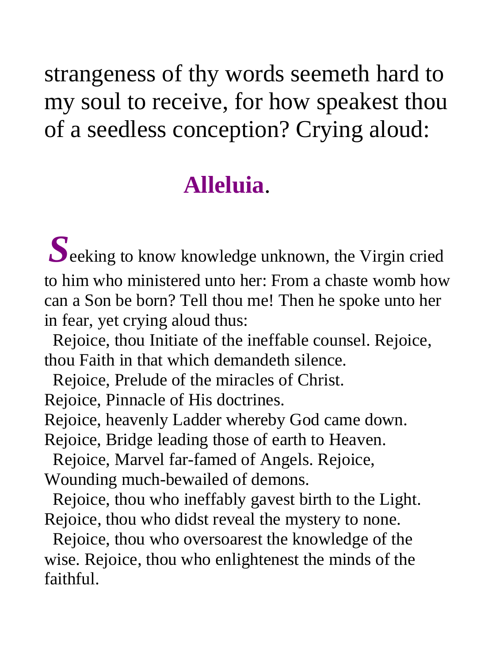strangeness of thy words seemeth hard to my soul to receive, for how speakest thou of a seedless conception? Crying aloud:

## **Alleluia**.

 $S_{\text{eeking}}$  to know knowledge unknown, the Virgin cried to him who ministered unto her: From a chaste womb how can a Son be born? Tell thou me! Then he spoke unto her in fear, yet crying aloud thus:

 Rejoice, thou Initiate of the ineffable counsel. Rejoice, thou Faith in that which demandeth silence.

Rejoice, Prelude of the miracles of Christ.

Rejoice, Pinnacle of His doctrines.

Rejoice, heavenly Ladder whereby God came down.

Rejoice, Bridge leading those of earth to Heaven.

 Rejoice, Marvel far-famed of Angels. Rejoice, Wounding much-bewailed of demons.

 Rejoice, thou who ineffably gavest birth to the Light. Rejoice, thou who didst reveal the mystery to none.

 Rejoice, thou who oversoarest the knowledge of the wise. Rejoice, thou who enlightenest the minds of the faithful.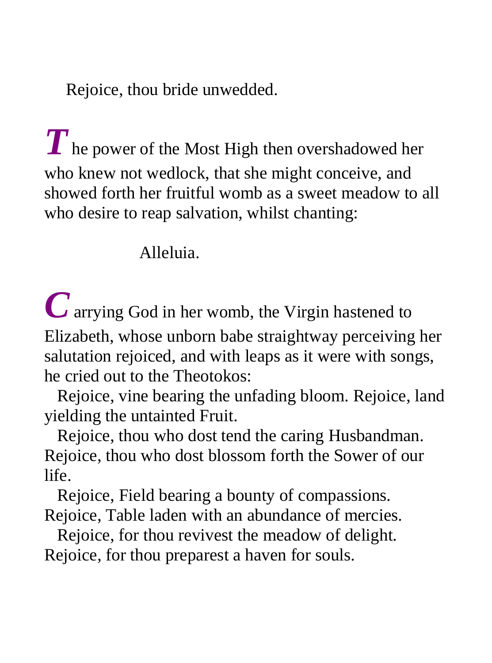Rejoice, thou bride unwedded.

 $\boldsymbol{T}$  he power of the Most High then overshadowed her who knew not wedlock, that she might conceive, and showed forth her fruitful womb as a sweet meadow to all who desire to reap salvation, whilst chanting:

Alleluia.

*C* arrying God in her womb, the Virgin hastened to Elizabeth, whose unborn babe straightway perceiving her salutation rejoiced, and with leaps as it were with songs, he cried out to the Theotokos:

 Rejoice, vine bearing the unfading bloom. Rejoice, land yielding the untainted Fruit.

 Rejoice, thou who dost tend the caring Husbandman. Rejoice, thou who dost blossom forth the Sower of our life.

 Rejoice, Field bearing a bounty of compassions. Rejoice, Table laden with an abundance of mercies.

 Rejoice, for thou revivest the meadow of delight. Rejoice, for thou preparest a haven for souls.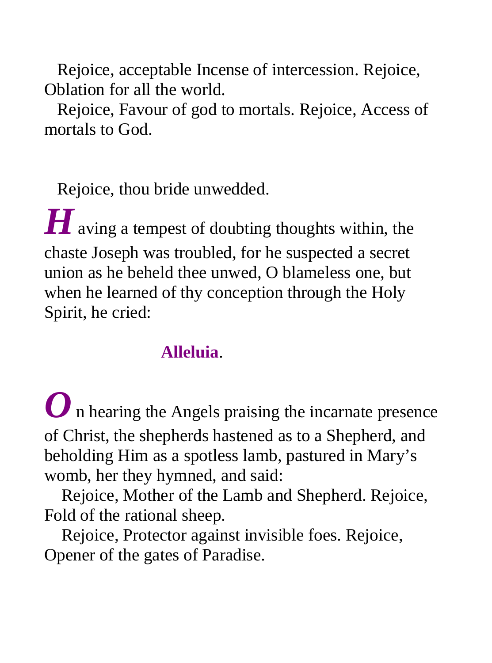Rejoice, acceptable Incense of intercession. Rejoice, Oblation for all the world.

 Rejoice, Favour of god to mortals. Rejoice, Access of mortals to God.

Rejoice, thou bride unwedded.

*H* aving a tempest of doubting thoughts within, the chaste Joseph was troubled, for he suspected a secret union as he beheld thee unwed, O blameless one, but when he learned of thy conception through the Holy Spirit, he cried:

### **Alleluia**.

*O* n hearing the Angels praising the incarnate presence of Christ, the shepherds hastened as to a Shepherd, and beholding Him as a spotless lamb, pastured in Mary's womb, her they hymned, and said:

 Rejoice, Mother of the Lamb and Shepherd. Rejoice, Fold of the rational sheep.

 Rejoice, Protector against invisible foes. Rejoice, Opener of the gates of Paradise.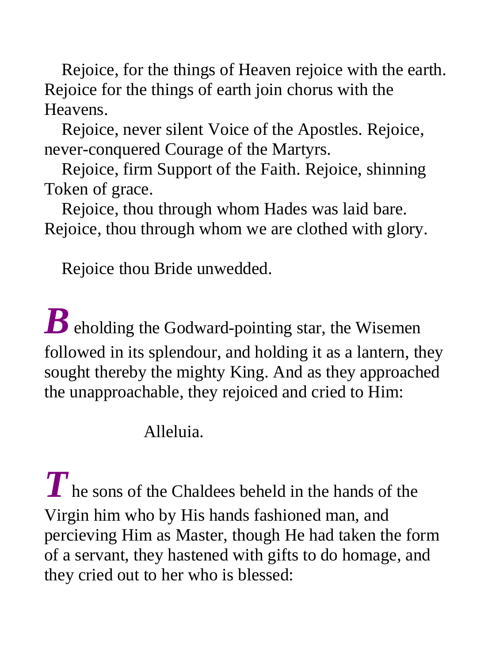Rejoice, for the things of Heaven rejoice with the earth. Rejoice for the things of earth join chorus with the Heavens.

 Rejoice, never silent Voice of the Apostles. Rejoice, never-conquered Courage of the Martyrs.

 Rejoice, firm Support of the Faith. Rejoice, shinning Token of grace.

 Rejoice, thou through whom Hades was laid bare. Rejoice, thou through whom we are clothed with glory.

Rejoice thou Bride unwedded.

*B* eholding the Godward-pointing star, the Wisemen followed in its splendour, and holding it as a lantern, they sought thereby the mighty King. And as they approached the unapproachable, they rejoiced and cried to Him:

## Alleluia.

**T** he sons of the Chaldees beheld in the hands of the Virgin him who by His hands fashioned man, and percieving Him as Master, though He had taken the form of a servant, they hastened with gifts to do homage, and they cried out to her who is blessed: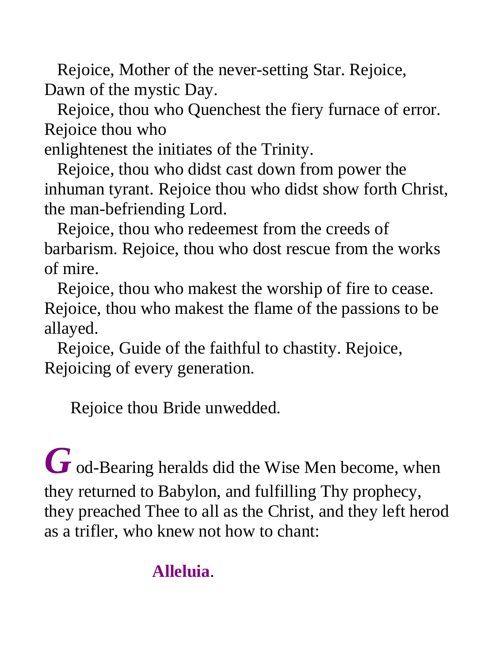Rejoice, Mother of the never-setting Star. Rejoice, Dawn of the mystic Day.

 Rejoice, thou who Quenchest the fiery furnace of error. Rejoice thou who

enlightenest the initiates of the Trinity.

 Rejoice, thou who didst cast down from power the inhuman tyrant. Rejoice thou who didst show forth Christ, the man-befriending Lord.

 Rejoice, thou who redeemest from the creeds of barbarism. Rejoice, thou who dost rescue from the works of mire.

 Rejoice, thou who makest the worship of fire to cease. Rejoice, thou who makest the flame of the passions to be allayed.

 Rejoice, Guide of the faithful to chastity. Rejoice, Rejoicing of every generation.

Rejoice thou Bride unwedded.

*G* od-Bearing heralds did the Wise Men become, when they returned to Babylon, and fulfilling Thy prophecy, they preached Thee to all as the Christ, and they left herod as a trifler, who knew not how to chant:

## **Alleluia**.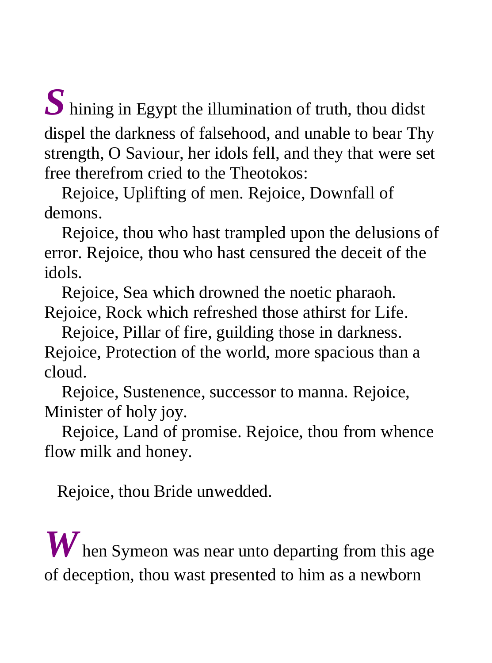*S* hining in Egypt the illumination of truth, thou didst dispel the darkness of falsehood, and unable to bear Thy strength, O Saviour, her idols fell, and they that were set free therefrom cried to the Theotokos:

 Rejoice, Uplifting of men. Rejoice, Downfall of demons.

 Rejoice, thou who hast trampled upon the delusions of error. Rejoice, thou who hast censured the deceit of the idols.

 Rejoice, Sea which drowned the noetic pharaoh. Rejoice, Rock which refreshed those athirst for Life.

 Rejoice, Pillar of fire, guilding those in darkness. Rejoice, Protection of the world, more spacious than a cloud.

 Rejoice, Sustenence, successor to manna. Rejoice, Minister of holy joy.

 Rejoice, Land of promise. Rejoice, thou from whence flow milk and honey.

Rejoice, thou Bride unwedded.

*W* hen Symeon was near unto departing from this age of deception, thou wast presented to him as a newborn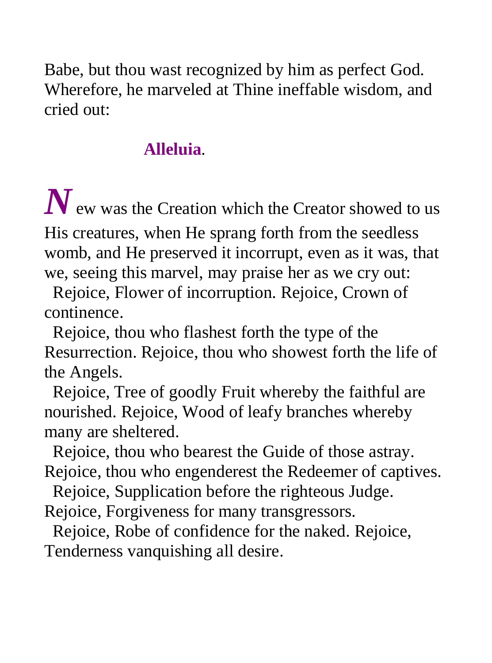Babe, but thou wast recognized by him as perfect God. Wherefore, he marveled at Thine ineffable wisdom, and cried out:

## **Alleluia**.

*N* ew was the Creation which the Creator showed to us

His creatures, when He sprang forth from the seedless womb, and He preserved it incorrupt, even as it was, that we, seeing this marvel, may praise her as we cry out:

 Rejoice, Flower of incorruption. Rejoice, Crown of continence.

 Rejoice, thou who flashest forth the type of the Resurrection. Rejoice, thou who showest forth the life of the Angels.

 Rejoice, Tree of goodly Fruit whereby the faithful are nourished. Rejoice, Wood of leafy branches whereby many are sheltered.

 Rejoice, thou who bearest the Guide of those astray. Rejoice, thou who engenderest the Redeemer of captives.

Rejoice, Supplication before the righteous Judge.

Rejoice, Forgiveness for many transgressors.

 Rejoice, Robe of confidence for the naked. Rejoice, Tenderness vanquishing all desire.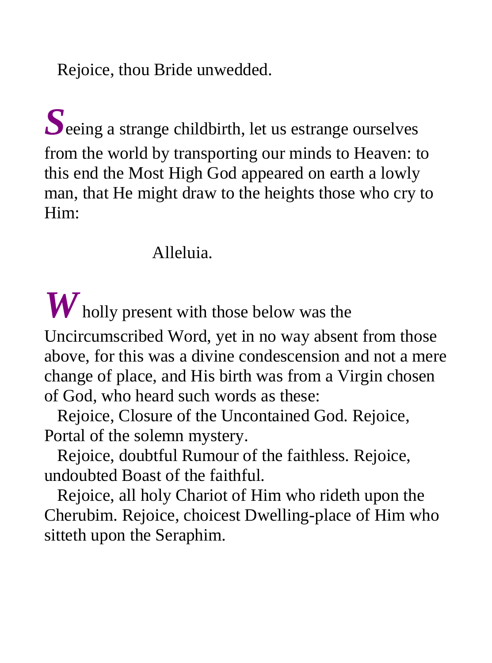Rejoice, thou Bride unwedded.

 $S_{\text{eeing a strange childbirth, let us estimate ourselves}}$ from the world by transporting our minds to Heaven: to this end the Most High God appeared on earth a lowly man, that He might draw to the heights those who cry to Him:

#### Alleluia.

*W* holly present with those below was the

Uncircumscribed Word, yet in no way absent from those above, for this was a divine condescension and not a mere change of place, and His birth was from a Virgin chosen of God, who heard such words as these:

 Rejoice, Closure of the Uncontained God. Rejoice, Portal of the solemn mystery.

 Rejoice, doubtful Rumour of the faithless. Rejoice, undoubted Boast of the faithful.

 Rejoice, all holy Chariot of Him who rideth upon the Cherubim. Rejoice, choicest Dwelling-place of Him who sitteth upon the Seraphim.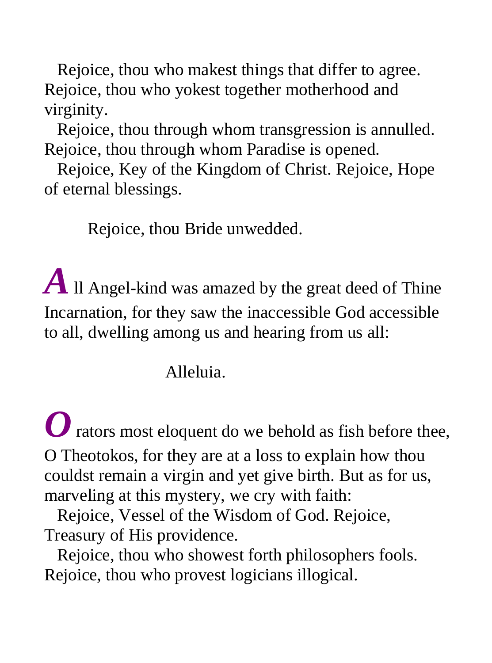Rejoice, thou who makest things that differ to agree. Rejoice, thou who yokest together motherhood and virginity.

 Rejoice, thou through whom transgression is annulled. Rejoice, thou through whom Paradise is opened.

 Rejoice, Key of the Kingdom of Christ. Rejoice, Hope of eternal blessings.

Rejoice, thou Bride unwedded.

*A* ll Angel-kind was amazed by the great deed of Thine Incarnation, for they saw the inaccessible God accessible to all, dwelling among us and hearing from us all:

## Alleluia.

*O* rators most eloquent do we behold as fish before thee, O Theotokos, for they are at a loss to explain how thou couldst remain a virgin and yet give birth. But as for us, marveling at this mystery, we cry with faith:

 Rejoice, Vessel of the Wisdom of God. Rejoice, Treasury of His providence.

 Rejoice, thou who showest forth philosophers fools. Rejoice, thou who provest logicians illogical.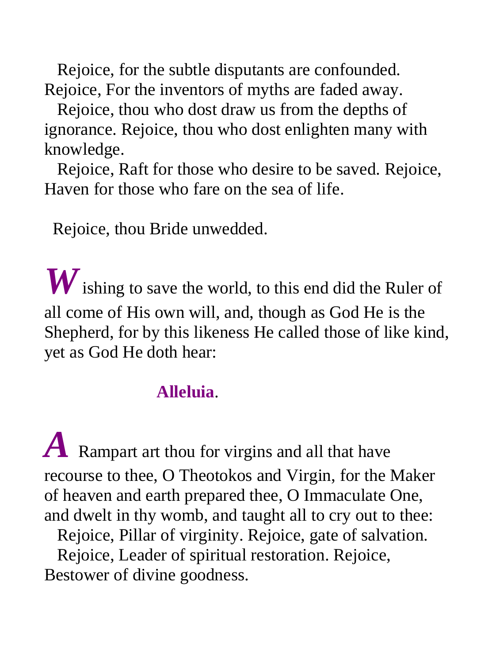Rejoice, for the subtle disputants are confounded. Rejoice, For the inventors of myths are faded away.

 Rejoice, thou who dost draw us from the depths of ignorance. Rejoice, thou who dost enlighten many with knowledge.

 Rejoice, Raft for those who desire to be saved. Rejoice, Haven for those who fare on the sea of life.

Rejoice, thou Bride unwedded.

*W* ishing to save the world, to this end did the Ruler of all come of His own will, and, though as God He is the Shepherd, for by this likeness He called those of like kind, yet as God He doth hear:

### **Alleluia**.

*A* Rampart art thou for virgins and all that have recourse to thee, O Theotokos and Virgin, for the Maker of heaven and earth prepared thee, O Immaculate One, and dwelt in thy womb, and taught all to cry out to thee: Rejoice, Pillar of virginity. Rejoice, gate of salvation. Rejoice, Leader of spiritual restoration. Rejoice, Bestower of divine goodness.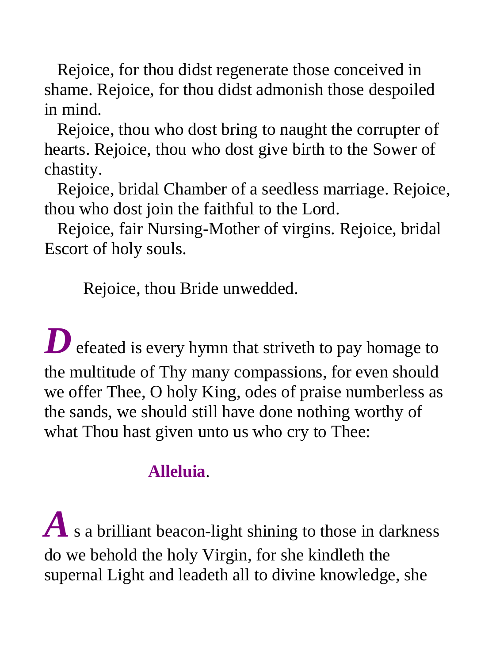Rejoice, for thou didst regenerate those conceived in shame. Rejoice, for thou didst admonish those despoiled in mind.

 Rejoice, thou who dost bring to naught the corrupter of hearts. Rejoice, thou who dost give birth to the Sower of chastity.

 Rejoice, bridal Chamber of a seedless marriage. Rejoice, thou who dost join the faithful to the Lord.

 Rejoice, fair Nursing-Mother of virgins. Rejoice, bridal Escort of holy souls.

Rejoice, thou Bride unwedded.

**D** efeated is every hymn that striveth to pay homage to the multitude of Thy many compassions, for even should we offer Thee, O holy King, odes of praise numberless as the sands, we should still have done nothing worthy of what Thou hast given unto us who cry to Thee:

## **Alleluia**.

 $A$  s a brilliant beacon-light shining to those in darkness do we behold the holy Virgin, for she kindleth the supernal Light and leadeth all to divine knowledge, she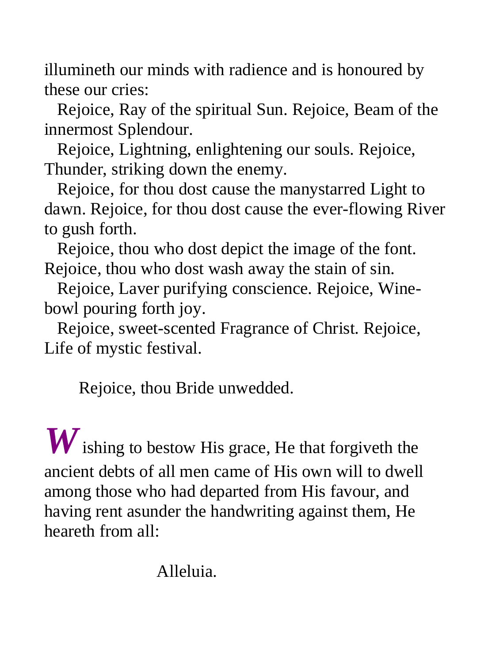illumineth our minds with radience and is honoured by these our cries:

 Rejoice, Ray of the spiritual Sun. Rejoice, Beam of the innermost Splendour.

 Rejoice, Lightning, enlightening our souls. Rejoice, Thunder, striking down the enemy.

 Rejoice, for thou dost cause the manystarred Light to dawn. Rejoice, for thou dost cause the ever-flowing River to gush forth.

 Rejoice, thou who dost depict the image of the font. Rejoice, thou who dost wash away the stain of sin.

 Rejoice, Laver purifying conscience. Rejoice, Winebowl pouring forth joy.

 Rejoice, sweet-scented Fragrance of Christ. Rejoice, Life of mystic festival.

Rejoice, thou Bride unwedded.

*W* ishing to bestow His grace, He that forgiveth the ancient debts of all men came of His own will to dwell among those who had departed from His favour, and having rent asunder the handwriting against them, He heareth from all:

Alleluia.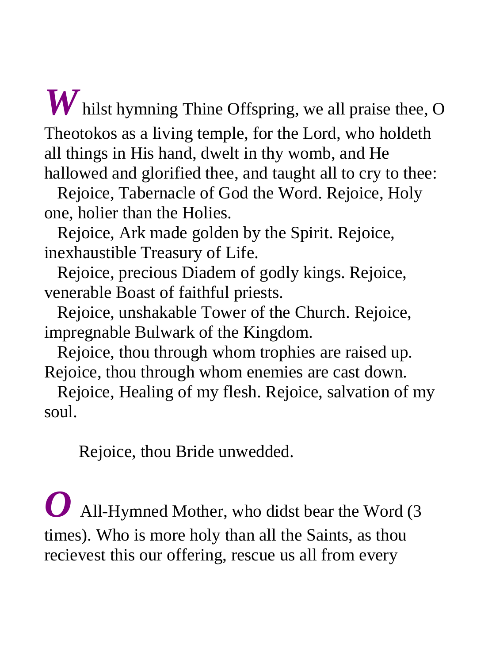*W* hilst hymning Thine Offspring, we all praise thee, O Theotokos as a living temple, for the Lord, who holdeth all things in His hand, dwelt in thy womb, and He hallowed and glorified thee, and taught all to cry to thee:

 Rejoice, Tabernacle of God the Word. Rejoice, Holy one, holier than the Holies.

 Rejoice, Ark made golden by the Spirit. Rejoice, inexhaustible Treasury of Life.

 Rejoice, precious Diadem of godly kings. Rejoice, venerable Boast of faithful priests.

 Rejoice, unshakable Tower of the Church. Rejoice, impregnable Bulwark of the Kingdom.

 Rejoice, thou through whom trophies are raised up. Rejoice, thou through whom enemies are cast down.

 Rejoice, Healing of my flesh. Rejoice, salvation of my soul.

Rejoice, thou Bride unwedded.

*O* All-Hymned Mother, who didst bear the Word (3 times). Who is more holy than all the Saints, as thou recievest this our offering, rescue us all from every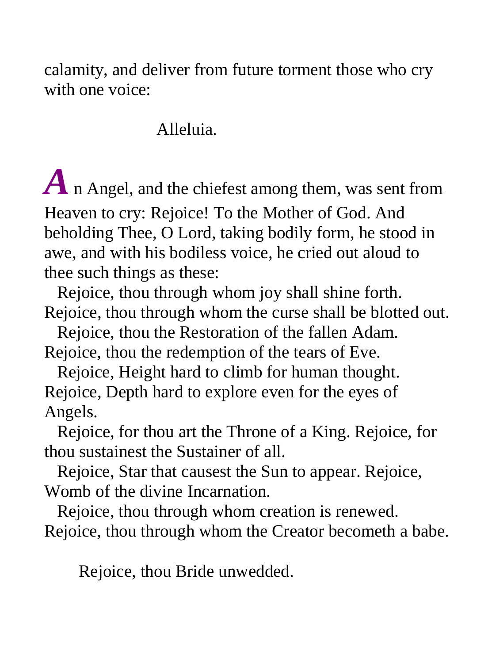calamity, and deliver from future torment those who cry with one voice:

#### Alleluia.

*A* n Angel, and the chiefest among them, was sent from Heaven to cry: Rejoice! To the Mother of God. And beholding Thee, O Lord, taking bodily form, he stood in awe, and with his bodiless voice, he cried out aloud to thee such things as these:

 Rejoice, thou through whom joy shall shine forth. Rejoice, thou through whom the curse shall be blotted out.

 Rejoice, thou the Restoration of the fallen Adam. Rejoice, thou the redemption of the tears of Eve.

 Rejoice, Height hard to climb for human thought. Rejoice, Depth hard to explore even for the eyes of Angels.

 Rejoice, for thou art the Throne of a King. Rejoice, for thou sustainest the Sustainer of all.

 Rejoice, Star that causest the Sun to appear. Rejoice, Womb of the divine Incarnation.

 Rejoice, thou through whom creation is renewed. Rejoice, thou through whom the Creator becometh a babe.

Rejoice, thou Bride unwedded.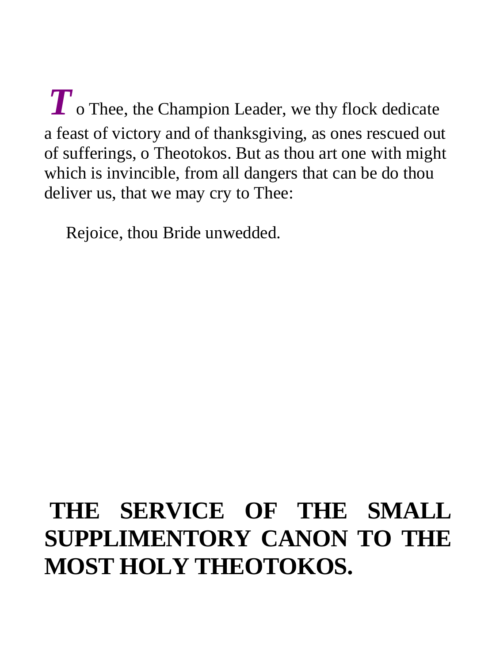$T$  o Thee, the Champion Leader, we thy flock dedicate a feast of victory and of thanksgiving, as ones rescued out of sufferings, o Theotokos. But as thou art one with might which is invincible, from all dangers that can be do thou deliver us, that we may cry to Thee:

Rejoice, thou Bride unwedded.

# **THE SERVICE OF THE SMALL SUPPLIMENTORY CANON TO THE MOST HOLY THEOTOKOS.**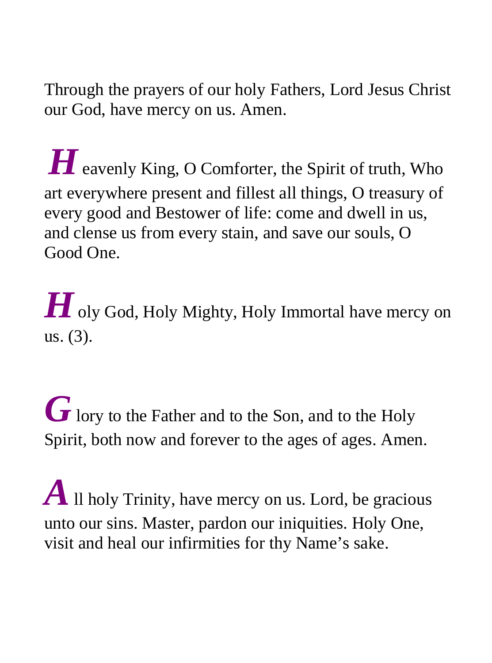Through the prayers of our holy Fathers, Lord Jesus Christ our God, have mercy on us. Amen.

**H** eavenly King, O Comforter, the Spirit of truth, Who art everywhere present and fillest all things, O treasury of every good and Bestower of life: come and dwell in us, and clense us from every stain, and save our souls, O Good One.

 $\boldsymbol{H}$  oly God, Holy Mighty, Holy Immortal have mercy on us. (3).

G lory to the Father and to the Son, and to the Holy Spirit, both now and forever to the ages of ages. Amen.

*A* Il holy Trinity, have mercy on us. Lord, be gracious unto our sins. Master, pardon our iniquities. Holy One, visit and heal our infirmities for thy Name's sake.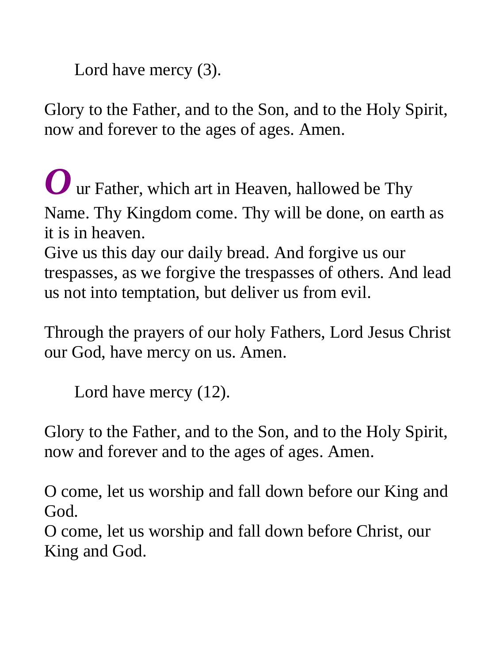Lord have mercy (3).

Glory to the Father, and to the Son, and to the Holy Spirit, now and forever to the ages of ages. Amen.

*O* ur Father, which art in Heaven, hallowed be Thy Name. Thy Kingdom come. Thy will be done, on earth as it is in heaven. Give us this day our daily bread. And forgive us our

trespasses, as we forgive the trespasses of others. And lead us not into temptation, but deliver us from evil.

Through the prayers of our holy Fathers, Lord Jesus Christ our God, have mercy on us. Amen.

Lord have mercy (12).

Glory to the Father, and to the Son, and to the Holy Spirit, now and forever and to the ages of ages. Amen.

O come, let us worship and fall down before our King and God.

O come, let us worship and fall down before Christ, our King and God.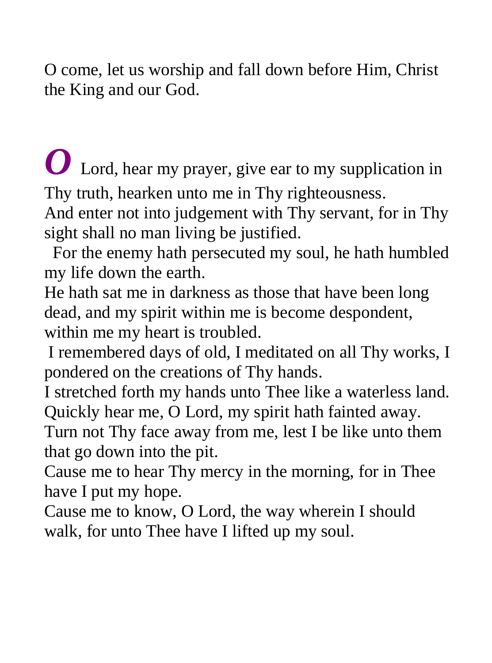O come, let us worship and fall down before Him, Christ the King and our God.

Lord, hear my prayer, give ear to my supplication in Thy truth, hearken unto me in Thy righteousness.

And enter not into judgement with Thy servant, for in Thy sight shall no man living be justified.

 For the enemy hath persecuted my soul, he hath humbled my life down the earth.

He hath sat me in darkness as those that have been long dead, and my spirit within me is become despondent, within me my heart is troubled.

 I remembered days of old, I meditated on all Thy works, I pondered on the creations of Thy hands.

I stretched forth my hands unto Thee like a waterless land. Quickly hear me, O Lord, my spirit hath fainted away.

Turn not Thy face away from me, lest I be like unto them that go down into the pit.

Cause me to hear Thy mercy in the morning, for in Thee have I put my hope.

Cause me to know, O Lord, the way wherein I should walk, for unto Thee have I lifted up my soul.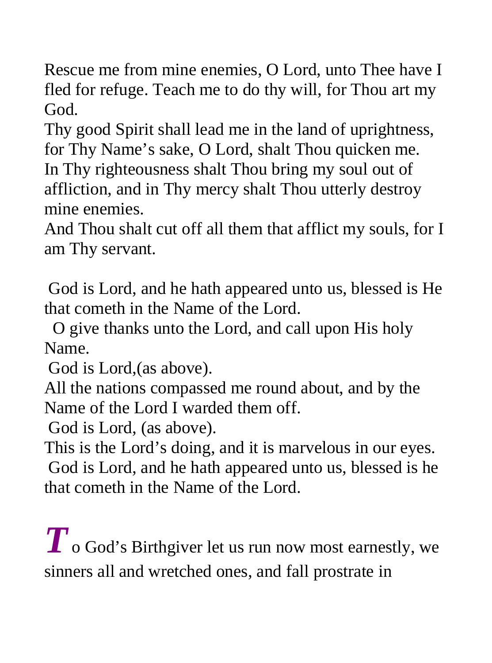Rescue me from mine enemies, O Lord, unto Thee have I fled for refuge. Teach me to do thy will, for Thou art my God.

Thy good Spirit shall lead me in the land of uprightness, for Thy Name's sake, O Lord, shalt Thou quicken me. In Thy righteousness shalt Thou bring my soul out of affliction, and in Thy mercy shalt Thou utterly destroy mine enemies.

And Thou shalt cut off all them that afflict my souls, for I am Thy servant.

 God is Lord, and he hath appeared unto us, blessed is He that cometh in the Name of the Lord.

 O give thanks unto the Lord, and call upon His holy Name.

God is Lord,(as above).

All the nations compassed me round about, and by the Name of the Lord I warded them off.

God is Lord, (as above).

This is the Lord's doing, and it is marvelous in our eyes. God is Lord, and he hath appeared unto us, blessed is he that cometh in the Name of the Lord.

 $T$  o God's Birthgiver let us run now most earnestly, we sinners all and wretched ones, and fall prostrate in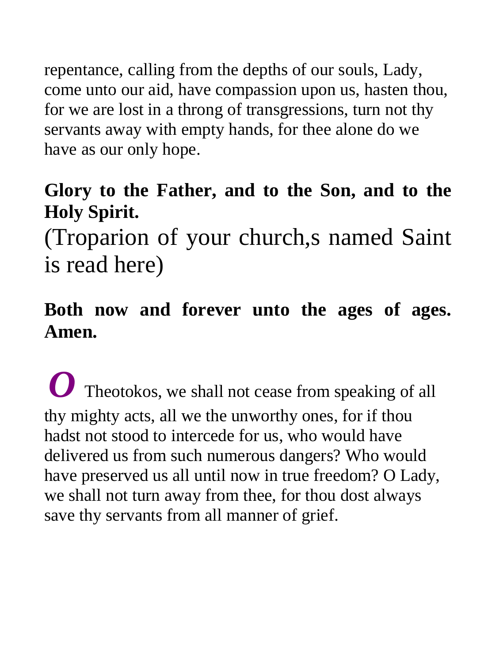repentance, calling from the depths of our souls, Lady, come unto our aid, have compassion upon us, hasten thou, for we are lost in a throng of transgressions, turn not thy servants away with empty hands, for thee alone do we have as our only hope.

#### **Glory to the Father, and to the Son, and to the Holy Spirit.**

(Troparion of your church,s named Saint is read here)

#### **Both now and forever unto the ages of ages. Amen.**

*O* Theotokos, we shall not cease from speaking of all thy mighty acts, all we the unworthy ones, for if thou hadst not stood to intercede for us, who would have delivered us from such numerous dangers? Who would have preserved us all until now in true freedom? O Lady, we shall not turn away from thee, for thou dost always save thy servants from all manner of grief.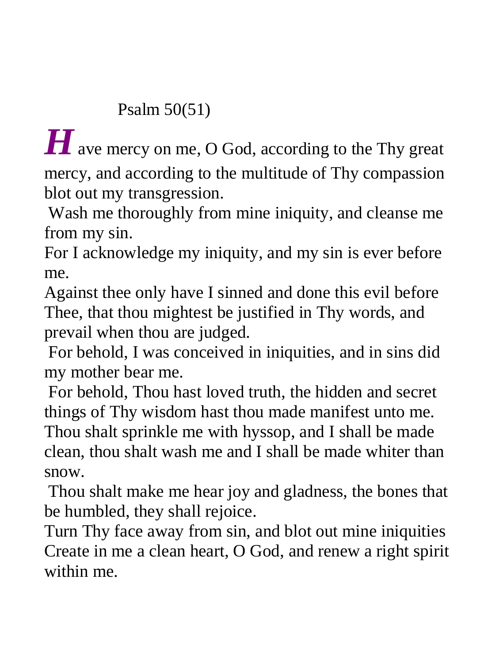#### Psalm 50(51)

*H* ave mercy on me, O God, according to the Thy great mercy, and according to the multitude of Thy compassion blot out my transgression.

 Wash me thoroughly from mine iniquity, and cleanse me from my sin.

For I acknowledge my iniquity, and my sin is ever before me.

Against thee only have I sinned and done this evil before Thee, that thou mightest be justified in Thy words, and prevail when thou are judged.

 For behold, I was conceived in iniquities, and in sins did my mother bear me.

 For behold, Thou hast loved truth, the hidden and secret things of Thy wisdom hast thou made manifest unto me. Thou shalt sprinkle me with hyssop, and I shall be made clean, thou shalt wash me and I shall be made whiter than snow.

 Thou shalt make me hear joy and gladness, the bones that be humbled, they shall rejoice.

Turn Thy face away from sin, and blot out mine iniquities Create in me a clean heart, O God, and renew a right spirit within me.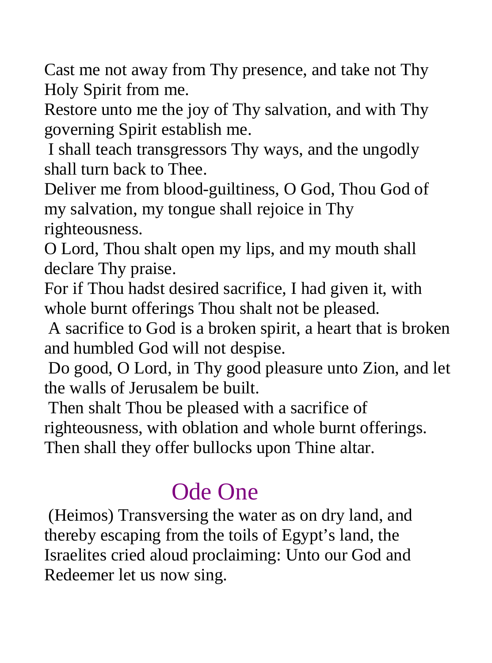Cast me not away from Thy presence, and take not Thy Holy Spirit from me.

Restore unto me the joy of Thy salvation, and with Thy governing Spirit establish me.

 I shall teach transgressors Thy ways, and the ungodly shall turn back to Thee.

Deliver me from blood-guiltiness, O God, Thou God of my salvation, my tongue shall rejoice in Thy

righteousness.

O Lord, Thou shalt open my lips, and my mouth shall declare Thy praise.

For if Thou hadst desired sacrifice, I had given it, with whole burnt offerings Thou shalt not be pleased.

 A sacrifice to God is a broken spirit, a heart that is broken and humbled God will not despise.

 Do good, O Lord, in Thy good pleasure unto Zion, and let the walls of Jerusalem be built.

 Then shalt Thou be pleased with a sacrifice of righteousness, with oblation and whole burnt offerings. Then shall they offer bullocks upon Thine altar.

## Ode One

 (Heimos) Transversing the water as on dry land, and thereby escaping from the toils of Egypt's land, the Israelites cried aloud proclaiming: Unto our God and Redeemer let us now sing.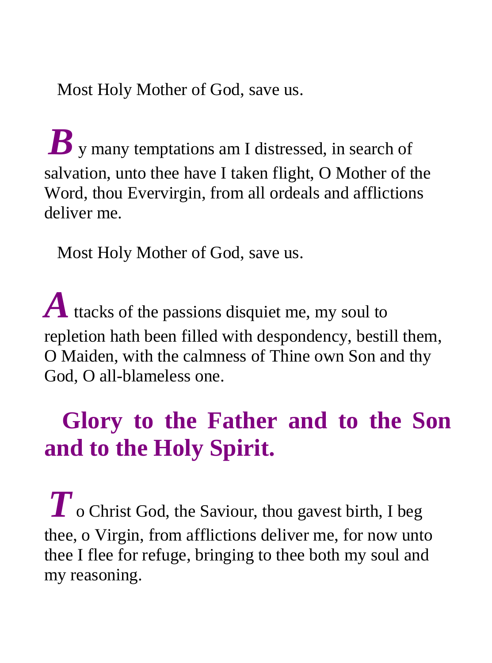Most Holy Mother of God, save us.

 $\boldsymbol{B}$  v many temptations am I distressed, in search of salvation, unto thee have I taken flight, O Mother of the Word, thou Evervirgin, from all ordeals and afflictions deliver me.

Most Holy Mother of God, save us.

A ttacks of the passions disquiet me, my soul to repletion hath been filled with despondency, bestill them, O Maiden, with the calmness of Thine own Son and thy God, O all-blameless one.

# **Glory to the Father and to the Son and to the Holy Spirit.**

*T* o Christ God, the Saviour, thou gavest birth, I beg thee, o Virgin, from afflictions deliver me, for now unto thee I flee for refuge, bringing to thee both my soul and my reasoning.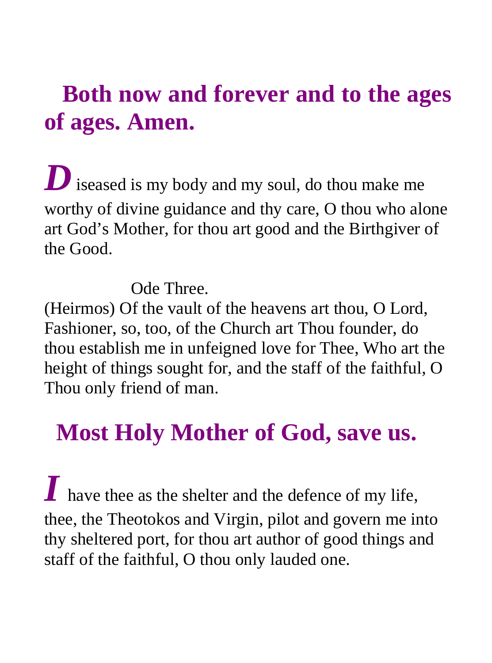### **Both now and forever and to the ages of ages. Amen.**

*D* iseased is my body and my soul, do thou make me worthy of divine guidance and thy care, O thou who alone art God's Mother, for thou art good and the Birthgiver of the Good.

Ode Three.

(Heirmos) Of the vault of the heavens art thou, O Lord, Fashioner, so, too, of the Church art Thou founder, do thou establish me in unfeigned love for Thee, Who art the height of things sought for, and the staff of the faithful, O Thou only friend of man.

### **Most Holy Mother of God, save us.**

*I* have thee as the shelter and the defence of my life, thee, the Theotokos and Virgin, pilot and govern me into thy sheltered port, for thou art author of good things and staff of the faithful, O thou only lauded one.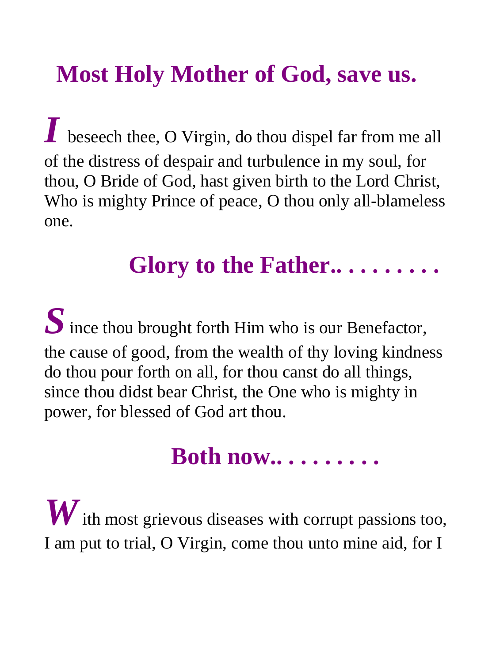# **Most Holy Mother of God, save us.**

*I* beseech thee, O Virgin, do thou dispel far from me all of the distress of despair and turbulence in my soul, for thou, O Bride of God, hast given birth to the Lord Christ, Who is mighty Prince of peace, O thou only all-blameless one.

### **Glory to the Father.. . . . . . . . .**

*S* ince thou brought forth Him who is our Benefactor, the cause of good, from the wealth of thy loving kindness do thou pour forth on all, for thou canst do all things, since thou didst bear Christ, the One who is mighty in power, for blessed of God art thou.

### **Both now.. . . . . . . . .**

*W* ith most grievous diseases with corrupt passions too, I am put to trial, O Virgin, come thou unto mine aid, for I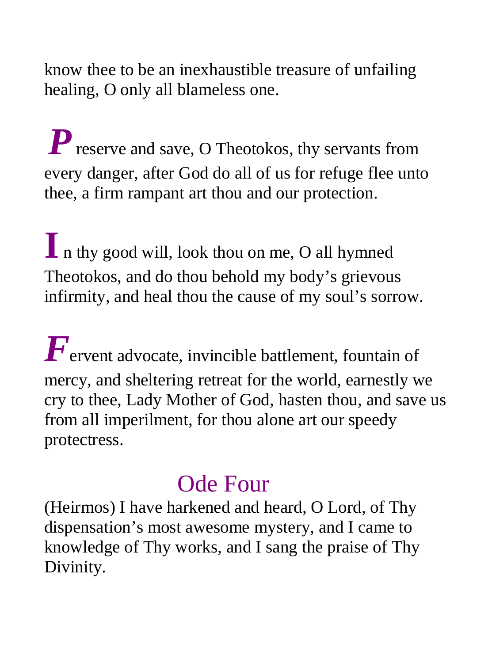know thee to be an inexhaustible treasure of unfailing healing, O only all blameless one.

*P* reserve and save, O Theotokos, thy servants from every danger, after God do all of us for refuge flee unto thee, a firm rampant art thou and our protection.

**I** n thy good will, look thou on me, O all hymned Theotokos, and do thou behold my body's grievous infirmity, and heal thou the cause of my soul's sorrow.

*F*ervent advocate, invincible battlement, fountain of mercy, and sheltering retreat for the world, earnestly we cry to thee, Lady Mother of God, hasten thou, and save us from all imperilment, for thou alone art our speedy protectress.

### Ode Four

(Heirmos) I have harkened and heard, O Lord, of Thy dispensation's most awesome mystery, and I came to knowledge of Thy works, and I sang the praise of Thy Divinity.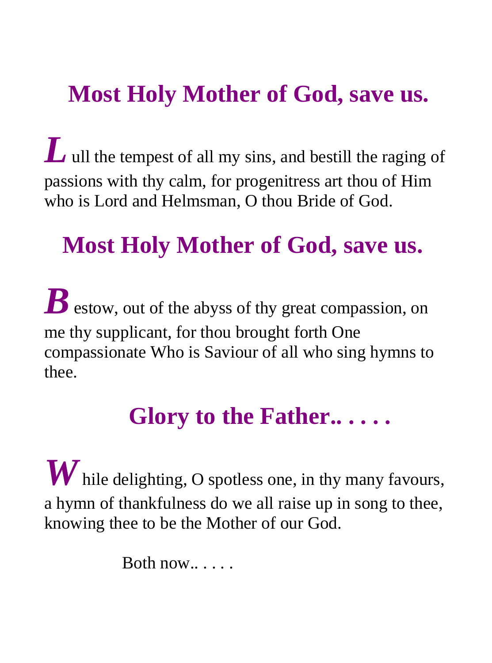## **Most Holy Mother of God, save us.**

*L* ull the tempest of all my sins, and bestill the raging of passions with thy calm, for progenitress art thou of Him who is Lord and Helmsman, O thou Bride of God.

# **Most Holy Mother of God, save us.**

 $\boldsymbol{B}$  estow, out of the abyss of thy great compassion, on me thy supplicant, for thou brought forth One compassionate Who is Saviour of all who sing hymns to thee.

### **Glory to the Father.. . . . .**

*W* hile delighting, O spotless one, in thy many favours, a hymn of thankfulness do we all raise up in song to thee, knowing thee to be the Mother of our God.

Both now.. . . . .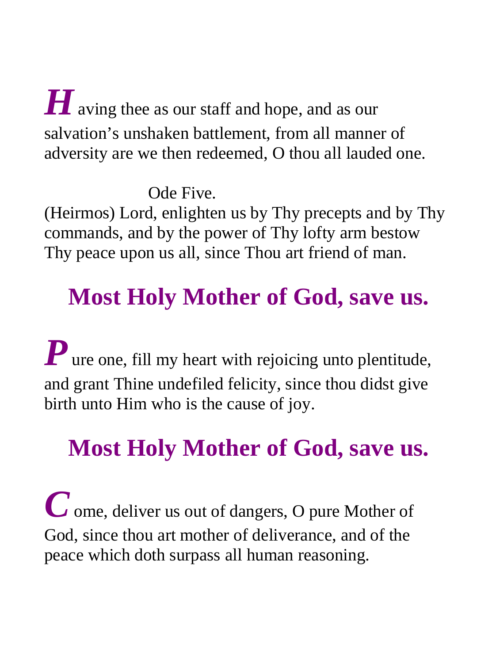**H** aving thee as our staff and hope, and as our salvation's unshaken battlement, from all manner of adversity are we then redeemed, O thou all lauded one.

Ode Five.

(Heirmos) Lord, enlighten us by Thy precepts and by Thy commands, and by the power of Thy lofty arm bestow Thy peace upon us all, since Thou art friend of man.

# **Most Holy Mother of God, save us.**

*P* ure one, fill my heart with rejoicing unto plentitude, and grant Thine undefiled felicity, since thou didst give birth unto Him who is the cause of joy.

# **Most Holy Mother of God, save us.**

*C* ome, deliver us out of dangers, O pure Mother of God, since thou art mother of deliverance, and of the peace which doth surpass all human reasoning.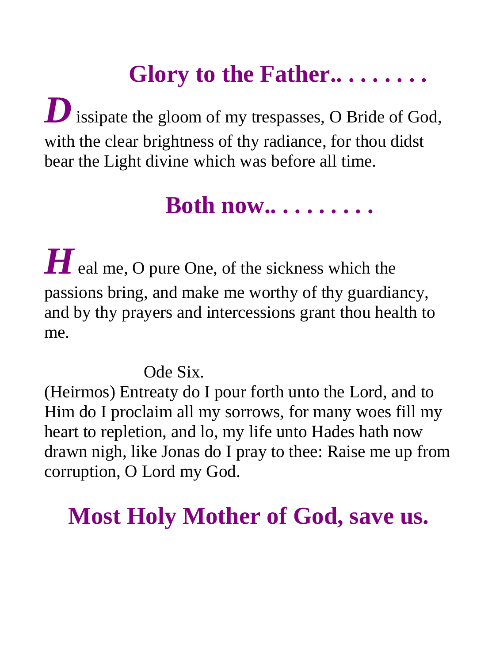# **Glory to the Father.. . . . . . . .**

**D** issipate the gloom of my trespasses, O Bride of God, with the clear brightness of thy radiance, for thou didst bear the Light divine which was before all time.

### **Both now.. . . . . . . . .**

 $H$  eal me, O pure One, of the sickness which the passions bring, and make me worthy of thy guardiancy, and by thy prayers and intercessions grant thou health to me.

Ode Six.

(Heirmos) Entreaty do I pour forth unto the Lord, and to Him do I proclaim all my sorrows, for many woes fill my heart to repletion, and lo, my life unto Hades hath now drawn nigh, like Jonas do I pray to thee: Raise me up from corruption, O Lord my God.

# **Most Holy Mother of God, save us.**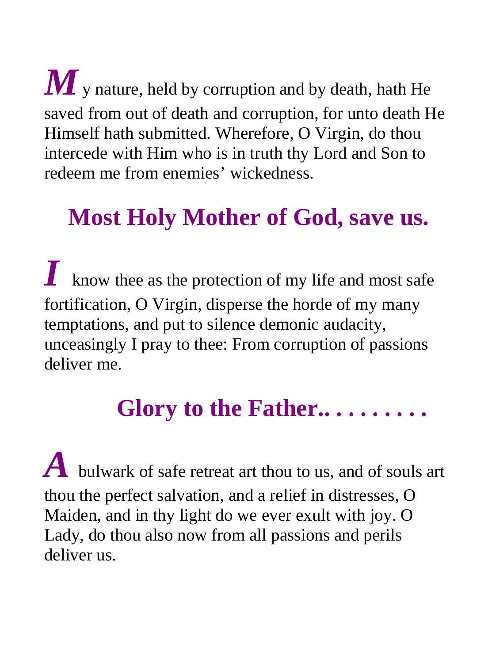$M$  y nature, held by corruption and by death, hath He saved from out of death and corruption, for unto death He Himself hath submitted. Wherefore, O Virgin, do thou intercede with Him who is in truth thy Lord and Son to redeem me from enemies' wickedness.

# **Most Holy Mother of God, save us.**

*I* know thee as the protection of my life and most safe fortification, O Virgin, disperse the horde of my many temptations, and put to silence demonic audacity, unceasingly I pray to thee: From corruption of passions deliver me.

# **Glory to the Father.. . . . . . . . .**

*A* bulwark of safe retreat art thou to us, and of souls art thou the perfect salvation, and a relief in distresses, O Maiden, and in thy light do we ever exult with joy. O Lady, do thou also now from all passions and perils deliver us.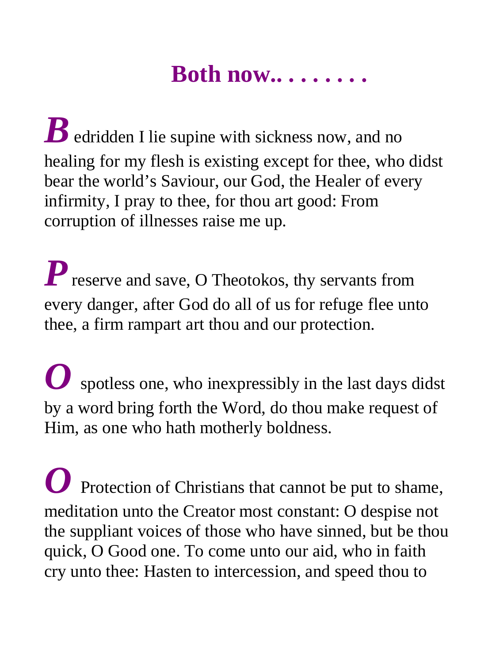### **Both now.. . . . . . . .**

*B* edridden I lie supine with sickness now, and no healing for my flesh is existing except for thee, who didst bear the world's Saviour, our God, the Healer of every infirmity, I pray to thee, for thou art good: From corruption of illnesses raise me up.

*P* reserve and save, O Theotokos, thy servants from every danger, after God do all of us for refuge flee unto thee, a firm rampart art thou and our protection.

*O* spotless one, who inexpressibly in the last days didst by a word bring forth the Word, do thou make request of Him, as one who hath motherly boldness.

*O* Protection of Christians that cannot be put to shame, meditation unto the Creator most constant: O despise not the suppliant voices of those who have sinned, but be thou quick, O Good one. To come unto our aid, who in faith cry unto thee: Hasten to intercession, and speed thou to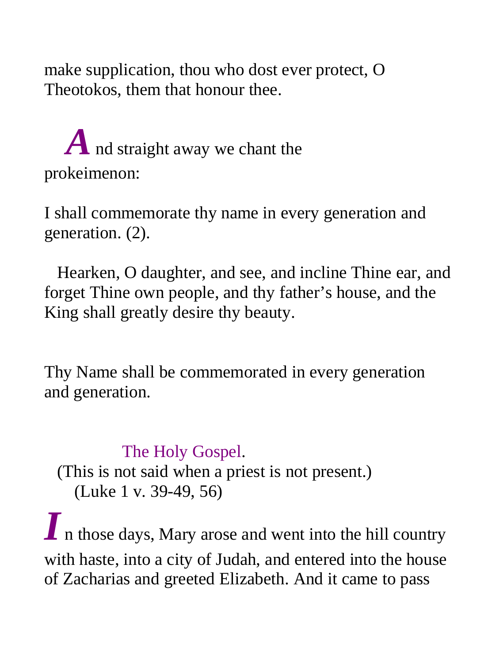make supplication, thou who dost ever protect, O Theotokos, them that honour thee.

# *A* nd straight away we chant the prokeimenon:

I shall commemorate thy name in every generation and generation. (2).

 Hearken, O daughter, and see, and incline Thine ear, and forget Thine own people, and thy father's house, and the King shall greatly desire thy beauty.

Thy Name shall be commemorated in every generation and generation.

#### The Holy Gospel.

 (This is not said when a priest is not present.) (Luke 1 v. 39-49, 56)

*I* n those days, Mary arose and went into the hill country with haste, into a city of Judah, and entered into the house of Zacharias and greeted Elizabeth. And it came to pass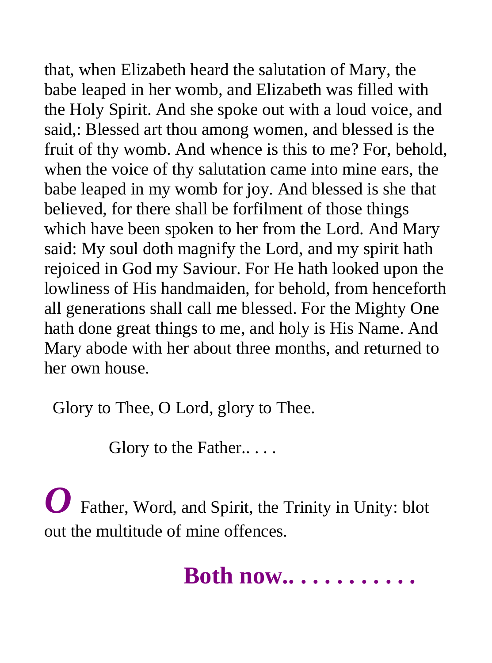that, when Elizabeth heard the salutation of Mary, the babe leaped in her womb, and Elizabeth was filled with the Holy Spirit. And she spoke out with a loud voice, and said,: Blessed art thou among women, and blessed is the fruit of thy womb. And whence is this to me? For, behold, when the voice of thy salutation came into mine ears, the babe leaped in my womb for joy. And blessed is she that believed, for there shall be forfilment of those things which have been spoken to her from the Lord. And Mary said: My soul doth magnify the Lord, and my spirit hath rejoiced in God my Saviour. For He hath looked upon the lowliness of His handmaiden, for behold, from henceforth all generations shall call me blessed. For the Mighty One hath done great things to me, and holy is His Name. And Mary abode with her about three months, and returned to her own house.

Glory to Thee, O Lord, glory to Thee.

Glory to the Father....

*O* Father, Word, and Spirit, the Trinity in Unity: blot out the multitude of mine offences.

## **Both now.. . . . . . . . . . .**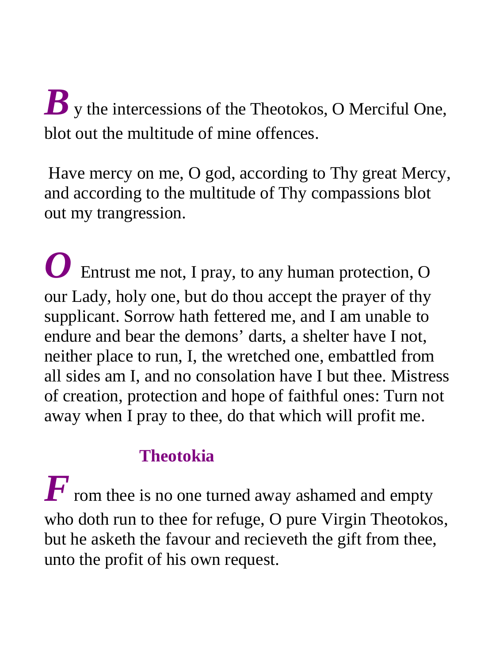# *B* v the intercessions of the Theotokos, O Merciful One, blot out the multitude of mine offences.

 Have mercy on me, O god, according to Thy great Mercy, and according to the multitude of Thy compassions blot out my trangression.

*O* Entrust me not, I pray, to any human protection, O our Lady, holy one, but do thou accept the prayer of thy supplicant. Sorrow hath fettered me, and I am unable to endure and bear the demons' darts, a shelter have I not, neither place to run, I, the wretched one, embattled from all sides am I, and no consolation have I but thee. Mistress of creation, protection and hope of faithful ones: Turn not away when I pray to thee, do that which will profit me.

#### **Theotokia**

 $\boldsymbol{F}$  rom thee is no one turned away ashamed and empty who doth run to thee for refuge, O pure Virgin Theotokos, but he asketh the favour and recieveth the gift from thee, unto the profit of his own request.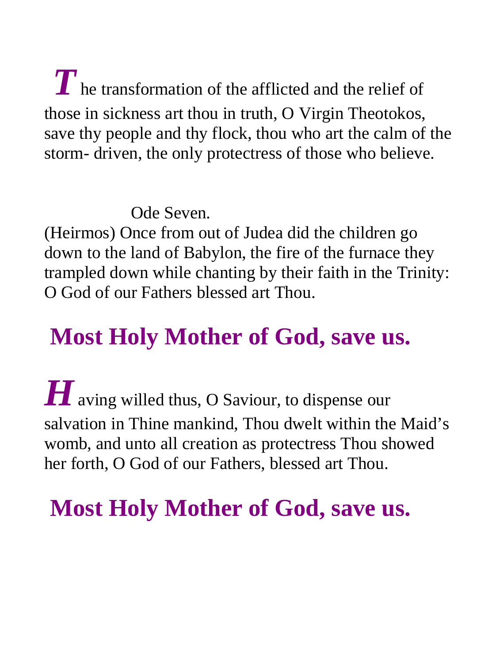*T* he transformation of the afflicted and the relief of those in sickness art thou in truth, O Virgin Theotokos, save thy people and thy flock, thou who art the calm of the storm- driven, the only protectress of those who believe.

Ode Seven.

(Heirmos) Once from out of Judea did the children go down to the land of Babylon, the fire of the furnace they trampled down while chanting by their faith in the Trinity: O God of our Fathers blessed art Thou.

# **Most Holy Mother of God, save us.**

*H* aving willed thus, O Saviour, to dispense our salvation in Thine mankind, Thou dwelt within the Maid's womb, and unto all creation as protectress Thou showed her forth, O God of our Fathers, blessed art Thou.

 **Most Holy Mother of God, save us.**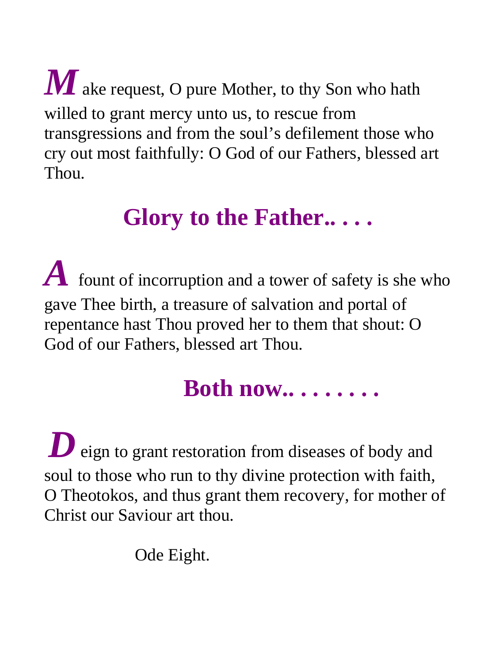$\boldsymbol{M}$  ake request, O pure Mother, to thy Son who hath willed to grant mercy unto us, to rescue from transgressions and from the soul's defilement those who cry out most faithfully: O God of our Fathers, blessed art Thou.

## **Glory to the Father.. . . .**

*A* fount of incorruption and a tower of safety is she who gave Thee birth, a treasure of salvation and portal of repentance hast Thou proved her to them that shout: O God of our Fathers, blessed art Thou.

### **Both now.. . . . . . . .**

**D** eign to grant restoration from diseases of body and soul to those who run to thy divine protection with faith, O Theotokos, and thus grant them recovery, for mother of Christ our Saviour art thou.

Ode Eight.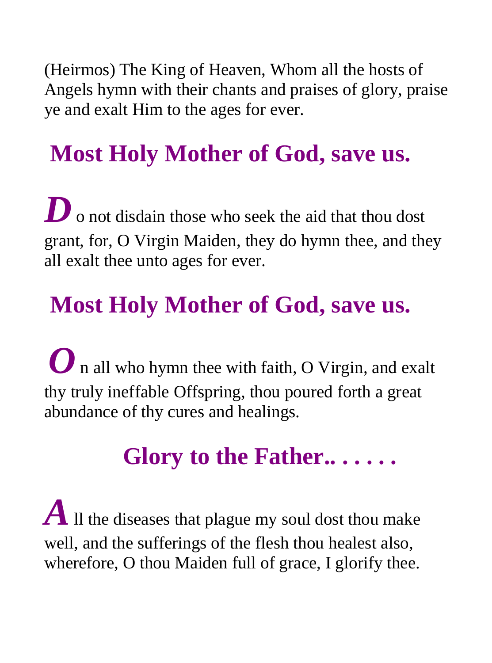(Heirmos) The King of Heaven, Whom all the hosts of Angels hymn with their chants and praises of glory, praise ye and exalt Him to the ages for ever.

# **Most Holy Mother of God, save us.**

**D** o not disdain those who seek the aid that thou dost grant, for, O Virgin Maiden, they do hymn thee, and they all exalt thee unto ages for ever.

# **Most Holy Mother of God, save us.**

**O** n all who hymn thee with faith, O Virgin, and exalt thy truly ineffable Offspring, thou poured forth a great abundance of thy cures and healings.

# **Glory to the Father.. . . . . .**

 $\boldsymbol{A}$  Il the diseases that plague my soul dost thou make well, and the sufferings of the flesh thou healest also, wherefore, O thou Maiden full of grace, I glorify thee.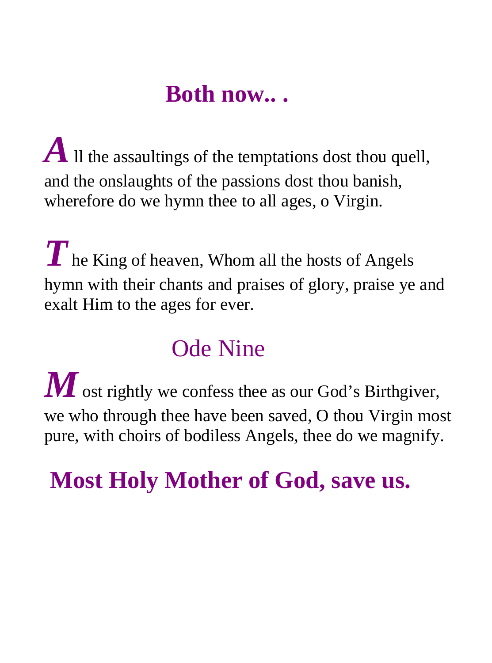### **Both now.. .**

*A* If the assaultings of the temptations dost thou quell, and the onslaughts of the passions dost thou banish, wherefore do we hymn thee to all ages, o Virgin.

**T** he King of heaven, Whom all the hosts of Angels hymn with their chants and praises of glory, praise ye and exalt Him to the ages for ever.

# Ode Nine

*M* ost rightly we confess thee as our God's Birthgiver, we who through thee have been saved, O thou Virgin most pure, with choirs of bodiless Angels, thee do we magnify.

# **Most Holy Mother of God, save us.**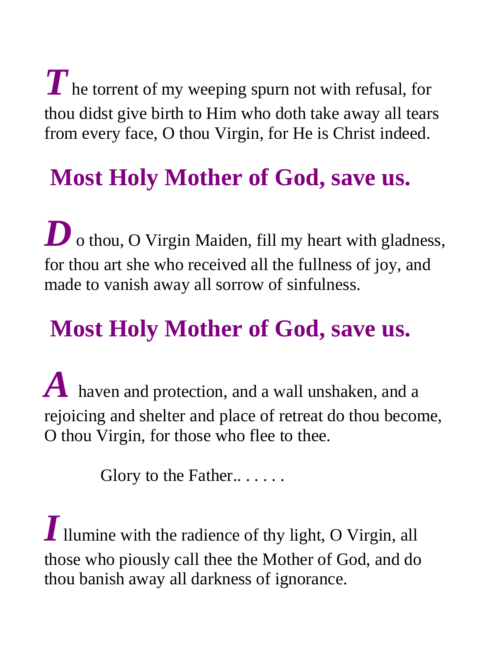$\boldsymbol{T}$  he torrent of my weeping spurn not with refusal, for thou didst give birth to Him who doth take away all tears from every face, O thou Virgin, for He is Christ indeed.

# **Most Holy Mother of God, save us.**

**D** o thou, O Virgin Maiden, fill my heart with gladness, for thou art she who received all the fullness of joy, and made to vanish away all sorrow of sinfulness.

# **Most Holy Mother of God, save us.**

*A* haven and protection, and a wall unshaken, and a rejoicing and shelter and place of retreat do thou become, O thou Virgin, for those who flee to thee.

Glory to the Father......

*I* llumine with the radience of thy light, O Virgin, all those who piously call thee the Mother of God, and do thou banish away all darkness of ignorance.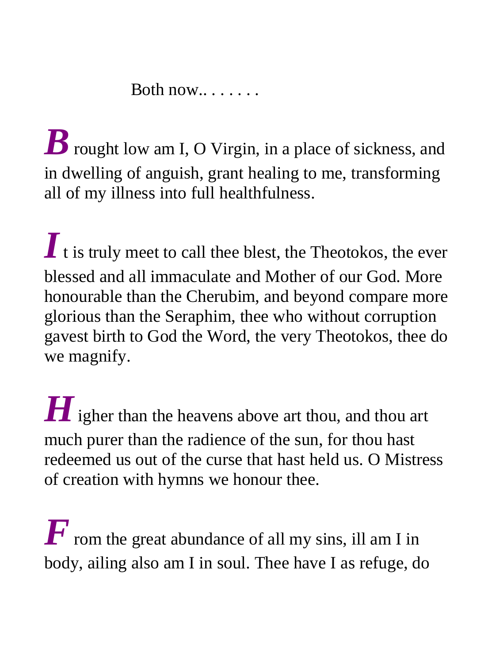Both  $now...$ ....

*B* rought low am I, O Virgin, in a place of sickness, and in dwelling of anguish, grant healing to me, transforming all of my illness into full healthfulness.

*I* t is truly meet to call thee blest, the Theotokos, the ever blessed and all immaculate and Mother of our God. More honourable than the Cherubim, and beyond compare more glorious than the Seraphim, thee who without corruption gavest birth to God the Word, the very Theotokos, thee do we magnify.

**H** igher than the heavens above art thou, and thou art much purer than the radience of the sun, for thou hast redeemed us out of the curse that hast held us. O Mistress of creation with hymns we honour thee.

 $\boldsymbol{F}$  rom the great abundance of all my sins, ill am I in body, ailing also am I in soul. Thee have I as refuge, do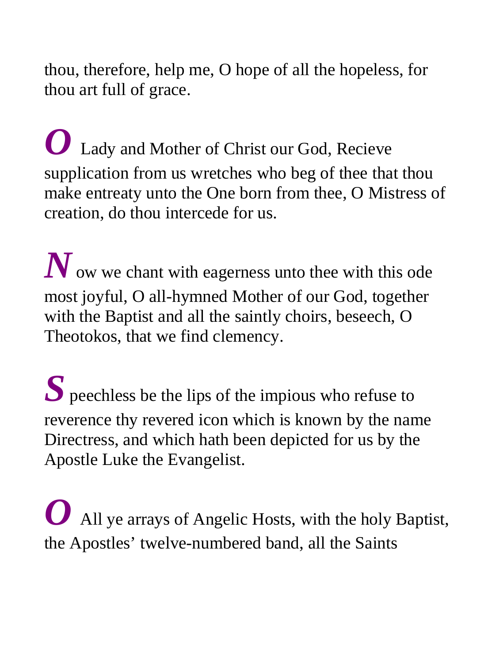thou, therefore, help me, O hope of all the hopeless, for thou art full of grace.

*O* Lady and Mother of Christ our God, Recieve supplication from us wretches who beg of thee that thou make entreaty unto the One born from thee, O Mistress of creation, do thou intercede for us.

*N* ow we chant with eagerness unto thee with this ode most joyful, O all-hymned Mother of our God, together with the Baptist and all the saintly choirs, beseech, O Theotokos, that we find clemency.

*S* peechless be the lips of the impious who refuse to reverence thy revered icon which is known by the name Directress, and which hath been depicted for us by the Apostle Luke the Evangelist.

*O* All ye arrays of Angelic Hosts, with the holy Baptist, the Apostles' twelve-numbered band, all the Saints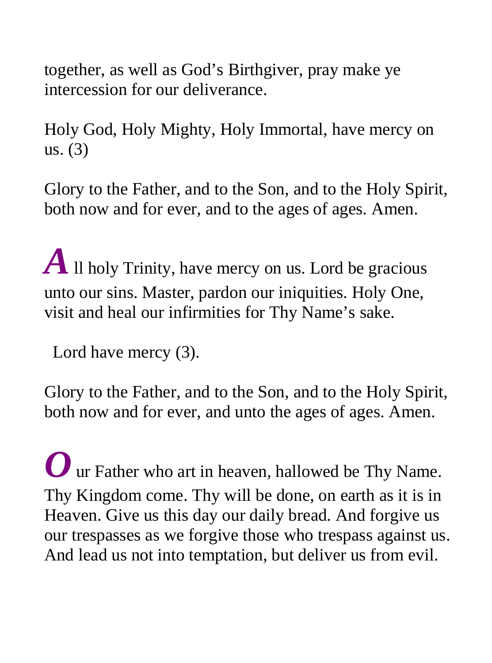together, as well as God's Birthgiver, pray make ye intercession for our deliverance.

Holy God, Holy Mighty, Holy Immortal, have mercy on us. (3)

Glory to the Father, and to the Son, and to the Holy Spirit, both now and for ever, and to the ages of ages. Amen.

*A* Il holy Trinity, have mercy on us. Lord be gracious unto our sins. Master, pardon our iniquities. Holy One, visit and heal our infirmities for Thy Name's sake.

Lord have mercy (3).

Glory to the Father, and to the Son, and to the Holy Spirit, both now and for ever, and unto the ages of ages. Amen.

*O* ur Father who art in heaven, hallowed be Thy Name. Thy Kingdom come. Thy will be done, on earth as it is in Heaven. Give us this day our daily bread. And forgive us our trespasses as we forgive those who trespass against us. And lead us not into temptation, but deliver us from evil.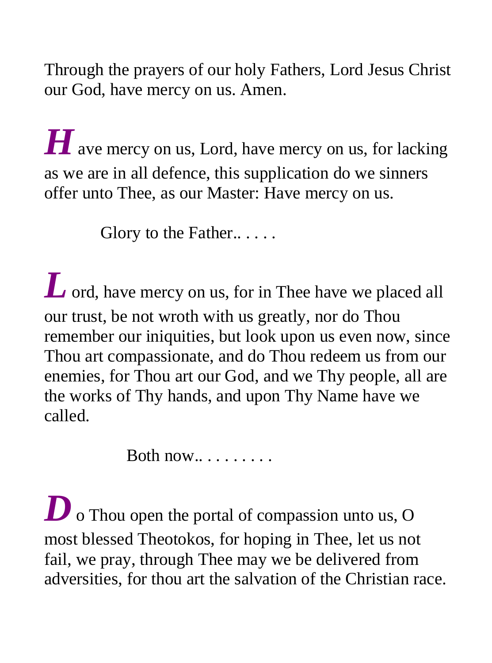Through the prayers of our holy Fathers, Lord Jesus Christ our God, have mercy on us. Amen.

**H** ave mercy on us, Lord, have mercy on us, for lacking as we are in all defence, this supplication do we sinners offer unto Thee, as our Master: Have mercy on us.

Glory to the Father.....

*L* ord, have mercy on us, for in Thee have we placed all our trust, be not wroth with us greatly, nor do Thou remember our iniquities, but look upon us even now, since Thou art compassionate, and do Thou redeem us from our enemies, for Thou art our God, and we Thy people, all are the works of Thy hands, and upon Thy Name have we called.

Both  $now...$ ......

**D** o Thou open the portal of compassion unto us, O most blessed Theotokos, for hoping in Thee, let us not fail, we pray, through Thee may we be delivered from adversities, for thou art the salvation of the Christian race.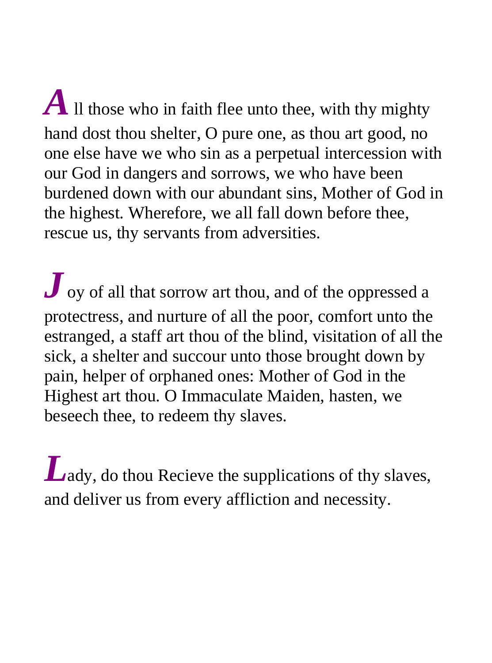$A$  Il those who in faith flee unto thee, with thy mighty hand dost thou shelter, O pure one, as thou art good, no one else have we who sin as a perpetual intercession with our God in dangers and sorrows, we who have been burdened down with our abundant sins, Mother of God in the highest. Wherefore, we all fall down before thee, rescue us, thy servants from adversities.

*J* oy of all that sorrow art thou, and of the oppressed a protectress, and nurture of all the poor, comfort unto the estranged, a staff art thou of the blind, visitation of all the sick, a shelter and succour unto those brought down by pain, helper of orphaned ones: Mother of God in the Highest art thou. O Immaculate Maiden, hasten, we beseech thee, to redeem thy slaves.

*L*ady, do thou Recieve the supplications of thy slaves, and deliver us from every affliction and necessity.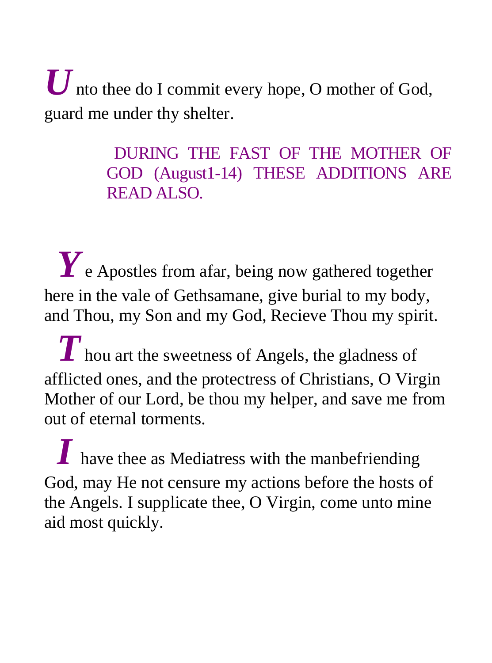$\boldsymbol{U}$  nto thee do I commit every hope, O mother of God, guard me under thy shelter.

> DURING THE FAST OF THE MOTHER OF GOD (August1-14) THESE ADDITIONS ARE READ ALSO.

 *Y* e Apostles from afar, being now gathered together here in the vale of Gethsamane, give burial to my body, and Thou, my Son and my God, Recieve Thou my spirit.

 *T* hou art the sweetness of Angels, the gladness of afflicted ones, and the protectress of Christians, O Virgin Mother of our Lord, be thou my helper, and save me from out of eternal torments.

*I* have thee as Mediatress with the manbefriending God, may He not censure my actions before the hosts of the Angels. I supplicate thee, O Virgin, come unto mine aid most quickly.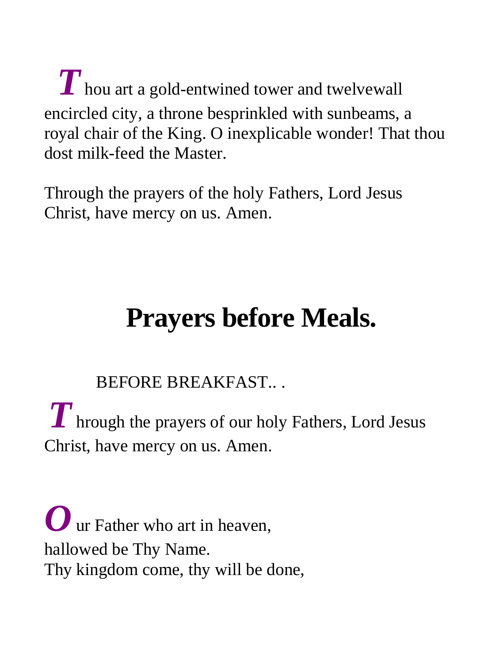$\boldsymbol{T}$  hou art a gold-entwined tower and twelvewall encircled city, a throne besprinkled with sunbeams, a royal chair of the King. O inexplicable wonder! That thou dost milk-feed the Master.

Through the prayers of the holy Fathers, Lord Jesus Christ, have mercy on us. Amen.

# **Prayers before Meals.**

BEFORE BREAKFAST.. .

*T* hrough the prayers of our holy Fathers, Lord Jesus Christ, have mercy on us. Amen.

*O* ur Father who art in heaven. hallowed be Thy Name. Thy kingdom come, thy will be done,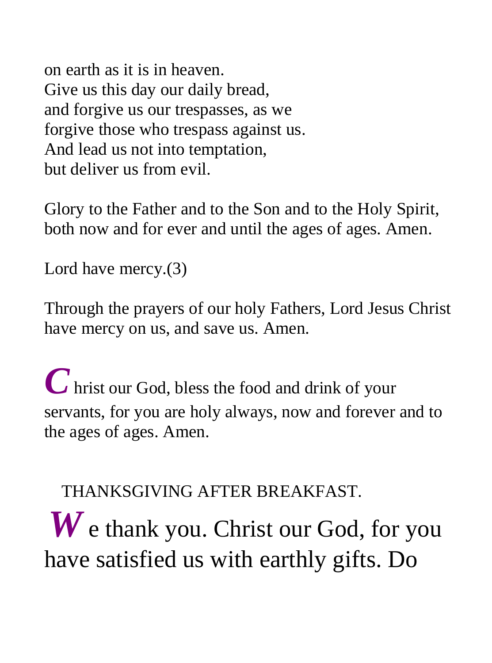on earth as it is in heaven. Give us this day our daily bread, and forgive us our trespasses, as we forgive those who trespass against us. And lead us not into temptation, but deliver us from evil.

Glory to the Father and to the Son and to the Holy Spirit, both now and for ever and until the ages of ages. Amen.

Lord have mercy.(3)

Through the prayers of our holy Fathers, Lord Jesus Christ have mercy on us, and save us. Amen.

*C* hrist our God, bless the food and drink of your servants, for you are holy always, now and forever and to the ages of ages. Amen.

THANKSGIVING AFTER BREAKFAST.

*W* e thank you. Christ our God, for you have satisfied us with earthly gifts. Do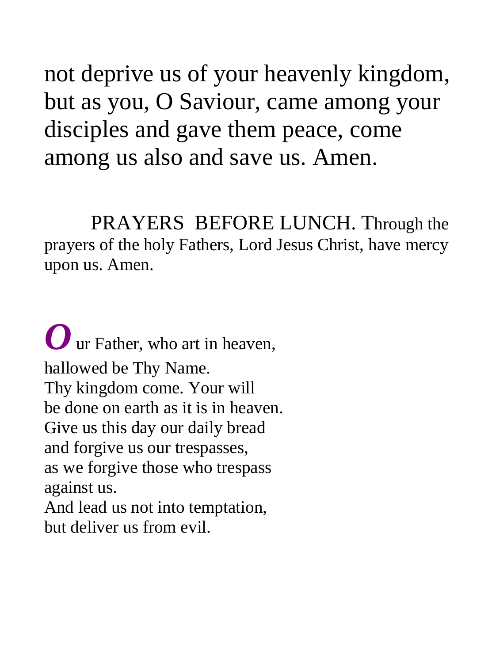not deprive us of your heavenly kingdom, but as you, O Saviour, came among your disciples and gave them peace, come among us also and save us. Amen.

 PRAYERS BEFORE LUNCH. Through the prayers of the holy Fathers, Lord Jesus Christ, have mercy upon us. Amen.

*O* ur Father, who art in heaven, hallowed be Thy Name. Thy kingdom come. Your will be done on earth as it is in heaven. Give us this day our daily bread and forgive us our trespasses, as we forgive those who trespass against us. And lead us not into temptation, but deliver us from evil.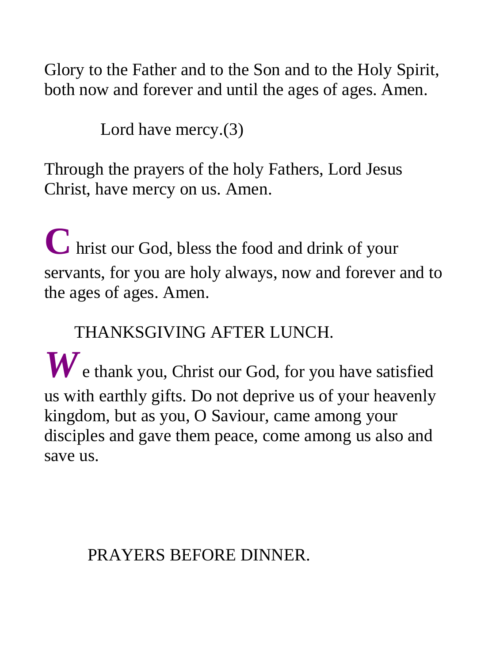Glory to the Father and to the Son and to the Holy Spirit, both now and forever and until the ages of ages. Amen.

Lord have mercy.(3)

Through the prayers of the holy Fathers, Lord Jesus Christ, have mercy on us. Amen.

**C** hrist our God, bless the food and drink of your servants, for you are holy always, now and forever and to the ages of ages. Amen.

#### THANKSGIVING AFTER LUNCH.

*W* e thank you, Christ our God, for you have satisfied us with earthly gifts. Do not deprive us of your heavenly kingdom, but as you, O Saviour, came among your disciples and gave them peace, come among us also and save us.

#### PRAYERS BEFORE DINNER.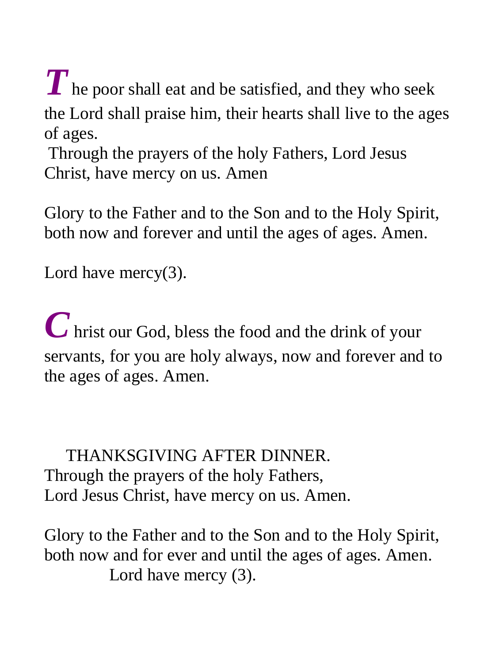*T* he poor shall eat and be satisfied, and they who seek the Lord shall praise him, their hearts shall live to the ages of ages.

 Through the prayers of the holy Fathers, Lord Jesus Christ, have mercy on us. Amen

Glory to the Father and to the Son and to the Holy Spirit, both now and forever and until the ages of ages. Amen.

Lord have mercy(3).

*C* hrist our God, bless the food and the drink of your servants, for you are holy always, now and forever and to the ages of ages. Amen.

 THANKSGIVING AFTER DINNER. Through the prayers of the holy Fathers, Lord Jesus Christ, have mercy on us. Amen.

Glory to the Father and to the Son and to the Holy Spirit, both now and for ever and until the ages of ages. Amen. Lord have mercy (3).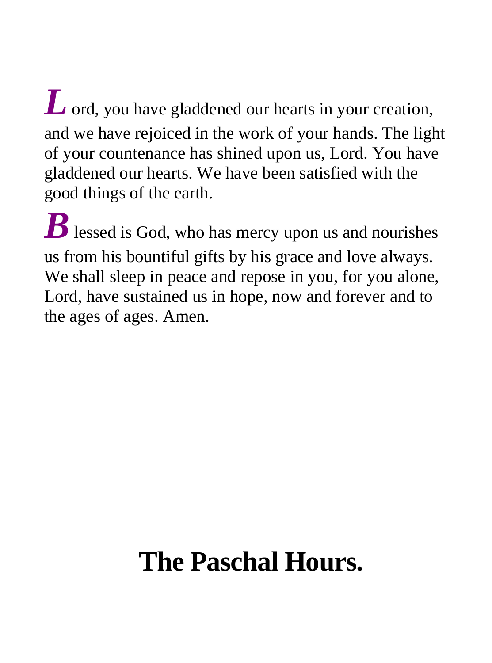*L* ord, you have gladdened our hearts in your creation, and we have rejoiced in the work of your hands. The light of your countenance has shined upon us, Lord. You have gladdened our hearts. We have been satisfied with the good things of the earth.

*B* lessed is God, who has mercy upon us and nourishes us from his bountiful gifts by his grace and love always. We shall sleep in peace and repose in you, for you alone, Lord, have sustained us in hope, now and forever and to the ages of ages. Amen.

# **The Paschal Hours.**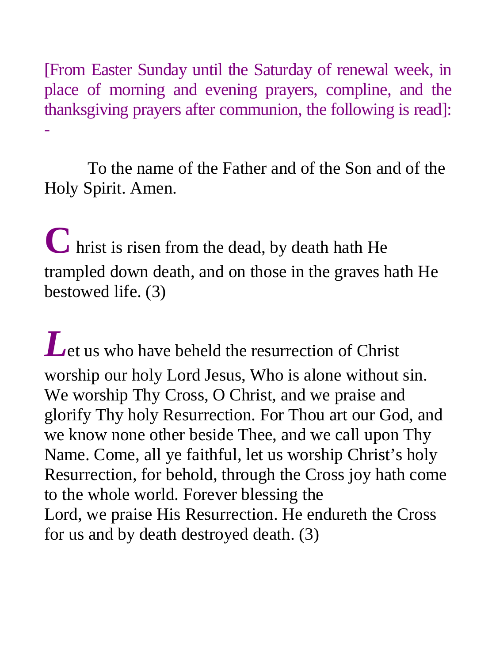[From Easter Sunday until the Saturday of renewal week, in place of morning and evening prayers, compline, and the thanksgiving prayers after communion, the following is read]: -

 To the name of the Father and of the Son and of the Holy Spirit. Amen.

**C** hrist is risen from the dead, by death hath He trampled down death, and on those in the graves hath He bestowed life. (3)

Let us who have beheld the resurrection of Christ worship our holy Lord Jesus, Who is alone without sin. We worship Thy Cross, O Christ, and we praise and glorify Thy holy Resurrection. For Thou art our God, and we know none other beside Thee, and we call upon Thy Name. Come, all ye faithful, let us worship Christ's holy Resurrection, for behold, through the Cross joy hath come to the whole world. Forever blessing the Lord, we praise His Resurrection. He endureth the Cross for us and by death destroyed death. (3)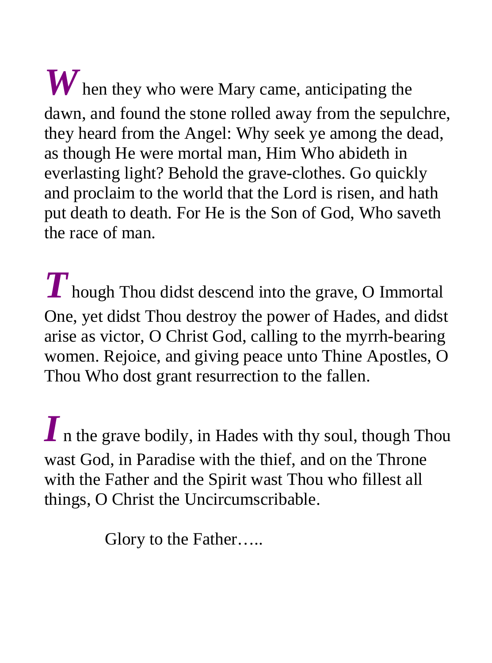*W* hen they who were Mary came, anticipating the dawn, and found the stone rolled away from the sepulchre, they heard from the Angel: Why seek ye among the dead, as though He were mortal man, Him Who abideth in everlasting light? Behold the grave-clothes. Go quickly and proclaim to the world that the Lord is risen, and hath put death to death. For He is the Son of God, Who saveth the race of man.

*T* hough Thou didst descend into the grave, O Immortal One, yet didst Thou destroy the power of Hades, and didst arise as victor, O Christ God, calling to the myrrh-bearing women. Rejoice, and giving peace unto Thine Apostles, O Thou Who dost grant resurrection to the fallen.

*I* n the grave bodily, in Hades with thy soul, though Thou wast God, in Paradise with the thief, and on the Throne with the Father and the Spirit wast Thou who fillest all things, O Christ the Uncircumscribable.

Glory to the Father…..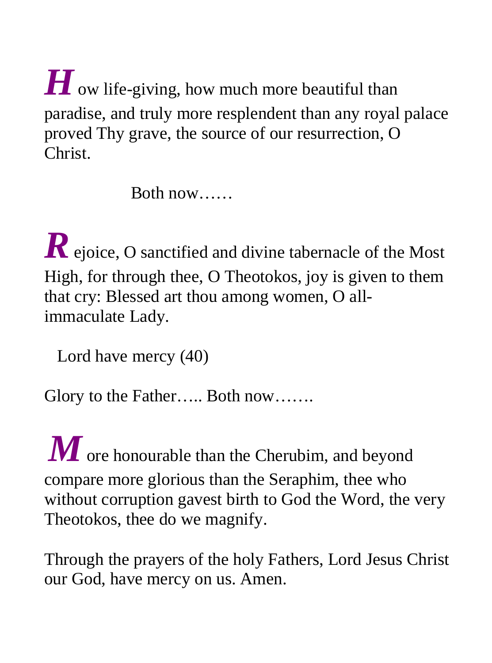*H* ow life-giving, how much more beautiful than paradise, and truly more resplendent than any royal palace proved Thy grave, the source of our resurrection, O Christ.

Both now……

*R* ejoice, O sanctified and divine tabernacle of the Most High, for through thee, O Theotokos, joy is given to them that cry: Blessed art thou among women, O allimmaculate Lady.

Lord have mercy (40)

Glory to the Father….. Both now…….

*M* ore honourable than the Cherubim, and beyond compare more glorious than the Seraphim, thee who without corruption gavest birth to God the Word, the very Theotokos, thee do we magnify.

Through the prayers of the holy Fathers, Lord Jesus Christ our God, have mercy on us. Amen.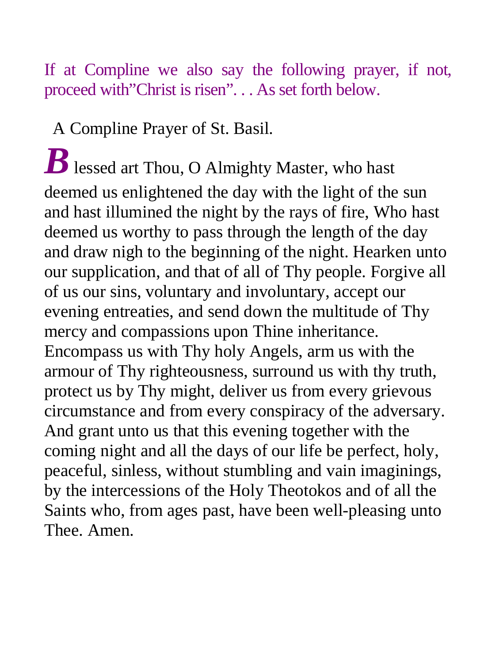## If at Compline we also say the following prayer, if not, proceed with"Christ is risen". . . As set forth below.

A Compline Prayer of St. Basil.

 $\boldsymbol{B}$  lessed art Thou, O Almighty Master, who hast deemed us enlightened the day with the light of the sun and hast illumined the night by the rays of fire, Who hast deemed us worthy to pass through the length of the day and draw nigh to the beginning of the night. Hearken unto our supplication, and that of all of Thy people. Forgive all of us our sins, voluntary and involuntary, accept our evening entreaties, and send down the multitude of Thy mercy and compassions upon Thine inheritance. Encompass us with Thy holy Angels, arm us with the armour of Thy righteousness, surround us with thy truth, protect us by Thy might, deliver us from every grievous circumstance and from every conspiracy of the adversary. And grant unto us that this evening together with the coming night and all the days of our life be perfect, holy, peaceful, sinless, without stumbling and vain imaginings, by the intercessions of the Holy Theotokos and of all the Saints who, from ages past, have been well-pleasing unto Thee. Amen.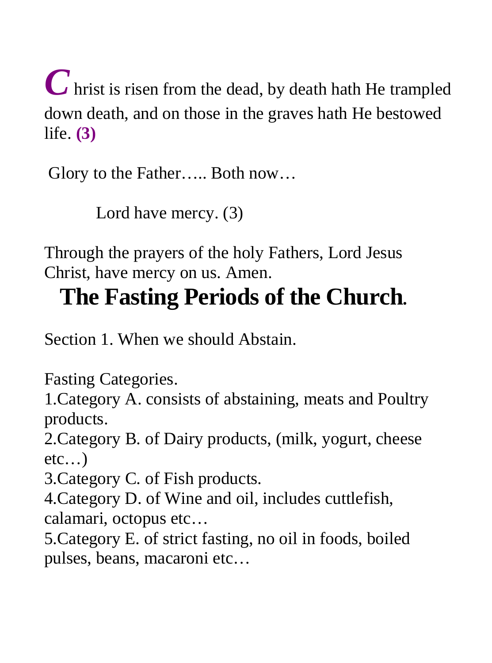*C* hrist is risen from the dead, by death hath He trampled down death, and on those in the graves hath He bestowed life. **(3)** 

Glory to the Father….. Both now…

Lord have mercy. (3)

Through the prayers of the holy Fathers, Lord Jesus Christ, have mercy on us. Amen.

## **The Fasting Periods of the Church.**

Section 1. When we should Abstain.

Fasting Categories.

1.Category A. consists of abstaining, meats and Poultry products.

2.Category B. of Dairy products, (milk, yogurt, cheese  $etc...$ )

3.Category C. of Fish products.

4.Category D. of Wine and oil, includes cuttlefish, calamari, octopus etc…

5.Category E. of strict fasting, no oil in foods, boiled pulses, beans, macaroni etc…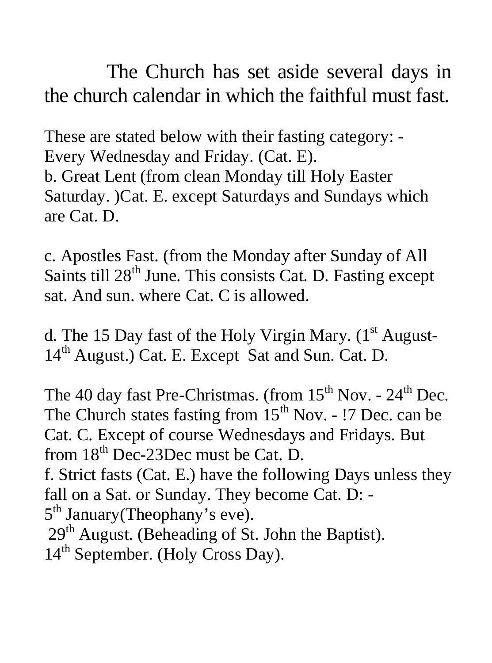The Church has set aside several days in the church calendar in which the faithful must fast.

These are stated below with their fasting category: - Every Wednesday and Friday. (Cat. E). b. Great Lent (from clean Monday till Holy Easter Saturday. )Cat. E. except Saturdays and Sundays which are Cat. D.

c. Apostles Fast. (from the Monday after Sunday of All Saints till 28<sup>th</sup> June. This consists Cat. D. Fasting except sat. And sun. where Cat. C is allowed.

d. The 15 Day fast of the Holy Virgin Mary.  $(1<sup>st</sup>$  August-14<sup>th</sup> August.) Cat. E. Except Sat and Sun. Cat. D.

The 40 day fast Pre-Christmas. (from  $15<sup>th</sup>$  Nov. -  $24<sup>th</sup>$  Dec. The Church states fasting from  $15<sup>th</sup>$  Nov. - !7 Dec. can be Cat. C. Except of course Wednesdays and Fridays. But from 18<sup>th</sup> Dec-23Dec must be Cat. D. f. Strict fasts (Cat. E.) have the following Days unless they fall on a Sat. or Sunday. They become Cat. D: - 5<sup>th</sup> January(Theophany's eve). 29<sup>th</sup> August. (Beheading of St. John the Baptist). 14<sup>th</sup> September. (Holy Cross Day).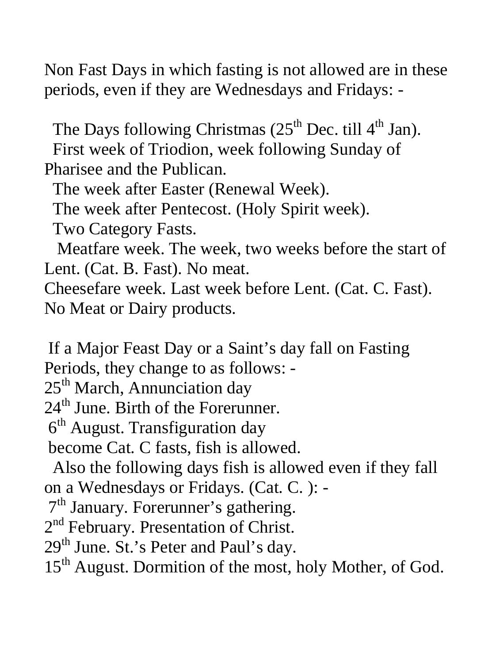Non Fast Days in which fasting is not allowed are in these periods, even if they are Wednesdays and Fridays: -

The Days following Christmas  $(25<sup>th</sup>$  Dec. till  $4<sup>th</sup>$  Jan). First week of Triodion, week following Sunday of Pharisee and the Publican.

The week after Easter (Renewal Week).

The week after Pentecost. (Holy Spirit week).

Two Category Fasts.

 Meatfare week. The week, two weeks before the start of Lent. (Cat. B. Fast). No meat.

Cheesefare week. Last week before Lent. (Cat. C. Fast). No Meat or Dairy products.

 If a Major Feast Day or a Saint's day fall on Fasting Periods, they change to as follows: -

25<sup>th</sup> March, Annunciation day

24<sup>th</sup> June. Birth of the Forerunner.

 $6<sup>th</sup>$  August. Transfiguration day

become Cat. C fasts, fish is allowed.

 Also the following days fish is allowed even if they fall on a Wednesdays or Fridays. (Cat. C. ): -

7th January. Forerunner's gathering.

2<sup>nd</sup> February. Presentation of Christ.

 $29<sup>th</sup>$  June. St.'s Peter and Paul's day.

15<sup>th</sup> August. Dormition of the most, holy Mother, of God.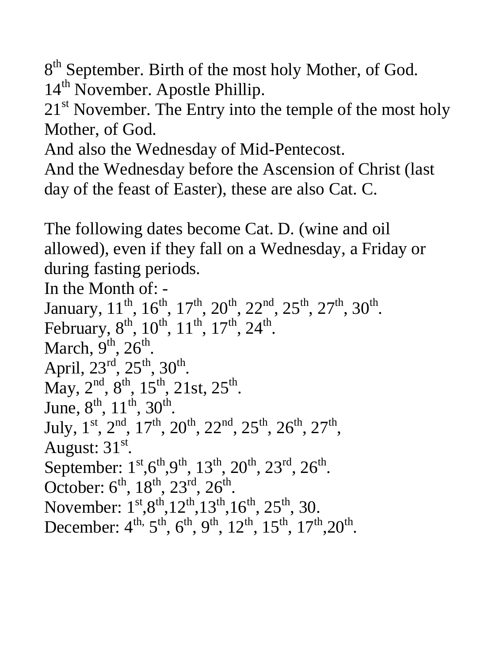8<sup>th</sup> September. Birth of the most holy Mother, of God. 14<sup>th</sup> November. Apostle Phillip.

 $21<sup>st</sup>$  November. The Entry into the temple of the most holy Mother, of God.

And also the Wednesday of Mid-Pentecost.

And the Wednesday before the Ascension of Christ (last day of the feast of Easter), these are also Cat. C.

The following dates become Cat. D. (wine and oil allowed), even if they fall on a Wednesday, a Friday or during fasting periods.

In the Month of: - January,  $11^{th}$ ,  $16^{th}$ ,  $17^{th}$ ,  $20^{th}$ ,  $22^{nd}$ ,  $25^{th}$ ,  $27^{th}$ ,  $30^{th}$ . February,  $8^{th}$ ,  $10^{th}$ ,  $11^{th}$ ,  $17^{th}$ ,  $24^{th}$ . March,  $9<sup>th</sup>$ ,  $26<sup>th</sup>$ . April,  $23^{\text{rd}}$ ,  $25^{\text{th}}$ ,  $30^{\text{th}}$ . May,  $2^{nd}$ ,  $8^{th}$ ,  $15^{th}$ ,  $21st$ ,  $25^{th}$ . June,  $8^{\text{th}}$ ,  $11^{\text{th}}$ ,  $30^{\text{th}}$ . July,  $1^{st}$ ,  $2^{nd}$ ,  $17^{th}$ ,  $20^{th}$ ,  $22^{nd}$ ,  $25^{th}$ ,  $26^{th}$ ,  $27^{th}$ . August:  $31<sup>st</sup>$ . September:  $1^{st}$ , $6^{th}$ , $9^{th}$ ,  $13^{th}$ ,  $20^{th}$ ,  $23^{rd}$ ,  $26^{th}$ . October:  $6^{th}$ ,  $18^{th}$ ,  $23^{rd}$ ,  $26^{th}$ . November:  $1^{st} \cdot 8^{th} \cdot 12^{th} \cdot 13^{th} \cdot 16^{th} \cdot 25^{th} \cdot 30$ . December:  $4^{th}$ ,  $5^{th}$ ,  $6^{th}$ ,  $9^{th}$ ,  $12^{th}$ ,  $15^{th}$ ,  $17^{th}$ ,  $20^{th}$ .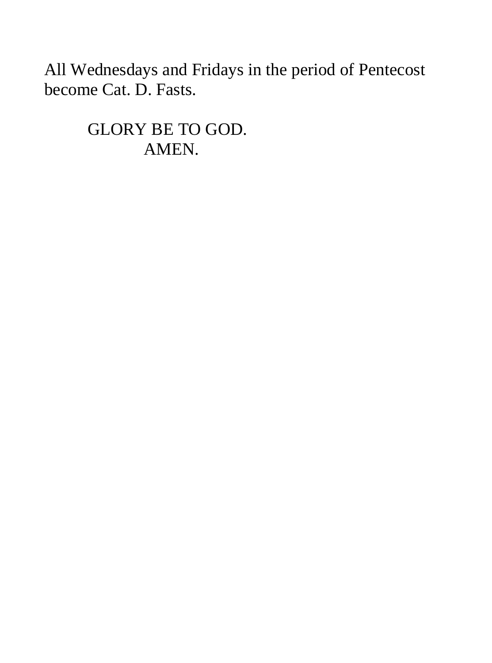All Wednesdays and Fridays in the period of Pentecost become Cat. D. Fasts.

> GLORY BE TO GOD. AMEN.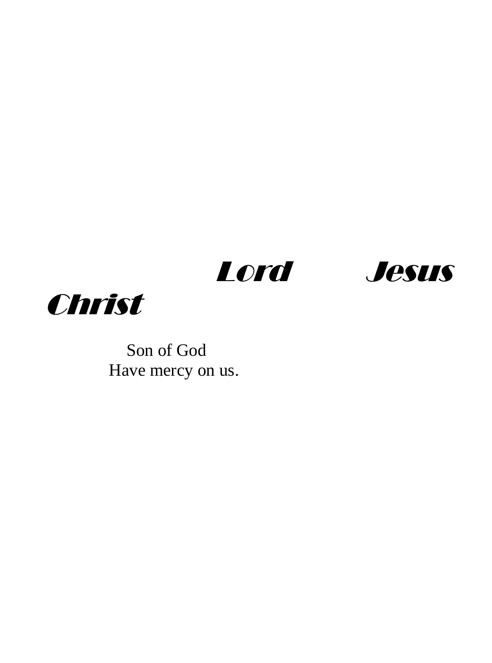





 Son of God Have mercy on us.